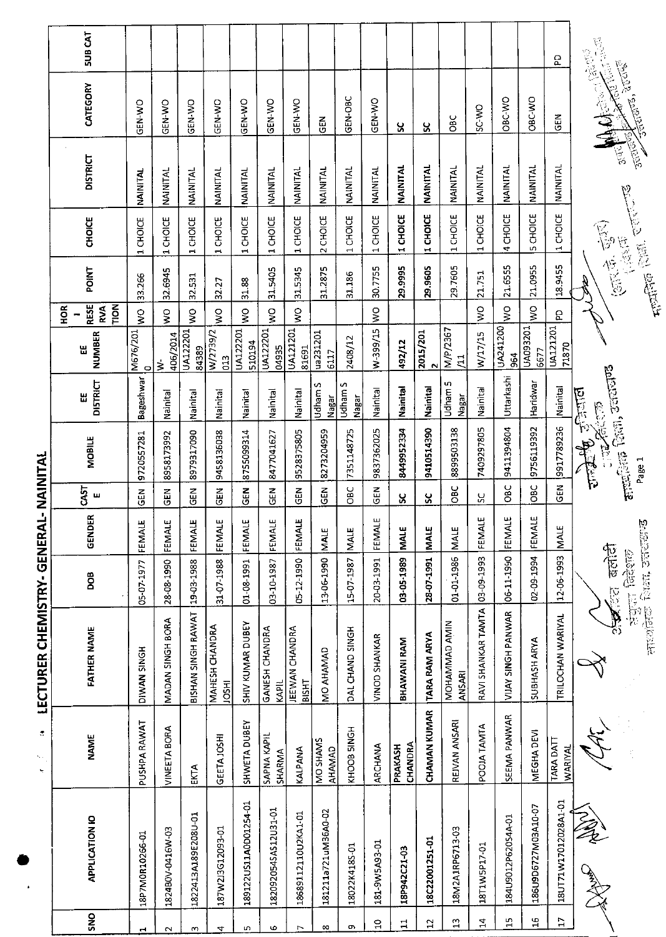|                                   | <b>SUB CAT</b>                  |                 |                           |                     |                                |                          |                         |                                |                           |                  |                      |                    |                     |                                                                            |                               |                    |                     | g                                  |                                                                            |
|-----------------------------------|---------------------------------|-----------------|---------------------------|---------------------|--------------------------------|--------------------------|-------------------------|--------------------------------|---------------------------|------------------|----------------------|--------------------|---------------------|----------------------------------------------------------------------------|-------------------------------|--------------------|---------------------|------------------------------------|----------------------------------------------------------------------------|
|                                   | CATEGORY                        | GEN-WO          | GEN-WO                    | GEN-WO              | GEN-WO                         | GEN-WO                   | <b>GEN WO</b>           | GEN-WO                         | GEN                       | GEN-OBC          | <b>OK-N3D</b>        | ပ္တ                | ပ္တ                 | СBC                                                                        | SC-WO                         | OBC-WO             | OBC-WO              | <b>GEN</b>                         | <b>CENTURES, 20065</b>                                                     |
|                                   | <b>DISTRICT</b>                 | NAINITAL        | NAINITAL                  | <b>NAINITAL</b>     | NAINITAL                       | <b>NAINITAL</b>          | NAINITAL                | NAINITAL                       | NAINITAL                  | <b>NAINITAL</b>  | NAINITAL             | <b>NAINITAL</b>    | <b>NAINITAL</b>     | NAINITAL                                                                   | NAINITAL                      | NAINITAL           | NAINITAL            | NAINITAL                           | <b>Randal</b><br>Particle                                                  |
|                                   | CHOICE                          | 1 CHOICE        | CHOICE<br>$\blacksquare$  | 1 CHOICE            | 1 CHOICE                       | 1 CHOICE                 | 1 CHOICE                | 1 CHOICE                       | 2 CHOICE                  | 1 CHOICE         | 1 CHOICE             | 1 CHOICE           | 1 CHOICE            | 1 CHOICE                                                                   | 1 CHOICE                      | 4 CHOICE           | 5 CHOICE            | 1 CHOICE                           | <b>College College College</b>                                             |
|                                   | <b>POINT</b>                    | 33.266          | 32.6945                   | 32.531              | 32.27                          | 31.88                    | 31.5405                 | 31.5345                        | 31.2875                   | 31.186           | 30.7755              | 29.9995            | 29.9605             | 29.7605                                                                    | 21751                         | 21.6555            | 21.0955             | 18.9455                            | 医心室<br>life                                                                |
|                                   | RESE<br><b>POLL</b><br>ğ<br>RVA | $\frac{1}{2}$   | $\mathsf{S}^{\mathsf{O}}$ | $\mathsf{S}$        | Ş                              | $\widetilde{\mathbf{z}}$ | $\frac{1}{3}$           | ş                              |                           |                  | $\frac{1}{2}$        |                    |                     |                                                                            | $\frac{1}{2}$                 | $\frac{1}{2}$      | $\frac{1}{2}$       | g                                  |                                                                            |
|                                   | <b>NUMBER</b><br>出              | M676/201        | 406/2014<br>₹             | UA122201<br>84389   | W/2739/2<br>013                | UA122201<br>510194       | UA122201<br>04935       | <b>UA121201</b><br>81691       | ua231201<br>6117          | 2408/12          | W-399/15             | 492/12             | 2015/201            | M/P/2367<br>$\Xi$                                                          | W/17/15                       | UA241200<br>964    | UA093201<br>6677    | UA121201<br>71870                  |                                                                            |
|                                   | <b>DISTRICT</b><br>Ш            | Bageshwar       | Nainital                  | Nainital            | Nainital                       | Nainital                 | Nainital                | Nainital                       | Udham S<br>Nagar          | Udham S<br>Nagar | Nainital             | Nainital           | Nainital            | Udham 5<br>Nagar                                                           | Nainital                      | Uttarkashi         | Haridwar            | Nainital                           | 医心态                                                                        |
| TVLINTAN<br>--                    | <b>MOBILE</b>                   | 9720557281      | 8958173992                | 8979317090          | 9458135038                     | 8755099314               | 8477041627              | 9528375805                     | 8273204959                | 7351148725       | 9837362025           | 8449952334         | 9410514390          | 8899503138                                                                 | 7409297805                    | 9411394804         | 9756119392          | 9917789236                         | <b>alternation</b> Science and Content<br><b>Blue of the and</b><br>Page 1 |
|                                   | CAST<br>ш                       | 6EN             | <b>SHO</b>                | <b>SEN</b>          | 군<br>양                         | ទី<br>ទី                 | $rac{1}{9}$             | $\tilde{d}$                    | <b>GEN</b>                | OBC              | $\frac{2}{9}$        | ပ္တ                | ပ္တ                 | မိ                                                                         | ပ္ပ                           | $rac{1}{2}$        | <b>BC</b>           | <b>SEN</b>                         |                                                                            |
|                                   | GENDER                          | FEMALE          | FEMALE                    | FEMALE              | FEMALE                         | FEMALE                   | FEMALE                  | FEMALE                         | <b>MALE</b>               | <b>NALE</b>      | FEMALE               | <b>NALE</b>        | <b>MALE</b>         | <b>MALE</b>                                                                | FEMALE                        | FEMALE             | FEMALE              | <b>MALE</b>                        |                                                                            |
|                                   | <b>BOG</b>                      | 05-07-1977      | 28-08-1990                | 19-03-1988          | 31-07-1988                     | 01-08-1991               | 03-10-1987              | 05-12-1990                     | 13-06-1990                | 15-07-1987       | 20-03-1991           | 03-05-1989         | 28-07-1991          | 01-01-1986                                                                 |                               | 06-11-1990         | 02-09-1994          | 12-06-1993                         | बलांदी<br><b>Hallin Grassin</b><br><b>PO</b>                               |
| <b>LECTURER CHEMISTRY- GENERA</b> | <b>FATHER NAME</b>              | HONN SINGH      | MADAN SINGH BORA          | BISHAN SINGH RAWAT  | MAHESH CHANDRA<br><b>IRSOL</b> | SHIV KUMAR DUBEY         | GANESH CHANDRA<br>KAPIL | JEEWAN CHANDRA<br><b>BISHT</b> | MO AHAMAD                 | DAL CHAND SINGH  | <b>VINOD SHANKAR</b> | BHAWANI RAM        | TARA RAM ARYA       | MOHAMMAD AMIN<br>ANSARI                                                    | RAVI SHANKAR TAMTA 03-09-1993 | VIJAY SINGH PANWAR | <b>SUBHASH ARYA</b> | TRILOCHAN WARIYAL                  | सारगोलेर्क शिक्षा, उत्तरास्या <mark>ण्</mark><br>B                         |
| đ,<br>٩.,<br>Y,                   | NAME                            | PUSHPA RAWAT    | <b>VINEETA BORA</b>       | EKTA                | <b>GEETAJOSHI</b>              | SHWETA DUBEY             | SAPNA KAPIL<br>SHARMA   | KALPANA                        | MO SHAMS<br><b>AHAMAD</b> | KHOOB 5INGH      | ARCHANA              | CHANDRA<br>PRAKASH | <b>CHAMAN KUMAR</b> | REJVAN ANSARI                                                              | POOJA TAMTA                   | SEEMA PANWAR       | MEGHA DEVI          | <b>TARA DATT</b><br><b>WARIYA!</b> |                                                                            |
|                                   | APPLICATION IO                  | 18P7M0R10266-01 | 1824B0V-0416W-03          | 1822413A189E208U-01 | 187W2J3G12093-01               | 189122US11A0D01254-01    | 1820920545AS12U31-01    | 18689112110U2KA1-01            | 181211a721uM36A0-02       | 18022K4185-01    | 181-9W5A93-01        | 18P942C21-03       | 18C22001251-01      | 18M2A1RP6713-03                                                            | 18T1W5P17-01                  | 184U9012P620S4A-01 | 186U9D6727M03A10-07 | 18UT71W17012028A1-01               | Radia<br>ANTEN                                                             |
|                                   | SNO                             | ы               | $\sim$                    | m                   | 4                              | m,                       | ю                       | $\overline{ }$                 | $\infty$                  | o,               | $\Xi$                | $\mathbf{1}$       | $\mathfrak{a}$      | $\mathfrak{D}% _{A}=\mathfrak{D}_{A}\times\mathfrak{D}_{B} \label{1.10a}%$ | $\mathbf{z}$                  | 15                 | $\mathbf{H}$        | H                                  |                                                                            |
|                                   |                                 |                 |                           |                     |                                |                          |                         |                                |                           |                  |                      |                    |                     |                                                                            |                               |                    |                     |                                    |                                                                            |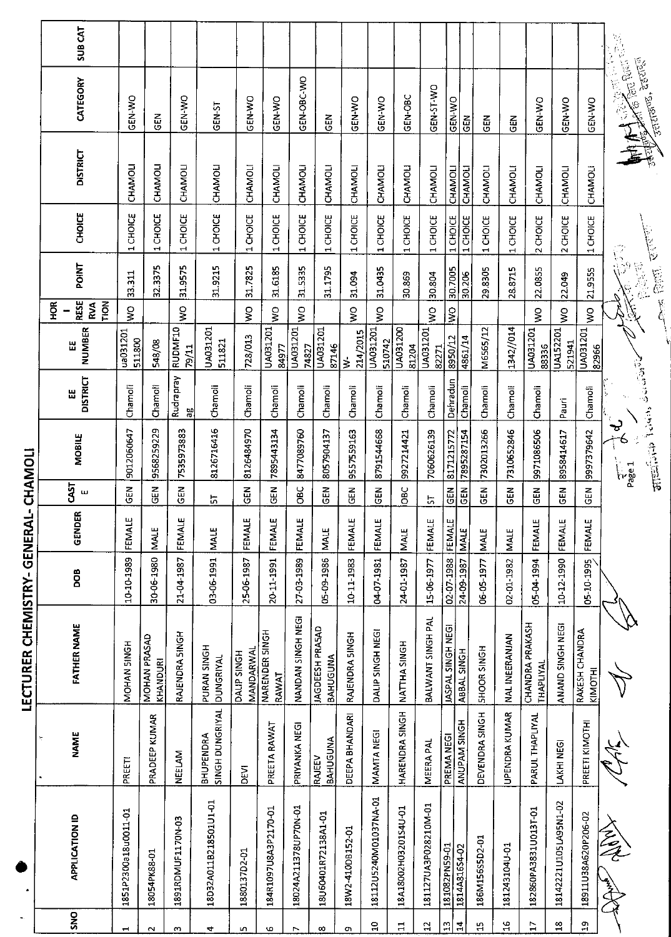|                |                       |                                  | LECTURER CHEMISTRY- GENERAL        |            | $\mathbf{I}_{\perp}$ |                   | CHAMOLI                                   |                      |                           |                                        |                          |                |                 |                                                                                  |               |
|----------------|-----------------------|----------------------------------|------------------------------------|------------|----------------------|-------------------|-------------------------------------------|----------------------|---------------------------|----------------------------------------|--------------------------|----------------|-----------------|----------------------------------------------------------------------------------|---------------|
| <b>SNO</b>     | <b>APPLICATION ID</b> | <b>NAME</b>                      | <b>FATHER NAME</b>                 | DOB        | GENDER               | 53<br>$\mathbf u$ | MOBILE                                    | <b>DISTRICT</b><br>Ш | <b>NUMBER</b><br>Ш        | <b>RESE</b><br>FION<br>Ř<br><b>RVA</b> | <b>POINT</b>             | CHOICE         | <b>DISTRICT</b> | CATEGORY                                                                         | <b>SUBCAT</b> |
| H              | 1851P2300a18u0011-01  | PREETI                           | NOHAN SINGH                        | 10-10-1989 | FEMALE               | M3O               | 9012060647                                | Chamoli              | ua031201<br>511800        | ş                                      | 33.311                   | 1 CHOICE       | CHAMOLI         | OK NJS                                                                           |               |
| $\sim$         | 18054PK88-01          | PRADEEP KUMAR                    | MOHAN PRASAD<br>KHANDURI           | 30-06-1980 | <b>MALE</b>          | M<br>GED          | 9568259229                                | Chamoli              | 548/08                    |                                        | 32.3375                  | 1 CHOICE       | CHAMOLI         | N<br>この                                                                          |               |
| $\omega$       | 1891RDMUF1170N-03     | NEELAM                           | RAJENDRA SINGH                     | 21-04-1987 | <b>FEMALE</b>        | <b>GΕN</b>        | 7535973883                                | Rudrapray<br>æ       | RUDMF10<br>79/11          | Ş                                      | 31.9575                  | 1 CHOICE       | CHAMOLI         | <b>OW-N3D</b>                                                                    |               |
| 4              | 18D32A011B218501U1-01 | SINGH DUNGRIYAL<br>BHUPENDRA     | PURAN SINGH<br><b>DUNGRIYAL</b>    | 03-06-1991 | <b>NALE</b>          | 능                 | 8126716416                                | Chamoli              | UA031201<br>511821        |                                        | 31.9215                  | 1 CHOICE       | CHAMOLI         | GEN-ST                                                                           |               |
| n,             | 1880137D2-01          | DEVI                             | MANDARWA<br>DALIP SINGH            | 25-06-1987 | FEMALE               | មិន<br>ស          | 8126484970                                | Chamoli              | 728/013                   | $\mathsf{S}^{\mathsf{O}}$              | 31.7825                  | 1 CHOICE       | CHAMOLI         | GEN-WO                                                                           |               |
| G              | 184R1097U8A3P2170-01  | PREETA RAWAT                     | NARENDER SINGH<br>RAWAT            | 20-11-1991 | FEMALE               | ទី<br>ទី          | 7895443134                                | Chamoli              | UA031201<br>84977         | Ş                                      | 31.6185                  | 1 CHOICE       | CHAMOLI         | GEN-WO                                                                           |               |
| ↖              | 18024A211378UP70N-01  | PRIYANKA NEGI                    | NANDAN SINGH NEGI                  | 27-03-1989 | FEMALE               | OBC               | 8477089760                                | Chamoli              | UA031201<br>74827         | Ş                                      | 31.5335                  | 1 CHOICE       | CHAMOLI         | GEN-OBC-WO                                                                       |               |
| œ              | 18U60401R72138A1-01   | <b>BAHUGUNA</b><br><b>RAJEEV</b> | <b>JAGDEESH PRASAD</b><br>BAHUGUNA | 05-09-1986 | MALE                 | $\frac{2}{5}$     | 8057904137                                | Chamoli              | UA031201<br>87146         |                                        | 31.1795                  | 1 CHOICE       | CHAMOLI         | N<br>この                                                                          |               |
| o              | 18W2-410DB152-01      | DEEPA BHANDARI                   | RAJENDRA SINGH                     | 10-11-1983 | FEMALE               | M3D               | 9557559163                                | Chamoli              | 214/2015<br>$\dot{z}$     | $\mathop{\mathsf{S}}$                  | 31.094                   | 1 CHOICE       | CHAMOLI         | <b>OK-N-SO</b>                                                                   |               |
| 음              | 18112U5240M01037NA-01 | MAMTA NEGI                       | DALIP SINGH NEGI                   | 04-07-1981 | FEMALE               | <b>ABO</b>        | 8791544668                                | Chamoli              | UA031201<br>510742        | $\frac{1}{2}$                          | 31.0435                  | 1 CHOICE       | CHAMOLI         | GEN-WO                                                                           |               |
| $\mathbf{H}$   | 18A18002H03201S4U-01  | <b>HARENDRA SINGH</b>            | NATTHA SINGH                       | 24-01-1987 | <b>MALE</b>          | OBC               | 9927214421                                | Chamoli              | UA031200<br>81204         |                                        | 30.869                   | 1 CHOICE       | CHAMOLI         | GEN-OBC                                                                          |               |
| 5              | 181127UA3P028210M-01  | <b>MEERA PAL</b>                 | BALWANT SINGH PAL                  | 15-06-1977 | FEMALE               | 57                | 7060626139                                | Chamoli              | UA031201<br>82271         | Ş                                      | 30.804                   | 1 CHOICE       | CHAMOLI         | GEN-T-WO                                                                         |               |
| $\mathfrak{D}$ | 181082PN59-01         | PREMA NEGI                       | <b>JASPAL SINGH NEGI</b>           | 02-07-1988 | FEMALE               | GEN               | 8171215772                                | Dehradun             | 8950/12                   | $\frac{1}{2}$                          | 30.7005                  | 1 CHOICE       | CHAMOL          | GEN-WO                                                                           |               |
| 궄              | 1814A81654-02         | ANUPAM SINGH                     | ABBAL SINGH                        | 24-09-1987 | <b>MALE</b>          | <b>GEN</b>        | 7895287154                                | Chamoli              | 4861/14                   |                                        | 30.206                   | 1 CHOICE       | CHAMOLI         | $rac{2}{5}$                                                                      |               |
| $\frac{1}{2}$  | 186M156S5D2-01        | DEVENDRA SINGH                   | <b>SHOOR SINGH</b>                 | 06-05-1977 | MALE                 | <b>GEN</b>        | 7302013266                                | Chamoli              | M6565/12                  |                                        | 29.8305                  | 1 CHOICE       | CHAMOLI         | 군<br>5                                                                           |               |
| 9Ļ             | 181243104U-01         | UPENDRA KUMAR                    | <b>NAL INEERANJAN</b>              | 02-01-1982 | <b>MALE</b>          | $\frac{2}{5}$     | 7310652846                                | Chamoli              | 1342/014                  |                                        | 28.8715                  | 1 CHOICE       | CHAMOLI         | 군<br>55                                                                          |               |
| F              | 182860PA3831U013T-01  | PARUL THAPLIYAL                  | CHANDRA PRAKASH<br>THAPLIYAL       | 05-04-1994 | FEMALE               | <b>GEN</b>        | 9971086506                                | Chamoli              | UA031201<br>88336         | Ş                                      | 22.0855                  | 2 CHOICE       | CHAMOLI         | <b>OK-N-NO</b>                                                                   |               |
| $\frac{8}{10}$ | 18142221U105LA95N1-02 | LAKHI NEGI                       | ANAND SINGH NEGI                   | 10-12-1990 | FEMALE               | GEN               | 8958414617                                | Pauri                | <b>UA152201</b><br>521941 | Ş                                      | 22.049                   | 2 CHOICE       | CHAMOLI         | GEN-WO                                                                           |               |
| ă              | 18911U38A620P206-02   | PREETI KIMOTHI                   | RAKESH CHANDRA<br>KIMOTHI          | 05-10-1995 | FEMALE               | $rac{1}{6}$       | 9997379642                                | Chamoli              | UA031201<br>82966         | $\frac{1}{2}$                          | 21.9555                  | 1 CHOICE       | CHAMOLI         | GEN-WO                                                                           |               |
|                | Talet                 | می موالع<br>مراجع                |                                    |            |                      |                   | <b>THE CONDITACTS</b><br>ಳ<br><b>Fage</b> |                      |                           |                                        | $\widehat{\mathbb{S}}_9$ |                |                 | <b>Artis Bulletin</b><br>P.1<br>12.<br><b>Fantanes</b> , agencal<br>$\mathbb{Z}$ |               |
|                |                       |                                  |                                    |            |                      |                   |                                           |                      |                           |                                        | <b>CARE BUSIT</b>        | <b>Richard</b> |                 |                                                                                  |               |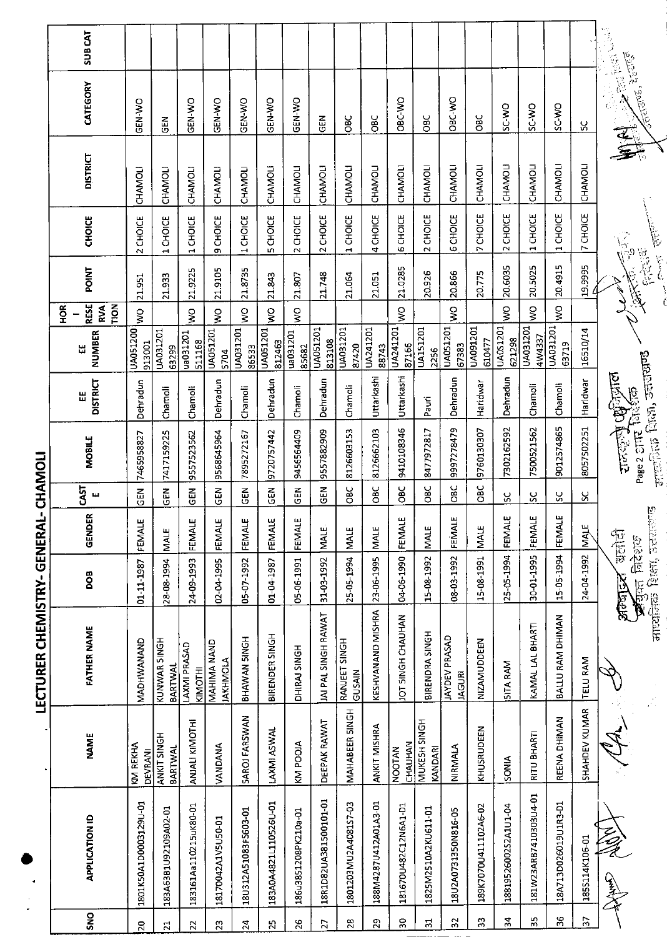|                                        | <b>SUBCAT</b>                                         |                            |                                      |                         |                                |                      |                            |                      |                       |                         |                      |                          |                         |                                       |                      |                      |                          |                          |                 | <b>Company of the Property of Action</b>                                                                                                                                                                                                                                                                                             |
|----------------------------------------|-------------------------------------------------------|----------------------------|--------------------------------------|-------------------------|--------------------------------|----------------------|----------------------------|----------------------|-----------------------|-------------------------|----------------------|--------------------------|-------------------------|---------------------------------------|----------------------|----------------------|--------------------------|--------------------------|-----------------|--------------------------------------------------------------------------------------------------------------------------------------------------------------------------------------------------------------------------------------------------------------------------------------------------------------------------------------|
|                                        | CATEGORY                                              | GEN-WO                     | <b>GEN</b>                           | <b>ON-N-SO</b>          | GEN-WO                         | GEN-WO               | <b>GEN-WO</b>              | GEN-WO               | <b>GEN</b>            | OBC                     | <b>SC</b>            | ORC-WO                   | မ္မ<br>၁                | ORC-WO                                | <b>OBC</b>           | SC-WO                | ON CS                    | <b>CW-JS</b>             | <u>ყ</u>        | र्तिताउल - देखराड़ा                                                                                                                                                                                                                                                                                                                  |
|                                        | <b>DISTRICT</b>                                       | CHAMOLI                    | CHAMOLI                              | CHAMOLI                 | CHAMOLI                        | CHAMOLI              | CHAMOLI                    | CHAMOLI              | CHAMOLI               | CHAMOLI                 | CHAMOLI              | CHAMOLI                  | CHAMOLI                 | CHAMOLI                               | CHAMOLI              | CHAMOLI              | CHAMOLI                  | CHAMOLI                  | CHAMOLI         |                                                                                                                                                                                                                                                                                                                                      |
|                                        | <b>CHOICE</b>                                         | 2 CHOICE                   | 1 CHOICE                             | 1 CHOICE                | 9 CHOICE                       | 1 CHOICE             | 5 CHOICE                   | 2 CHOICE             | 2 CHOICE              | CHOICE<br>Ч,            | 4 CHOICE             | <b>6 CHOICE</b>          | 2 CHOICE                | <b>6 CHOICE</b>                       | <b>7 CHOICE</b>      | 2 CHOICE             | CHOICE<br>$\blacksquare$ | 1 CHOICE                 | 7 CHOICE        | 一<br>長<br>$\sqrt{\frac{1}{2}}$                                                                                                                                                                                                                                                                                                       |
|                                        | <b>POINT</b>                                          | 21.951                     | 21.933                               | 21.9225                 | 21.9105                        | 21.8735              | 21.843                     | 21.807               | 21.748                | 21.064                  | 21.051               | 21.0285                  | 20.926                  | 20.866                                | 20775                | 20.6035              | 20.5025                  | 20.4915                  | 19.9995         | 总管<br>$\begin{bmatrix} 1 & 0 & 0 \\ 0 & 0 & 0 \\ 0 & 0 & 0 \\ 0 & 0 & 0 \\ 0 & 0 & 0 \\ 0 & 0 & 0 \\ 0 & 0 & 0 & 0 \\ 0 & 0 & 0 & 0 \\ 0 & 0 & 0 & 0 \\ 0 & 0 & 0 & 0 & 0 \\ 0 & 0 & 0 & 0 & 0 \\ 0 & 0 & 0 & 0 & 0 \\ 0 & 0 & 0 & 0 & 0 & 0 \\ 0 & 0 & 0 & 0 & 0 & 0 \\ 0 & 0 & 0 & 0 & 0 & 0 \\ 0 & 0 & 0 & 0 & 0 & 0 \\ 0 & 0 & $ |
|                                        | <b>RESE</b><br><b>NOL1</b><br>$rac{\alpha}{2}$<br>RVA | ş                          |                                      | Ş                       | $\mathop{\mathsf{S}}$          | ş                    | $\frac{1}{2}$              | Š                    |                       |                         |                      | Ş                        |                         | Š                                     |                      | ş                    | ş                        | ş                        |                 |                                                                                                                                                                                                                                                                                                                                      |
|                                        | NUMBER<br>出                                           | UA051200<br>913001         | UA031201<br>63299                    | ua031201<br>511168      | <b>UA051201</b><br>5704        | UA031201<br>86533    | UA051201<br>812463         | ua031201<br>85682    | UA051201<br>813108    | UA031201<br>87420       | UA241201<br>88743    | UA241201<br>87166        | <b>UA151201</b><br>2256 | UA051201<br>67383                     | UA091201<br>610477   | UA0S1201<br>621298   | UA031201<br>4W4337       | <b>UA031201</b><br>63719 | 16510/14        |                                                                                                                                                                                                                                                                                                                                      |
|                                        | <b>DISTRICT</b><br>쎲                                  | Dehradun                   | Chamoli                              | Chamoli                 | Dehradun                       | Chamoli              | Dehradun                   | Chamoli              | Dehradun              | Chamoli                 | Uttarkashi           | Uttarkashi               | Pauri                   | Dehradun                              | Haridwar             | Dehradun             | Chamoli                  | Chamoli                  | Haridwar        |                                                                                                                                                                                                                                                                                                                                      |
|                                        | <b>MOBILE</b>                                         | 7465958827                 | 7417159225                           | 9557523562              | 9568645964                     | 7895272167           | 9720757442                 | 9456564409           | 9557882909            | 8126603153              | 8126662103           | 9410108346               | 8477972817              | 9997278479                            | 9760130307           | 7302162592           | 7500521562               | 9012574865               | 8057502251      | $\tau$ and $\Omega$ and $\sigma$ arranged<br><b>arcing Compare</b><br>Page 2 and Rustop                                                                                                                                                                                                                                              |
|                                        | CS <br>щ                                              | <b>GEN</b>                 | čEN                                  | $\frac{2}{9}$           | <b>GEN</b>                     | GEN                  | $\tilde{E}$                | <b>GEN</b>           | <b>GEN</b>            | а<br>Овс                | ა<br>შ               | <b>OBC</b>               | <b>OBC</b>              | OBC                                   | ე<br>შე              | ပ္တ                  | S.                       | $\overline{S}$           | χ               |                                                                                                                                                                                                                                                                                                                                      |
|                                        | <b>GENDER</b>                                         | FEMALE                     | <b>MALE</b>                          | FEMALE                  | FEMALE                         | FEMALE               | FEMALE                     | FEMALE               | MALE.                 | <b>MALE</b>             | <b>MALE</b>          | FEMALE                   | <b>MALE</b>             | FEMALE                                | MALE                 | FEMALE               | FEMALE                   | FEMALE                   | <b>IMALE</b>    | p<br>電信                                                                                                                                                                                                                                                                                                                              |
|                                        | DOB                                                   | 01-11-1987                 | 28-08-1994                           | 24-09-1993              | 02-04-1995                     | 05-07-1992           | 01-04-1987                 | 05-06-1991           | 31-03-1992            | 25-05-1994              | 23-06-1995           | 04-06-1990               | 15-08-1992              | 08-03-1992                            | 15-08-1991           | 25-05-1994           | 30-01-1995               | 15-05-1994               | 24-04-1992      | <b>READER SEEN SEENS</b><br>$\mathcal{A}$ and finders<br>अल्बादर                                                                                                                                                                                                                                                                     |
| <b>LECTURER CHEMISTRY-GERAL-CHAMOL</b> | <b>FATHER NAME</b>                                    | MADHWANAND                 | KUNWAR SINGH<br>BARTWAL              | LAXMI PRASAD<br>KIMOTHI | MAHIMA NAND<br><b>JAKHMOLA</b> | BHAWAN SINGH         | BIRENDER SINGH             | DHIRAJ SINGH         | JAI PAL SINGH RAWAT   | RANJEET SINGH<br>GUSAIN | KESHVANAND MISHRA    | JOT SINGH CHAUHAN        | BIRENDRA SINGH          | <b>JAYDEV PRASAD</b><br><b>IAGURI</b> | NIZAMUDDEEN          | <b>SITA RAM</b>      | KAMAL LAL BHARTI         | BALLU RAM DHIMAN         | <b>TELU RAM</b> |                                                                                                                                                                                                                                                                                                                                      |
|                                        | <b>NAME</b>                                           | KM REKHA<br><b>DEVRANI</b> | <b>ANKIT SINGH</b><br><b>BARTWAL</b> | ANJALI KIMOTHI          | VANDANA                        | SAROJ FARSWAN        | LAXMI ASWAL                | KM POOIA             | DEEPAK RAWAT          | MAHABEER SINGH          | ANKIT MISHRA         | CHAUHAN<br><b>NOOTAN</b> | MUKESH SINGH<br>KANDARI | NIRMALA                               | KHUSRUDEEN           | <b>SONIA</b>         | RITU BHARTI              | REENA DHIMAN             | SHAHDEV KUMAR   |                                                                                                                                                                                                                                                                                                                                      |
|                                        | <b>APPLICATION ID</b>                                 | 1801K50A1D0003129U-01      | 183A63B1U92109A02-01                 | 183161Aa110215uK80-01   | 18170042A1V5U50-01             | 18U312A51083F5603-01 | 183A0A4821L110526U-01      | 186u3851208PK210a-01 | 18R1D82UA381500101-01 | 1801203MU2A408157-03    | 188M4287U412A01A3-01 | 181670U482C12N6A1-D1     | 1825M2510A2KU611-01     | 18U2A0731350N816-05                   | 189K7070U411102A6-02 | 18819526002S2A1U1-04 | 181W23ARB7410303U4-01    | 18A713D026019U1R3-D1     | 1855114K106-01  | 全手                                                                                                                                                                                                                                                                                                                                   |
|                                        | <b>SNO</b>                                            | 20                         | $\overline{z}$                       | $\mathbf{z}$            | 23                             | $\overline{2}$       | $\boldsymbol{\mathcal{Z}}$ | 26                   | $\overline{27}$       | $28$                    | $\mathbf{S}$         | 50                       | 식                       | $\overline{32}$                       | 33                   | $\boldsymbol{34}$    | $\frac{1}{2}$            | 36                       | Ψ               |                                                                                                                                                                                                                                                                                                                                      |

**I ECTILDED CUEMAISTDV\_GENEDAL\_CUAMOLI**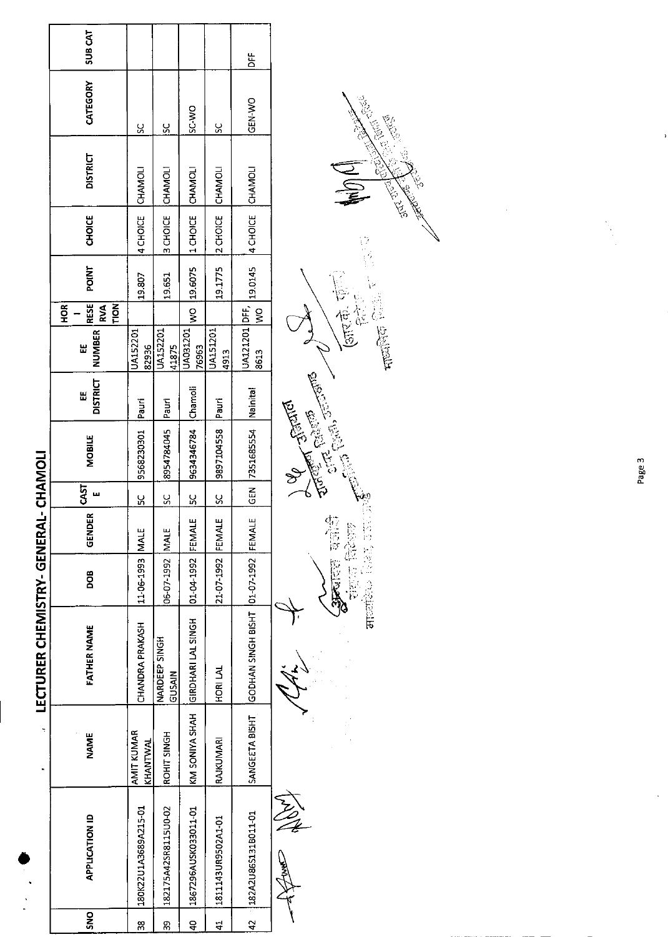|               |                       |                        | LECTURER CHEMISTRY-GENERAL-CHAMOLI   |                          |              |                  |                    |                      |                               |                                                 |         |                   |                 |               |               |
|---------------|-----------------------|------------------------|--------------------------------------|--------------------------|--------------|------------------|--------------------|----------------------|-------------------------------|-------------------------------------------------|---------|-------------------|-----------------|---------------|---------------|
| o<br>Sh       | <b>APPLICATION ID</b> | <b>NAME</b>            | <b>FATHER NAME</b>                   | <b>800</b>               | ËŘ<br>은<br>명 | <b>GAST</b><br>ш | <b>MOBILE</b>      | <b>DISTRICT</b><br>Ш | <b>NUMBER</b><br>Ш            | RESE<br><b>TION</b><br><b>RVA</b><br><b>HOR</b> | POINT   | <b>CHOICE</b>     | <b>DISTRICT</b> | CATEGORY      | <b>SUBCAT</b> |
| 38            | 180K22U1A3689A215-01  | AMIT KUMAR<br>KHANTWAI | CHANDRA PRAKASH                      | 11-06-1993 MALE          |              | <u>sc</u>        | 9568230301         | Pauri                | JA152201<br>82936             |                                                 | 19.807  | 4 CHOICE          | CHAMOLI         | <u>ss</u>     |               |
| თ<br>ო        | 182175A42SR8115U0-02  | <b>ROHIT SINGH</b>     | NARDEEP SINGH<br><b>GUSAIN</b>       | 06-07-1992 MALE          |              | $\frac{8}{5}$    | 8954784045 Pauri   |                      | UA152201<br>41875             |                                                 | 19.651  | 3 CHOICE          | CHAMOLI         | $\frac{8}{2}$ |               |
| $rac{1}{4}$   | 1867296AUSK033011-01  |                        | KM SONIYA SHAH GIRDHARI LAL SINGH    | <b>01-04-1992 FEMALE</b> |              | <u>isc</u>       | 9634346784 Chamoli |                      | UA031201 WO 19.6075<br>76963  |                                                 |         | 10MANOICE CHANOLI |                 | SC-WO         |               |
| $\frac{4}{4}$ | 1811143UR9502A1-01    | RAJKUMARI              | HORI LAL                             | 21 07-1992 FEMALE        |              | $\frac{8}{5}$    | 9897104558         | <b>Pauri</b>         | <b>UA151201</b><br>4913       |                                                 | 19.1775 | 2 CHOICE          | <b>CHAMOLI</b>  | <u>ss</u>     |               |
| $\frac{2}{4}$ | 182A2U86S131B011-01   | SANGEETA BISHT         | GODHAN SINGH BISHT 01-07-1992 FEMALE |                          |              | $rac{2}{9}$      | 7351685554         | <b>Istinial</b>      | UA121201 DFF, 19.0145<br>8613 | $\frac{8}{2}$                                   |         | 4 CHOICE          | <b>CHAMOLI</b>  | GEN-WO        | 岀<br>苎        |
|               | AN CARLS              |                        |                                      |                          |              | $\frac{1}{2}$    | <b>Cicle</b>       |                      | J                             |                                                 |         |                   |                 |               |               |

人名  $\overline{+}$ 

 $+$ 



Mip Clu Algebra 2225 **CARGE CENT Control Control** 

1991

Page 3

l,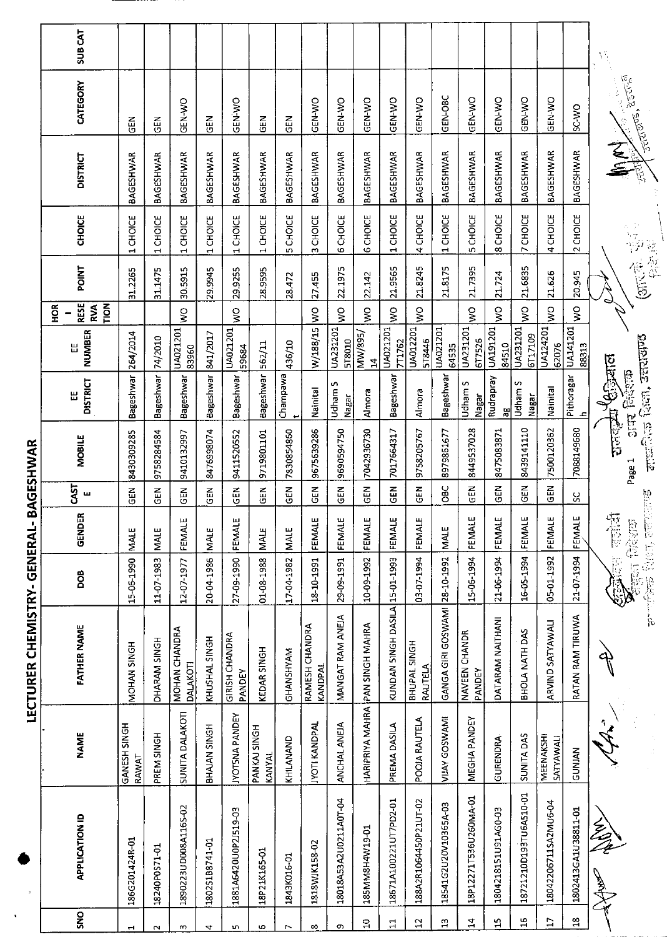|                             | <b>SUBCAT</b>                     |                       |                  |                           |                  |                                 |                        |                  |                           |                       |                                 |                                |                         |                               |                         |                     |                        |                               |                     | $\Delta \frac{d}{d\lambda}$                                                          |
|-----------------------------|-----------------------------------|-----------------------|------------------|---------------------------|------------------|---------------------------------|------------------------|------------------|---------------------------|-----------------------|---------------------------------|--------------------------------|-------------------------|-------------------------------|-------------------------|---------------------|------------------------|-------------------------------|---------------------|--------------------------------------------------------------------------------------|
|                             | CATEGORY                          | 도<br>이크C              | 군<br>대           | <b>GEN-WO</b>             | <b>GEN</b>       | GEN-WO                          | 준<br>연                 | 준<br>영           | GEN-WO                    | GEN-WO                | <b>GEN-WO</b>                   | GEN-WO                         | GEN-WO                  | GEN-OBC                       | GEN-WO                  | GEN-WO              | GEN-WO                 | <b>GEN-WO</b>                 | OW-JS               | <b>Andrea</b> Secretary                                                              |
|                             | <b>DISTRICT</b>                   | <b>BAGESHWAR</b>      | <b>BAGESHWAR</b> | <b>BAGESHWAR</b>          | <b>BAGESHWAR</b> | BAGESHWAR                       | BAGESHWAR              | <b>BAGESHWAR</b> | BAGESHWAR                 | BAGESHWAR             | <b>BAGESHWAR</b>                | BAGESHWAR                      | <b>BAGESHWAR</b>        | BAGESHWAR                     | <b>BAGESHWAR</b>        | <b>BAGESHWAR</b>    | BAGESHWAR              | BAGESHWAR                     | BAGESHWAR           | てー<br>Ś                                                                              |
|                             | <b>CHOICE</b>                     | 1 CHOICE              | 1 CHOICE         | 1 CHOICE                  | 1 CHOICE         | 1 CHOICE                        | 1 CHOICE               | CHOICE<br>in,    | 3 CHOICE                  | 6 CHOICE              | 6 CHOICE                        | 1 CHOICE                       | 4 CHOICE                | 1 CHOICE                      | 5 CHOICE                | 8 CHOICE            | 7 CHOICE               | 4 CHOICE                      | 2 CHOICE            |                                                                                      |
|                             | <b>POINT</b>                      | 31.2265               | 31.1475          | 30.5915                   | 29.9945          | 29.9255                         | 28.9595                | 28.472           | 27.455                    | 22.1975               | 22.142                          | 21.9565                        | 21.8245                 | 21.8175                       | 21.7395                 | 21.724              | 21.6835                | 21.626                        | 20945               | 常常的<br>意观                                                                            |
|                             | RESE<br><b>FION</b><br>ЯОН<br>RVA |                       |                  | ş                         |                  | $\frac{1}{2}$                   |                        |                  | $\frac{8}{2}$             | $\frac{1}{2}$         | $\frac{1}{2}$                   | $\frac{1}{2}$                  | $\frac{1}{2}$           |                               | Š                       | Š                   | $\frac{1}{2}$          | Š                             | $\frac{1}{2}$       |                                                                                      |
|                             | NUMBER<br>Ш                       | 264/2014              | 74/2010          | UA021201<br>83960         | 841/2017         | UA021201<br>59584               | 562/11                 | 436/10           | W/188/15                  | UA231201<br>578010    | MW/895/<br>24                   | UA021201<br>7T1762             | UA012201<br>518446      | UA021201<br>64535             | UA231201<br>6T7526      | UA191201<br>84510   | UA231201<br>6T17109    | UA124201<br>62076             | UA141201<br>88313   |                                                                                      |
|                             | <b>DISTRICT</b><br>Ш              | Bageshwar             | Bageshwar        | Bageshwar                 | <b>Bageshwar</b> | Bageshwar                       | Bageshwar              | Champawa         | Nainital                  | Udham 5<br>Nagar      | Almora                          | Bageshwar                      | Almora                  | Bageshwar                     | Udham S<br>Nagar        | Rudrapray<br>æ      | Udham S<br>Nagar       | Nainital                      | Pithoragar<br>ᅀ     | <b>Discommediate</b><br>$S$ of $H$ $\approx$ $\approx$ $\approx$ $\approx$ $\approx$ |
| <b>BAGESHWAR</b>            | <b>MOBILE</b>                     | 8430309285            | 9758284584       | 9410132997                | 8476998074       | 9411520552                      | 9719801101             | 7830854860       | 9675639286                | 9690594750            | 7042936730                      | 7017664317                     | 9758205767              | 8979861677                    | 8449537028              | 8475083871          | 8439141110             | 7500120362                    | 7088149680          | <b>Property Corp.</b> Terminal<br>Page 1                                             |
|                             | <b>CAST</b><br>ш                  | GEN                   | 乙巴               | <b>NB</b>                 | GEN              | <b>GEN</b>                      | N30                    | $\frac{2}{5}$    | M30                       | ដូ<br>ច               | $\overline{5}$                  | <b>GEN</b>                     | GEN                     | ă                             | <b>N3D</b>              | <b>GEN</b>          | N30                    | M30                           | ႘                   |                                                                                      |
|                             | <b>GENDER</b>                     | MALE                  | <b>MALE</b>      | <b>FEMALE</b>             | <b>MALE</b>      | FEMALE                          | <b>MALE</b>            | <b>MALE</b>      | FEMALE                    | FEMALE                | FEMALE                          | FEMALE                         | FEMALE                  | <b>MALE</b>                   | FEMALE                  | <b>FEMALE</b>       | FEMALE                 | FEMALE                        | FEMALE              | <b>Ballion</b><br><b>Neal ago</b>                                                    |
|                             | DOB                               | 15-06-1990            | 11-07-1983       | 12 07 1977                | 20-04-1986       | 27-09-1990                      | 01-08-1988             | 17-04-1982       | 18-10-1991                | 29-09-1991            | 10-09-1992                      |                                | 03-07-1994              |                               | 15-06-1994              | 21-06-1994          | 16-05-1994             | 05-01-1992                    | 21-07-1994          | 空传 萬風<br><b>HEAT FRIEGER</b><br>Back of the Back                                     |
| LECTURER CHEMISTRY-GENERAL- | <b>FATHER NAME</b>                | MOHAN SINGH           | DHARAM SINGH     | MOHAN CHANDRA<br>DALAKOTI | KHUSHAL SINGH    | <b>GIRISH CHANDRA</b><br>PANDEY | KEDAR SINGH            | GHANSHYAM        | RAMESH CHANDRA<br>KANDPAL | MANGAT RAM ANEJA      |                                 | KUNDAN SINGH DASILA 15-01-1993 | BHUPAL SINGH<br>RAUTELA | GANGA GIRI GOSWAMI 28-10-1992 | NAVEEN CHANDR<br>PANDEY | DATARAM NAITHANI    | BHOLA NATH DAS         | ARVIND SATYAWALI              | RATAN RAM TIRUWA    |                                                                                      |
|                             | <b>NAME</b>                       | GANESH SINGH<br>RAWAT | PREM SINGH       | SUNITA DALAKOTI           | BHAJAN SINGH     | <b>JYOTSNA PANDEY</b>           | PANKAJ SINGH<br>KANYAL | KHILANAND        | <b>INOTI KANDPAL</b>      | ANCHAL ANEJA          | HARIPRIYA MAHRA PAN SINGH MAHRA | PREMA DASILA                   | POOJA RAUTELA           | <b>WAWSOS YAIN</b>            | MEGHA PANDEY            | GURENDRA            | <b>SUNITA DAS</b>      | <b>MEENAKSHI</b><br>SATYAWALI | GUNIAN              |                                                                                      |
| $\cdot$                     | <b>APPLICATION ID</b>             | 186G201424R-01        | 18240P0S71-01    | 1890223UD008A116S-02      | 1802S1B8741-01   | 1881A6420U0P2J519-03            | 18P21K165-01           | 1843K016-01      | 1818WJK158-02             | 18018A53A2U0211A0T-04 | 185MM8H4W19-01                  | 18671A100221UT7PD2-01          | 188A2R1064450P21UT-02   | 18541G2U20V10365A-03          | 18P12271T536U260MA-01   | 1804218151U91AG0-03 | 18721210D193TU6A510-01 | 18042206711SA2MU6-04          | 1802413GA1U38811-01 | l D<br>A<br><b>SARL</b>                                                              |
|                             | <b>SNO</b>                        | $\blacksquare$        | $\mathbf{\sim}$  | $\sim$                    | 4                | m                               | ю                      | r.               | $\infty$                  | o                     | 음                               | $\Xi$                          | $\mathbf{a}$            | $\Xi$                         | $\mathbf{z}$            | $\mathbf{L}$        | $\frac{6}{1}$          | $\mathbf{L}$                  | $\frac{8}{10}$      |                                                                                      |
|                             |                                   |                       |                  |                           |                  |                                 |                        |                  |                           |                       |                                 |                                |                         |                               |                         |                     |                        |                               |                     |                                                                                      |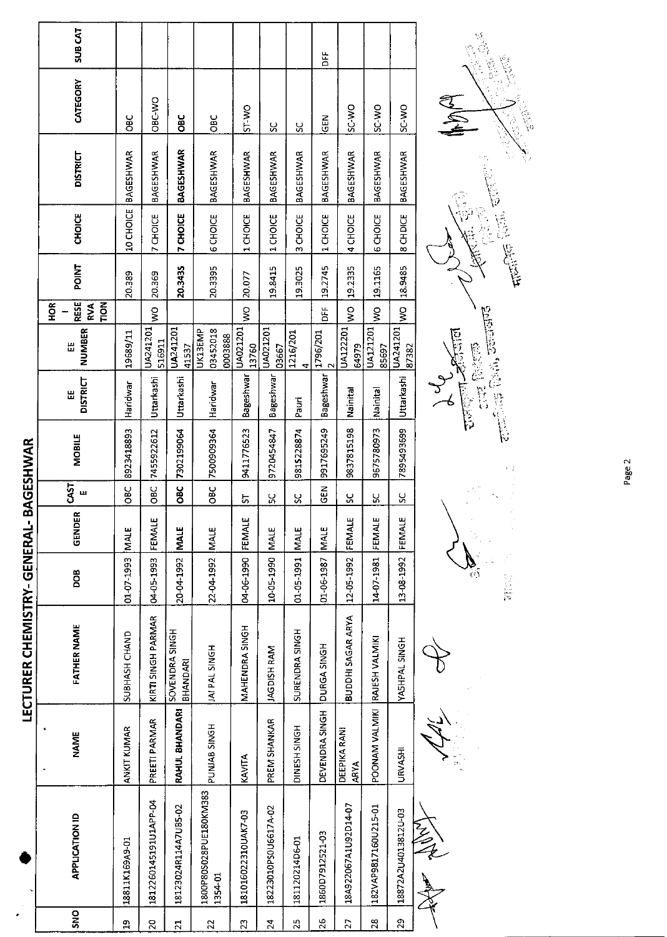|                             | <b>SUB CAT</b>                           |                  |                       |                            |                                   |                     |                      |                     | Ë                  |                             |                      |                     | i,         |
|-----------------------------|------------------------------------------|------------------|-----------------------|----------------------------|-----------------------------------|---------------------|----------------------|---------------------|--------------------|-----------------------------|----------------------|---------------------|------------|
|                             | CATEGORY                                 | <b>OBC</b>       | OBC-WO                | <b>DaC</b>                 | OBC                               | ST-WO               | 35                   | ပ္တ                 | GEN                | <b>OW-JS</b>                | SC WO                | <b>OW-2S</b>        | SA         |
|                             | <b>DISTRICT</b>                          | <b>BAGESHWAR</b> | BAGESHWAR             | <b>BAGESHWAR</b>           | <b>BAGESHWAR</b>                  | BAGESHWAR           | BAGESHWAR            | <b>BAGESHWAR</b>    | BAGESHWAR          | <b>BAGESHWAR</b>            | BAGESHWAR            | BAGESHWAR           |            |
|                             | <b>CHOICE</b>                            | 10 CHOICE        | 7 CHOICE              | 7 CHOICE                   | <b>6 CHOICE</b>                   | 1 CHOICE            | 1 CHOICE             | 3 CHOICE            | 1 CHOICE           | 4 CHOICE                    | <b>6 CHOICE</b>      | 8 CH DICE           |            |
|                             | <b>FOINT</b>                             | 20.389           | 20.369                | 20.3435                    | 20.3395                           | 20.077              | 19.8415              | 19.3025             | 19.2745            | 19.2335                     | 19.1165              | 189485              |            |
|                             | RESE<br><b>HOR</b><br><b>NOM</b><br>RVA. |                  | $\tilde{z}$           |                            |                                   | Ş                   |                      |                     | Ë                  | $\frac{1}{2}$               | Ş                    | $\sum_{i=1}^{n}$    |            |
|                             | NUMBER<br>Ш                              | 19689/11         | UA241201<br>516911    | UA241201<br>41537          | 03452018<br>UK13EMP<br>0003888    | UA021201<br>13760   | UA021201<br>03667    | 1216/201<br>4       | 1796/201<br>$\sim$ | UA122201<br>64979           | UA121201<br>85697    | UA241201<br>87382   | हादाल      |
|                             | <b>DISTRICT</b><br>膃                     | Haridwar         | Uttarkashi            | Uttarkashi                 | Haridwar                          | Bageshwar           | Bageshwar            | Pauri               | <b>Bageshwar</b>   | Nainital                    | Nainital             | Uttarkashi          | <b>FEE</b> |
| BAGESHWAR                   | <b>MOBILE</b>                            | 8923418893       | 7455922612            | 7302199064                 | 7500909364                        | 9411776523          | 9720454847           | 9815228874          | 9917695249         | 9837815198                  | 9675780973           | 7895493699          |            |
|                             | <b>GAST</b><br>ш                         | <b>OBC</b>       | OBC                   | OBC                        | OBC                               |                     |                      |                     | <b>GEN</b>         |                             |                      |                     |            |
|                             | GENDER                                   | <b>MALE</b>      | FEMALE                | <b>MALE</b>                |                                   | 5<br>FEMALE         | ပ္ပ<br><b>MALE</b>   | ပ္တ<br>MALE         | <b>MALE</b>        | ပ္တ<br>FEMALE               | Χ<br>FEMALE          | ပ္တ<br>FEMALE       |            |
|                             | DOB                                      | 01-07-1993       | 04-05-1993            | 20-04-1992                 | 22-04-1992 MALE                   | 04-06-1990          | 10-05-1990           | $01 - 05 - 1991$    | 01-06-1987         | 12-05-1992                  | 1407-1981            | 13-08-1992          |            |
| LECTURER CHEMISTRY-GENERAL- | <b>FATHER NAME</b>                       | SUBHASH CHAND    | KIRTI SINGH PARMAR    | SOVENDRA SINGH<br>BHANDARI | JAI PAL SINGH                     | MAHENDRA SINGH      | JAGDISH RAM          | SURENDRA SINGH      | DURGA SINGH        | <b>BUDDHI SAGAR ARYA</b>    | RAJESH VALMIKI       | YASHPAL SINGH       |            |
|                             | <b>NAME</b>                              | ANKIT KUMAR      | PREETI PARMAR         | RAHUL BHANDARI             | PUNJAB SINGH                      | KAVITA              | PREM SHANKAR         | <b>DINESH SINGH</b> | DEVENDRA SINGH     | DEEPIKA RANI<br><b>ARYA</b> | POONAM VALMIKI       | <b>URVASHI</b>      |            |
|                             | <b>APPLICATION ID</b>                    | 18811K169A9-01   | 1812260145191U1APP-04 | 18123024R114A7UB5-02       | 1800P80S028PUE180KM383<br>1354-01 | 181016022310UAK7-03 | 18223010PS0U6617A-02 | 181120214D6-01      | 1860D7912521-03    | 18A922067A1U92D14-07        | 182VAP9817160U215-01 | 18872A2U4013812U-03 | 空气         |
|                             | <b>SNO</b>                               | $\mathbf{a}$     | $\overline{c}$        | $\overline{2}$             | 22                                | $\overline{2}$      | $\overline{2}$       | 25                  | 26                 | 27                          | 28                   | 29                  |            |



 $\frac{1}{2}$ 

 $\ddot{\cdot}$ 

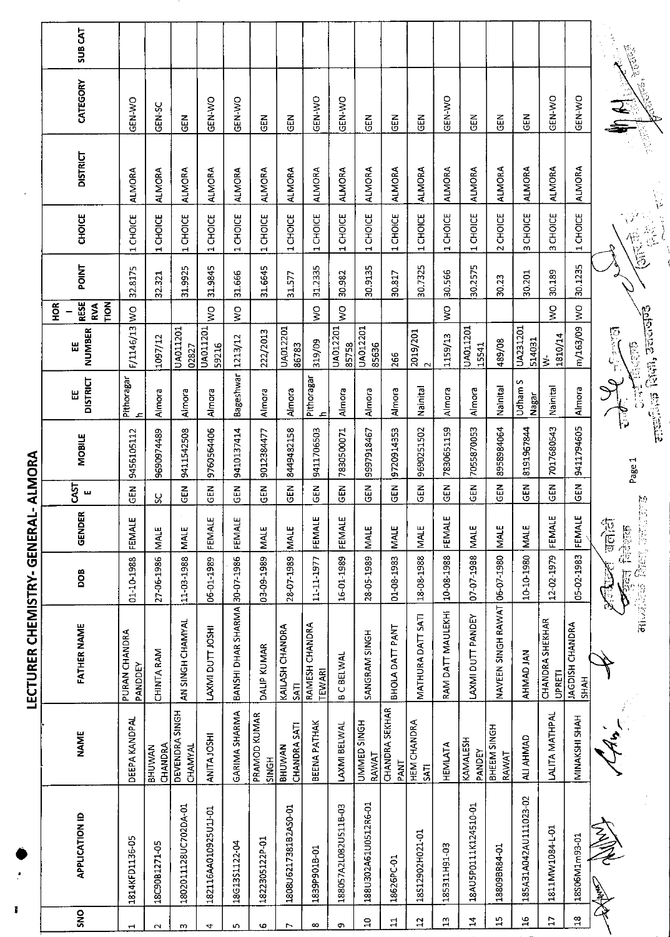|                    |                       |                                   | ことこ Cialilly といとつこり Ji                  |                         | てとりこり                        |                | さつここて         |                                                                                                                                                                                                                                                                                                                                                                                                                                                                                                        |                          |                                   |         |                        |                 |                                     |         |
|--------------------|-----------------------|-----------------------------------|-----------------------------------------|-------------------------|------------------------------|----------------|---------------|--------------------------------------------------------------------------------------------------------------------------------------------------------------------------------------------------------------------------------------------------------------------------------------------------------------------------------------------------------------------------------------------------------------------------------------------------------------------------------------------------------|--------------------------|-----------------------------------|---------|------------------------|-----------------|-------------------------------------|---------|
|                    |                       |                                   |                                         |                         |                              |                |               |                                                                                                                                                                                                                                                                                                                                                                                                                                                                                                        |                          | е<br>Э                            |         |                        |                 |                                     |         |
| SNO                | <b>APPLICATION ID</b> | <b>NAME</b>                       | <b>FATHER NAME</b>                      | <b>BOO</b>              | <b>GENDER</b>                | CAST<br>ш      | <b>MOBILE</b> | <b>DISTRICT</b><br>Ш                                                                                                                                                                                                                                                                                                                                                                                                                                                                                   | NUMBER<br>出              | <b>RESE</b><br>TION<br><b>RVA</b> | POINT   | CHOICE                 | <b>DISTRICT</b> | CATEGORY                            | SUB CAT |
| ᅱ                  | 1814KFD1136-05        | DEEPA KANDPAL                     | PURAN CHANDRA<br>PANDDEY                | 01-10-1988              | FEMALE                       | $\tilde{5}$    | 9456105112    | Pithoragar<br>ᅕ                                                                                                                                                                                                                                                                                                                                                                                                                                                                                        | F/1146/13                | $\geq$                            | 32.8175 | 1 CHOICE               | <b>ALMORA</b>   | <b>GEN-WO</b>                       |         |
| $\sim$             | 18C90B1271-05         | CHANDRA<br>BHUWAN                 | CHINTA RAM                              | 27-06-1986              | <b>MALE</b>                  | ပ္တ            | 9690974489    | Almora                                                                                                                                                                                                                                                                                                                                                                                                                                                                                                 | 1097/12                  |                                   | 32.321  | 1 CHOICE               | <b>ALMORA</b>   | GEN-SC                              |         |
| $\mathbf{a}$       | 1802011128UC702DA-01  | DEVENDRA SINGH<br><b>CHAMYAL</b>  | AN SINGH CHAMYAL                        | 11-03-1988              | <b>MALE</b>                  | <b>GEN</b>     | 9411542508    | Almora                                                                                                                                                                                                                                                                                                                                                                                                                                                                                                 | UA011201<br>02827        |                                   | 31.9925 | 1 CHOICE               | <b>ALMORA</b>   | $rac{1}{2}$                         |         |
| 4                  | 182116AA010925U1J-01  | ANITA JOSHI                       | LAXMI DUTT JOSHI                        | 06-01-1989              | FEMALE                       | GEN            | 9760564406    | Almora                                                                                                                                                                                                                                                                                                                                                                                                                                                                                                 | UA011201<br>59216        | Ş                                 | 31.9845 | CHOICE<br>$\mathbf{H}$ | <b>ALMORA</b>   | GEN-WO                              |         |
| ru.                | 18G13S1122-04         | GARIMA SHARMA                     | BANSHI DHAR SHARMA 30-07-1986           |                         | FEMALE                       | 즈<br>5         | 9410137414    | Bageshwar                                                                                                                                                                                                                                                                                                                                                                                                                                                                                              | 1213/12                  | $\boldsymbol{\zeta}$              | 31.666  | 1 CHOICE               | <b>ALMORA</b>   | GEN-WO                              |         |
| Ф                  | 1822305122P-01        | PRAMOD KUMAR<br>SINGH             | DALIP KUMAR                             | 03-09-1989              | <b>MALE</b>                  | $\tilde{5}$    | 9012384477    | Almora                                                                                                                                                                                                                                                                                                                                                                                                                                                                                                 | 222/2013                 |                                   | 31.6645 | 1 CHOICE               | <b>ALMORA</b>   | M3D                                 |         |
| $\overline{ }$     | 1808U6217381B2AS0-01  | <b>CHANDRA SATI</b><br>BHUWAN     | KAILASH CHANDRA<br><b>SATI</b>          | 28-07-1989              | MALE                         | GEN            | 8449482158    | Almora                                                                                                                                                                                                                                                                                                                                                                                                                                                                                                 | UA012201<br>86783        |                                   | 31.577  | 1 CHOICE               | <b>ALMORA</b>   | <b>GEN</b>                          |         |
| $\infty$           | 1839P901B-01          | <b>BEENA PATHAK</b>               | RAMESH CHANDRA<br>TEWARI                | 11-11-1977              | FEMALE                       | 6H             | 9411706503    | Pithoragar<br>$\overline{\phantom{a}}$                                                                                                                                                                                                                                                                                                                                                                                                                                                                 | 319/09                   | $\frac{1}{3}$                     | 31.2335 | 1 CHOICE               | <b>ALMORA</b>   | GEN-WO                              |         |
| d,                 | 188057A2L082U511B-03  | LAXMI BELWAL                      | <b>B C BELWAL</b>                       | 16-01-1989              | FEMALE                       | $\overline{5}$ | 7830500071    | Almora                                                                                                                                                                                                                                                                                                                                                                                                                                                                                                 | <b>UA012201</b><br>85758 | $\zeta$                           | 30.982  | 1 CHOICE               | <b>ALMORA</b>   | GEN-WO                              |         |
| $\Xi$              | 188U302A61U0512R6-01  | UMMED SINGH<br>RAWAT              | SANGRAM SINGH                           | 28-05-1989              | <b>NALE</b>                  | <b>GEN</b>     | 9997918467    | Almora                                                                                                                                                                                                                                                                                                                                                                                                                                                                                                 | UA012201<br>85636        |                                   | 30.9135 | 1 CHOICE               | <b>ALMORA</b>   | <b>GEN</b>                          |         |
| $\Xi$              | 18626PC-01            | CHANDRA SEKHAR<br>PANT            | BHOLA DATT PANT                         | 01-08-1983              | <b>MALE</b>                  | តូ             | 9720914353    | Almora                                                                                                                                                                                                                                                                                                                                                                                                                                                                                                 | 266                      |                                   | 30.817  | 1 CHOICE               | <b>ALMORA</b>   | 준<br>영                              |         |
| $\mathbf{r}$       | 18S12902H021-01       | <b>HEM CHANDRA</b><br><b>SATI</b> | MATHURA DATT SATI                       | 18-08-1988              | <b>MALE</b>                  | GEN            | 9690251502    | Nainital                                                                                                                                                                                                                                                                                                                                                                                                                                                                                               | 2019/201                 |                                   | 30.7325 | 1 CHOICE               | <b>ALMORA</b>   | M3O                                 |         |
| $\Xi$              | 185311H91-03          | <b>HEMILATA</b>                   | RAM DATT MAULEKHI                       | 10-08-1988              | FEMALE                       | $\overline{5}$ | 7830651159    | Almora                                                                                                                                                                                                                                                                                                                                                                                                                                                                                                 | 1159/13                  | $\frac{1}{2}$                     | 30.566  | 1 CHOICE               | <b>ALMORA</b>   | GEN-WO                              |         |
| 4                  | 18AU5P0111K124510-01  | <b>KAMALESH</b><br>PANDEY         | LAXMI DUTT PANDEY                       | 07-07-1988              | <b>MALE</b>                  | $\frac{5}{5}$  | 7055870053    | Almora                                                                                                                                                                                                                                                                                                                                                                                                                                                                                                 | UA011201<br>15541        |                                   | 30.2575 | 1 CHOICE               | <b>ALMORA</b>   | <b>GEN</b>                          |         |
| ٦,                 | 18809BR84-01          | BHEEM SINGH<br>RAWAT              | NAVEEN SINGH RAWAT 06-07-1980           |                         | <b>MALE</b>                  | <b>GEN</b>     | 8958984064    | Nainital                                                                                                                                                                                                                                                                                                                                                                                                                                                                                               | 489/08                   |                                   | 30.23   | 2 CHOICE               | <b>ALMORA</b>   | る<br>GEN                            |         |
| $\mathfrak{a}$     | 185A31A042AU111023-02 | ALI AHMAD                         | AHMAD JAN                               | 10-10-1980              | <b>MALE</b>                  | $\tilde{5}$    | 8191967844    | Udham S<br>Nagar                                                                                                                                                                                                                                                                                                                                                                                                                                                                                       | UA231201<br>514031       |                                   | 30.201  | 3 CHOICE               | <b>ALMORA</b>   | $\frac{2}{5}$                       |         |
| $\overline{1}$     | 1811MW1084-L-01       | LALITA MATHPAL                    | <b>CHANDRA SHEKHAR</b><br><b>UPRETI</b> | 12-02-1979              | FEMALE                       | <b>GEN</b>     | 7017680543    | Nainital                                                                                                                                                                                                                                                                                                                                                                                                                                                                                               | 1810/14<br>ξ             | $\frac{8}{5}$                     | 30.189  | 3 CHOICE               | <b>ALMORA</b>   | GEN-WO                              |         |
| $\frac{\infty}{2}$ | 18S06M1m93-01         | MINAKSHI SHAH                     | <b>JAGDISH CHANDRA</b><br>SHAH          | 05-02-1983              | FEMALE                       | $\frac{5}{9}$  | 9411794605    | Almora                                                                                                                                                                                                                                                                                                                                                                                                                                                                                                 | m/163/09 WO              |                                   | 30.1235 | 1 CHOICE               | <b>ALMORA</b>   | <b>OK-N3D</b>                       |         |
|                    | 复                     |                                   | 电反应定                                    | <b>Keep Relignation</b> | <b>MARSHER FEET</b><br>जलोटी |                | Page 1        | allent, let Rich, sacrafie<br>$\frac{1}{\sqrt{2}}\int_{\mathbb{R}^{3}}\frac{1}{\sqrt{2}}\left( \frac{1}{\sqrt{2}}\right) \left( \frac{1}{\sqrt{2}}\right) \left( \frac{1}{\sqrt{2}}\right) \left( \frac{1}{\sqrt{2}}\right) \left( \frac{1}{\sqrt{2}}\right) \left( \frac{1}{\sqrt{2}}\right) \left( \frac{1}{\sqrt{2}}\right) \left( \frac{1}{\sqrt{2}}\right) \left( \frac{1}{\sqrt{2}}\right) \left( \frac{1}{\sqrt{2}}\right) \left( \frac{1}{\sqrt{2}}\right) \left( \frac{1}{\sqrt{2$<br>P.<br>G | <b>Top CED</b>           |                                   |         | 信旨                     | 医院              | <b>Anticallistical Reports</b><br>E |         |

**LECTURER CHEMISTRY- GENERAL- ALMORA** 

ľ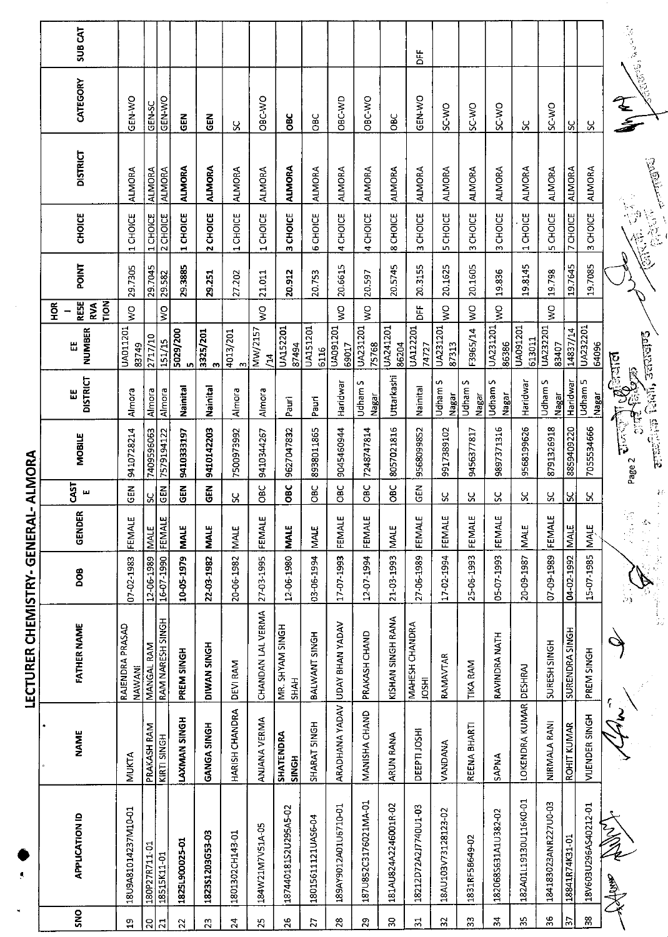|                 |                       |                           | LECTURER CHEMISTRY- GENERAL           |            | ٠.                                |                     | ALMORA                                                       |                      |                          |                                             |         |                                 |                                      |               |                                |
|-----------------|-----------------------|---------------------------|---------------------------------------|------------|-----------------------------------|---------------------|--------------------------------------------------------------|----------------------|--------------------------|---------------------------------------------|---------|---------------------------------|--------------------------------------|---------------|--------------------------------|
| SNO             | <b>APPLICATION ID</b> | <b>NAME</b>               | <b>FATHER NAME</b>                    | DOB        | GENDER                            | <b>CAST</b><br>щ    | MOBILE                                                       | <b>DISTRICT</b><br>出 | <b>NUMBER</b><br>Ш       | <b>RESE</b><br>TION<br>$\frac{8}{5}$<br>RVA | POINT   | <b>CHOICE</b>                   | <b>DISTRICT</b>                      | CATEGORY      | <b>SUBCAT</b>                  |
| $\mathbf{a}$    | 18U9A81014237M10-01   | <b>MUKTA</b>              | RAJENDRA PRASAD<br>NAWANI             | 07-02-1983 | FEMALE                            | $\frac{2}{9}$       | 9410728214                                                   | Almora               | UA011201<br>83749        | $\frac{0}{5}$                               | 29.7305 | CHOICE<br>$\mathbf{\mathbf{r}}$ | <b>ALMORA</b>                        | GEN-WO        |                                |
| $\overline{20}$ | 180P27R711-01         | PRAKASH RAM               | MANGAL RAM                            | 12-06-1989 | <b>NALE</b>                       | ပ္တ                 | 7409596063                                                   | Almora               | 2717/10                  |                                             | 29.7045 | 1 CHOICE                        | <b>ALMORA</b>                        | GEN-SC        |                                |
| $\overline{z}$  | 18515K11-01           | KIRTI SINGH               | RAM NARESH SINGH                      | 16-17-0-01 | FEMALE                            | $\overline{5}$      | 7579194122                                                   | Almora               | 151/15                   | $\frac{1}{2}$                               | 29.582  | 2 CHOICE                        | <b>ALMORA</b>                        | <b>OM-N3D</b> |                                |
| 22              | 1825L900025-01        | LAXMAN SINGH              | PREM SINGH                            | 10-05-1979 | <b>MALE</b>                       | <b>GEN</b>          | 9410333197                                                   | Nainital             | 5029/200<br>Iŋ,          |                                             | 29.3885 | CHOICE<br>$\blacksquare$        | <b>ALMORA</b>                        | GEN           |                                |
| 23              | 1823\$1203G53-03      | GANGA SINGH               | DIWAN SINGH                           | 22-03-1982 | <b>MALE</b>                       | $\tilde{a}$         | 9410142203                                                   | Nainital             | 3325/201<br>$\omega$     |                                             | 29.251  | 2 CHOICE                        | <b>ALMORA</b>                        | $rac{2}{9}$   |                                |
| 24              | 1801302CH143-01       | HARISH CHANDRA            | <b>DEVI RAM</b>                       | 20-06-1982 | <b>MALE</b>                       | Χ                   | 7500973992                                                   | Almora               | 4013/201<br>m            |                                             | 27.202  | 1 CHOICE                        | <b>ALMORA</b>                        | X             |                                |
| 25              | 184W21M7V51A-05       | <b>ANJANA VERMA</b>       | CHANDAN LAL VERMA                     | 27-03-1995 | FEMALE                            | <b>OBC</b>          | 9410344267                                                   | Almora               | MW/2157<br>$\tilde{H}$   | $\frac{1}{2}$                               | 21.011  | 1 CHOICE                        | ALMORA                               | OBC-WO        |                                |
| 26              | 187440181S2U295A5-02  | SHATENDRA<br><b>SINGH</b> | MR. SHYAM SINGH<br><b>SHAH</b>        | 12-06-1980 | <b>MALE</b>                       | OBC                 | 9627047832                                                   | Pauri                | <b>UA152201</b><br>87494 |                                             | 20.912  | 3 CHOICE                        | <b>ALMORA</b>                        | ă             |                                |
| 27              | 18015611121UAS6-04    | SHARAT SINGH              | BALWANT SINGH                         | 03-06-1994 | <b>MALE</b>                       | 9g                  | 8938011865                                                   | Pauri                | UA151201<br>6116         |                                             | 20.753  | <b>6 CHOICE</b>                 | <b>ALMORA</b>                        | <b>OBC</b>    |                                |
| $\frac{8}{2}$   | 189AY9012A01U6710-01  | ARADHANA YADAV            | UDAY BHAN YADAV                       | 17-07-1993 | FEMALE                            | ăQ                  | 9045460944                                                   | Haridwar             | UA091201<br>69017        | Š                                           | 20.6615 | 4 CHOICE                        | <b>ALMORA</b>                        | OBC-WD        |                                |
| $\mathbb{S}^2$  | 187U852C3176021MA-01  | MANISHA CHAND             | PRAKASH CHAND                         | 12-07-1994 | FEMALE                            | OBC                 | 7248747814                                                   | Udham S<br>Nagar     | UA231201<br>75768        | $\frac{1}{2}$                               | 20.597  | 4 CHOICE                        | ALMORA                               | OBC-WO        |                                |
| $\approx$       | 181AU824A2246001R-02  | ARUN RANA                 | KISHAN SINGH RANA                     | 21-03-1993 | MALE                              | ОВС<br>О            | 8057021816                                                   | Uttarkashi           | UA241201<br>86204        |                                             | 20.5745 | 8 CHOICE                        | <b>ALMORA</b>                        | OBC           |                                |
| $\overline{5}$  | 18212D72A2J7740U1-03  | DEEPTI JOSHI              | <b>MAHESH CHANDRA</b><br><b>IDSHI</b> | 27-06-1989 | FEMALE                            | 집<br>명              | 9568099852                                                   | Nainital             | UA122201<br>74727        | ЪF                                          | 20.3155 | 3 CHOICE                        | <b>ALMORA</b>                        | GEN-WO        | ۴É                             |
| 55              | 18AU103V73128123-02   | <b>VANDANA</b>            | RAMAVTAR                              | 17-02-1994 | FEMALE                            | Χ,                  | 9917389102                                                   | Udham S<br>Nagar     | UA231201<br>87313        | Š                                           | 20.1625 | <b>SCHOICE</b>                  | <b>ALMORA</b>                        | SC-WO         |                                |
| $\mathbf{S}^2$  | 1831RF5B649-02        | REENA BHARTI              | <b>TIKA RAM</b>                       | 25-06-1993 | FEMALE                            | χ                   | 9456377817                                                   | Udham S<br>Nagar     | F3965/14                 | $\frac{1}{2}$                               | 20.1605 | 3 CHOICE                        | <b>ALMORA</b>                        | SC-WO         |                                |
| $\mathbb{R}^2$  | 1820685631A1U382-02   | <b>SAPNA</b>              | RAVINDRA NATH                         | 05-07-1993 | FEMALE                            | ပ္တ                 | 9897371316                                                   | S<br>Udham<br>Nagar  | UA231201<br>86386        | Ş                                           | 19.836  | 3 CHOICE                        | <b>ALMORA</b>                        | SC WO         |                                |
| 35              | 182A01L19130U116K0-01 | LOKENDRA KUMAR DESHRAJ    |                                       | 20-09-1987 | MALE                              | SC                  | 9568199626                                                   | Haridwar             | UA091201<br>613011       |                                             | 19.8145 | 1 CHOICE                        | AI MORA                              | $\approx$     |                                |
| 36              | 184183023ANR227U0-03  | NIRMALA RANI              | SURESH SINGH                          | 07-09-1989 | FEMALE                            | ပ္တ                 | 8791326918                                                   | Udham S<br>Nagar     | UA232201<br>83407        | $\frac{1}{2}$                               | 19.798  | 5 CHOICE                        | <b>ALMORA</b>                        | <b>OW-CS</b>  |                                |
| $\frac{1}{2}$   | 18841R74K31-01        | ROHIT KUMAR               | SURENDRA SINGH                        | 04-02-1992 | <b>MALE</b>                       | ၂၂                  | 8859409220                                                   | Haridwar             | 14837/14                 |                                             | 19.7645 | 7 CHOICE                        | <b>ALMORA</b>                        | ჯ             |                                |
| $38\,$          | 18V603U296AS40212-01  | VIJENDER SINGH            | PREM SINGH                            | 15-07-1985 | MALE                              | Χ                   | 7055534666                                                   | Udham 5<br>Nagar     | UA232201<br>64096        |                                             | 19.7085 | 3 CHOICE                        | <b>ALMORA</b>                        | X             |                                |
|                 | r Mar<br>XHAMA        |                           |                                       |            | $\frac{d\mathbf{x}}{d\mathbf{x}}$ | 46<br>$\frac{1}{2}$ | eranthus Cani, second<br>$\frac{1}{2}$<br>eg<br>Fa<br>Page 2 | $\vec{v}$ ाल         |                          |                                             |         | 信意                              | <b>Contraction</b><br>$\mathbb{C}^*$ | T<br>É        | <b>Contractor</b> Conservation |
|                 |                       |                           |                                       |            |                                   |                     |                                                              |                      |                          |                                             |         |                                 |                                      |               |                                |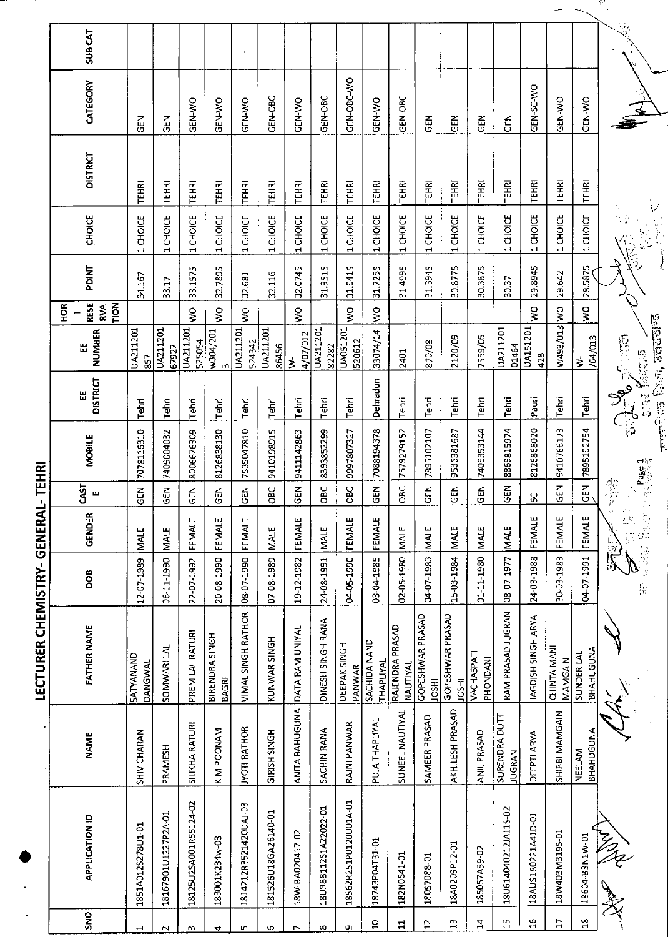|                                                        | t | LC U PIKKUNUD - KI AINULU KUKU DI M |                          |                         |                |               |                                                                                                                         |                    |                                               |         |                                             |                      |                |                    |
|--------------------------------------------------------|---|-------------------------------------|--------------------------|-------------------------|----------------|---------------|-------------------------------------------------------------------------------------------------------------------------|--------------------|-----------------------------------------------|---------|---------------------------------------------|----------------------|----------------|--------------------|
| <b>NAME</b><br><b>APPLICATION ID</b>                   |   | <b>FATHER NAME</b>                  | DOB                      | <b>GENDER</b>           | 51<br>щ        | <b>MOBILE</b> | <b>DISTRICT</b><br>Ш                                                                                                    | <b>NUMBER</b><br>Ш | RESE<br><b>NOL1</b><br>H <sub>OR</sub><br>RVA | PDINT   | CHOICE                                      | <b>DISTRICT</b>      | CATEGORY       | SUB <sub>CAT</sub> |
| SHIV CHARAN<br>1851A012S278U1-01                       |   | <b>SATYANAND</b><br>DANGWAL         | 12-07-1989               | <b>MALE</b>             | $rac{1}{6}$    | 7078116310    | Tehri                                                                                                                   | UA211201<br>857    |                                               | 34.167  | 1 CHOICE                                    | <b>TEHRI</b>         | <b>乙</b>       |                    |
| PRAMESH<br>18167901U1227P2A-01                         |   | SOMWARI LAL                         | 06-11-1990               | MALE                    | GEN            | 7409004032    | Tehri                                                                                                                   | UA211201<br>67927  |                                               | 33.17   | 1 CHOICE                                    | TEHRI                | <b>ABO</b>     |                    |
| <b>SHIKHA RATURI</b><br>18125U2SA001R55124-02          |   | PREM LAL RATURI                     | 22-07-1992               | FEMALE                  | $\overline{5}$ | 8006676309    | Tehri                                                                                                                   | UA211201<br>525054 | $\frac{1}{2}$                                 | 33.1575 | 1 CHOICE                                    | <b>TEHRI</b>         | GEN-WO         |                    |
| K M POONAM<br>183001K234w-03                           |   | BIRENDRA SINGH<br><b>BAGRI</b>      | 20-08-1990               | FEMALE                  | $\overline{5}$ | 8126838130    | Tehri                                                                                                                   | w304/201<br>m      | $\frac{1}{2}$                                 | 32.7895 | 1 CHOICE                                    | TEHRI                | GEN-WO         |                    |
| <b>JYOTI RATHOR</b><br>1814212R3521420UAJ-03           |   | VIMAL SINGH RATHOR                  | 08-07-1990               | FEMALE                  | <b>GEN</b>     | 7535047810    | Tehri                                                                                                                   | UA211201<br>524342 | $\frac{8}{5}$                                 | 32.681  | 1 CHOICE                                    | <b>TEHRI</b>         | GEN-WO         |                    |
| GIRISH SINGH<br>181526U18GA26140-01                    |   | KUNWAR SINGH                        | 07-08-1989               | <b>MALE</b>             | Эąо            | 9410198915    | Tehri                                                                                                                   | UA211201<br>86456  |                                               | 32.116  | 1 CHOICE                                    | TEHRI                | GEN-OBC        |                    |
| <b>ANITA BAHUGUNA</b><br>18W-BA020417-02               |   | DATA RAM UNIYAL                     | 19-12-1982               | FEMALE                  | <b>SEN</b>     | 9411142863    | Tehri                                                                                                                   | 4/07/012<br>₹      | š                                             | 32.0745 | 1 CHOICE                                    | TEHRI                | GEN-WO         |                    |
| SACHIN RANA<br>18UR88112S1A22022-01                    |   | DINESH SINGH RANA                   | 24-08-1991               | <b>MALE</b>             | OBC            | 8393852299    | Tehri                                                                                                                   | UA211201<br>82282  |                                               | 31.9515 | 1 CHOICE                                    | TEHRI                | GEN-OBC        |                    |
| RAJNI PANWAR<br>18562R251P0120U01A-01                  |   | DEEPAK SINGH<br>PANWAR              | 04-05-1990               | FEMALE                  | ÖВÇ            | 9997807327    | Tehri                                                                                                                   | UA051201<br>520612 | Ş                                             | 31.9415 | 1 CHOICE                                    | <b>TEHRI</b>         | GEN-OBC-WO     |                    |
| PUJA THAPLIYAL<br>18743P04T31-01                       |   | SACHIDA NAND<br>THAPLIYAL           | 03-04-1985               | FEMALE                  | GEN            | 7088194378    | Dehradun                                                                                                                | 33074/14           | $\sum_{i=1}^{n}$                              | 31.7255 | 1 CHOICE                                    | <b>TEHRI</b>         | GEN-WO         |                    |
| SUNEEL NAUTIYAL<br>182N0541-01                         |   | RAJENDRA PRASAD<br><b>INAUTIYAL</b> | 02-05-1980               | <b>MALE</b>             | <b>OBC</b>     | 7579279152    | Tehri                                                                                                                   | 2401               |                                               | 31.4995 | CHOICE<br>$\overline{\phantom{0}}$          | <b>TEHRI</b>         | GEN-OBC        |                    |
| SAMEER PRASAD<br>18057088-01                           |   | GOPESHWAR PRASAD<br><b>IRSOI</b>    | 04-07-1983               | <b>MALE</b>             | $\overline{5}$ | 7895102107    | Tehri                                                                                                                   | 870/08             |                                               | 31.3945 | 1 CHOICE                                    | <b>TEHRI</b>         | $\overline{5}$ |                    |
| AKHILESH PRASAD<br>18A0209P12-01                       |   | GOPESHWAR PRASAD<br><b>HSSH</b>     | 15-03-1984               | <b>MALE</b>             | $\overline{5}$ | 9536381687    | Tehri                                                                                                                   | 2120/09            |                                               | 30.8775 | 1 CHOICE                                    | TEHRI                | <b>GEN</b>     |                    |
| ANIL PRASAD<br>185057A59-02                            |   | VACHASPATI<br>PHONDANI              | 01-11-1980               | <b>MALE</b>             | <b>GEN</b>     | 7409353144    | Tehri                                                                                                                   | 7559/05            |                                               | 30.3875 | 1 CHOICE                                    | <b>TEHRI</b>         | GEM            |                    |
| SURENDRA DUTT<br><b>JUGRAN</b><br>18U614040212JA11S-02 |   | RAM PRASAD JUGRAN                   | 08-07-1977               | <b>MALE</b>             | ទី<br>ទី       | 8869815974    | Tehri                                                                                                                   | UA211201<br>01464  |                                               | 30.37   | 1CHOICE                                     | TEHRI                | 준<br>연         |                    |
| DEEPTI ARYA<br>18AUS180221A41D-01                      |   | JAGDISH SINGH ARYA                  | 24-03-1988               | FEMALE                  | ပ္ပ            | 8126868020    | Pauri                                                                                                                   | UA151201<br>428    | Š                                             | 298945  | 1 CHOICE                                    | <b>TEHRI</b>         | GEN-SC-WO      |                    |
| SHIBBI MAMGAIN<br>18W403M319S-01                       |   | CHINTA MANI<br>MAMGAIN              | 30-03-1983               | FEMALE                  | $\frac{2}{3}$  | 9410766173    | Tehri                                                                                                                   | W493/013 WO        |                                               | 29.642  | 1 CHOICE                                    | <b>TEHRI</b>         | GEN-WO         |                    |
| BHAHUGUNA<br>NEELAM<br>18604-B3N1W-01                  |   | <b>BHAHUGUNA</b><br>SUNDER LAL      | 04-07-1991               | FEMALE                  | 집<br>GEN       | 7895192754    | Tehri                                                                                                                   | /64/013<br>ż       | Ş                                             | 28.5875 | CHOICE<br>$\mathbf{H}$                      | <b>TEHRI</b>         | GEN-WO         |                    |
| MARK                                                   |   |                                     | 13.<br>Digita<br>r<br>Re | ۰,<br>ĝķ<br>ببرا<br>へっぽ | 電空             | $P_0$ age 1   | $\sum_{\mathbf{q}}\sum_{\mathbf{q}}\mathbf{q}_{\mathbf{q}}\sum_{\mathbf{q}}\mathbf{q}_{\mathbf{q}}$<br><b>City Keep</b> |                    |                                               |         |                                             | $\frac{1}{\sqrt{2}}$ |                | $\frac{15}{2}6$    |
|                                                        |   |                                     |                          |                         |                |               | <b>September 1980 Recent</b>                                                                                            |                    |                                               |         | $\begin{bmatrix} 1 \\ 1 \\ 0 \end{bmatrix}$ |                      |                |                    |

75,

Ļ,

IECTIDED CUEMISTOV CENEDAL TEUDI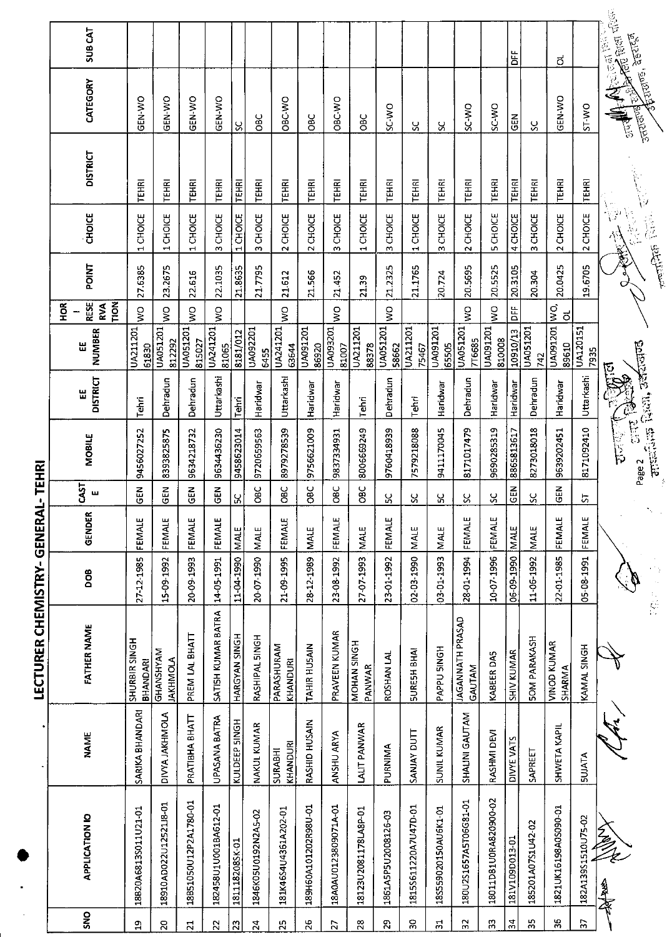|                 |                       |                       | <b>LECTURER CHEMISTRY- GENERAI</b> |                 |             | $\bullet$ .      | <b>TEHRI</b>                           |                      |                          |                                                   |              |                                 |                 |                               |                            |
|-----------------|-----------------------|-----------------------|------------------------------------|-----------------|-------------|------------------|----------------------------------------|----------------------|--------------------------|---------------------------------------------------|--------------|---------------------------------|-----------------|-------------------------------|----------------------------|
| SNO             | APPLICATION IO        | <b>NAME</b>           | <b>FATHER NAME</b>                 | <b>BOO</b>      | GENDER      | <b>CAST</b><br>ш | <b>MOBILE</b>                          | <b>DISTRICT</b><br>出 | NUMBER<br>出              | <b>RESE</b><br><b>NON</b><br>$\frac{8}{2}$<br>RVA | <b>POINT</b> | <b>CHOICE</b>                   | <b>DISTRICT</b> | CATEGORY                      | <b>SUBCAT</b>              |
| $\mathfrak{p}$  | 18820A6813S011U21-01  | SARIKA BHANDARI       | SHURBIR SINGH<br><b>BHANDARI</b>   | 27-12-1985      | FEMALE      | $\tilde{5}$      | 9456027252                             | Tehri                | UA211201<br>61830        | $\frac{1}{3}$                                     | 27.6385      | CHOICE<br>$\mathbf{r}$          | TEHRI           | GEN-WO                        |                            |
| $\overline{c}$  | 18910AD022U1252118-01 | <b>DIVYA JAKHMOLA</b> | GHANSHYAM<br><b>JAKHMOLA</b>       | 15-09-1992      | FEMALE      | GEN              | 8393825875                             | Dehradun             | UA051201<br>812292       | $\frac{1}{2}$                                     | 23.2675      | 1 CHOICE                        | <b>TEHRI</b>    | GEN-WO                        |                            |
| $\overline{z}$  | 18B51050U12P2A1780-01 | PRATIBHA BHATT        | PREM LAL BHATT                     | 20-09-1993      | FEMALE      | 준<br>영           | 9634218732                             | Dehradun             | UA051201<br>815027       | $\frac{1}{3}$                                     | 22.616       | 1 CHOICE                        | TEHRI           | GEN-WO                        |                            |
| $\overline{2}$  | 182458U1U001BA612-01  | UPASANA BATRA         | SATISH KUMAR BATRA                 | 14-05-1991      | FEMALE      | $rac{2}{5}$      | 9634436230                             | Uttarkashi           | UA241201<br>81065        | $\frac{0}{5}$                                     | 22.1035      | 3 CHOICE                        | TEHRI           | <b>GEN-WO</b>                 |                            |
| $\overline{23}$ | 181118208SK-01        | KULDEEP SINGH         | HARGYAN SINGH                      | 11-04-1990 MALE |             | Χ                | 9458623014                             | Tehri                | 8181/012                 |                                                   | 21.8635      | 1 CHOICE                        | TEHRI           | ပ္တ                           |                            |
| $\overline{24}$ | 1846K05U0192N2A5-02   | NAKUL KUMAR           | RASHIPAL SINGH                     | 20-07-1990      | <b>NALE</b> | <b>OBC</b>       | 9720659563                             | Haridwar             | UA092201<br>6455         |                                                   | 21.7795      | CHOICE<br><b>M</b>              | TEHRI           | <b>DEC</b>                    |                            |
| $\mathbf{z}$    | 181K46S4U4361A202-01  | KHANDURI<br>SURABHI   | PARASHURAM<br>KHANDURI             | 21-09-1995      | FEMALE      | ăЯ               | 8979278539                             | Uttarkashi           | UA241201<br>63644        | Ş                                                 | 21.612       | 2 CHOICE                        | <b>TEHRI</b>    | OBC-WO                        |                            |
| 26              | 189H60A101202R98U-01  | RASHID HUSAIN         | <b>TAHIR HUSAIN</b>                | 28-12-1989      | MALE        | 3ao              | 9756621009                             | Haridwar             | UA091201<br>86920        |                                                   | 21.566       | 2 CHOICE                        | <b>TEHRI</b>    | <b>DBC</b>                    |                            |
| 27              | 18A0AU0123809071A-01  | ANSHU ARYA            | PRAVEEN KUMAR                      | 23-08-1992      | FEMALE      | СC<br>Овс        | 9837334931                             | Haridwar             | UA093201<br>81007        | $\frac{0}{5}$                                     | 21.452       | CHOICE<br>$\mathbf{c}$          | <b>TEHRI</b>    | OBC-WO                        |                            |
| $\overline{28}$ | 18123U2081178LA8P-01  | <b>LALIT PANWAR</b>   | MOHAN SINGH<br>PANWAR              | 27-07-1993      | MALE        | OBC              | 8006669249                             | Tehri                | UA211201<br>88378        |                                                   | 21.39        | 1 CHOICE                        | <b>TEHRI</b>    | OBC                           |                            |
| S.              | 1861A5P5U2008126-03   | PURNIMA               | ROSHAN LAL                         | 23-01-1992      | FEMALE      | ပ္က              | 9760418939                             | Dehradun             | UA051201<br>58662        | ş                                                 | 21.2325      | 3 CHOICE                        | <b>TEHRI</b>    | SC WO                         |                            |
| SÓ              | 18155611220A7U47D-01  | SANJAY DUTT           | <b>SURESH BHAI</b>                 | 02-03-1990      | <b>MALE</b> | 8                | 7579218088                             | Tehri                | <b>UA211201</b><br>75467 |                                                   | 21.1765      | <b>CHOICE</b><br>$\blacksquare$ | <b>TEHRI</b>    | ჯ                             |                            |
| $\Xi$           | 18S559020150AU6K1-01  | <b>SUNIL KUMAR</b>    | PAPPU SINGH                        | 03-01-1993      | <b>MALE</b> | Χ                | 9411170045                             | Haridwar             | UA091201<br>65505        |                                                   | 20.724       | <b>CHOICE</b><br>w              | TEHR!           | ઝ                             |                            |
| 32              | 180U2S1657A5T06G81-01 | SHALINI GAUTAM        | <b>JAGANNATH PRASAD</b><br>GAUTAM  | 28-01-1994      | FEMALE      | 8                | 8171017479                             | Dehradun             | UA051201<br>7T6685       | $\frac{1}{2}$                                     | 20.5695      | 2 CHOICE                        | TEHRI           | <b>D.M.CS</b>                 |                            |
| 33              | 18011D81U0RA820900-02 | RASHMI DEVI           | KABEER DAS                         | 10-07-1996      | FEMALE      | ပ္တ              | 9690285319                             | Haridwar             | UA091201<br>810008       | $\frac{1}{3}$                                     | 20.5525      | <b>5 CHOICE</b>                 | <b>TEHRI</b>    | SC-WO                         |                            |
| 34              | 181V109D013-01        | DIVYE VATS            | SHIV KUMAR                         | 06-09-1990      | MALE        | <b>SEN</b>       | 8865813617                             | Haridwar             | 10910/13                 | DEE                                               | 20.3105      | 4 CHOICE                        | <b>TEHRI</b>    | <b>SEN</b>                    | ۵Ë<br>D                    |
| 35              | 185201A07S1U42-02     | SAPREET               | <b>SOM PARAKASH</b>                | 11-06-1992      | <b>MALE</b> | ပ္တ              | 8273018018                             | Dehradun             | UA051201<br>742          |                                                   | 20.304       | 3 CHOICE                        | TEHRI           | પ્ર                           |                            |
| 36              | 1821UK16198A0S090-01  | <b>SHWETA KAPIL</b>   | VINOD KUMAR<br>SHARMA              | 22-01-1985      | FEMALE      | 준<br>어           | 9639202451                             | Haridwar             | UA091201<br>89610        | $\frac{1}{2}$<br>$\vec{0}$                        | 20.0425      | 2 CHOICE                        | <b>TEHRI</b>    | GEN-WO                        | ಠ                          |
| 2               | 182A139S1510U75-02    | <b>SUJATA</b>         | KAMAL SINGH                        | 05-08-1991      | FEMALE      | 능                | 8171092410                             | Uttarkashi           | <b>UA120151</b><br>7935  |                                                   | 19.6705      | 2 CHOICE                        | <b>TEHRI</b>    | ST WO                         |                            |
|                 | r<br>Al<br>多家         |                       |                                    |                 |             |                  | i<br>B<br>D<br>$\frac{1}{5}$<br>Page 2 | بخ                   |                          |                                                   | <b>REA</b>   | $\frac{1}{\sqrt{2}}$            |                 | <b>Transland</b><br>ट्रि<br>उ | <b>College des Schools</b> |
|                 |                       |                       |                                    |                 | ٠.          |                  | artericken, architecture               |                      |                          |                                                   |              | 高原                              |                 | <b>Arrows</b> , agrest        |                            |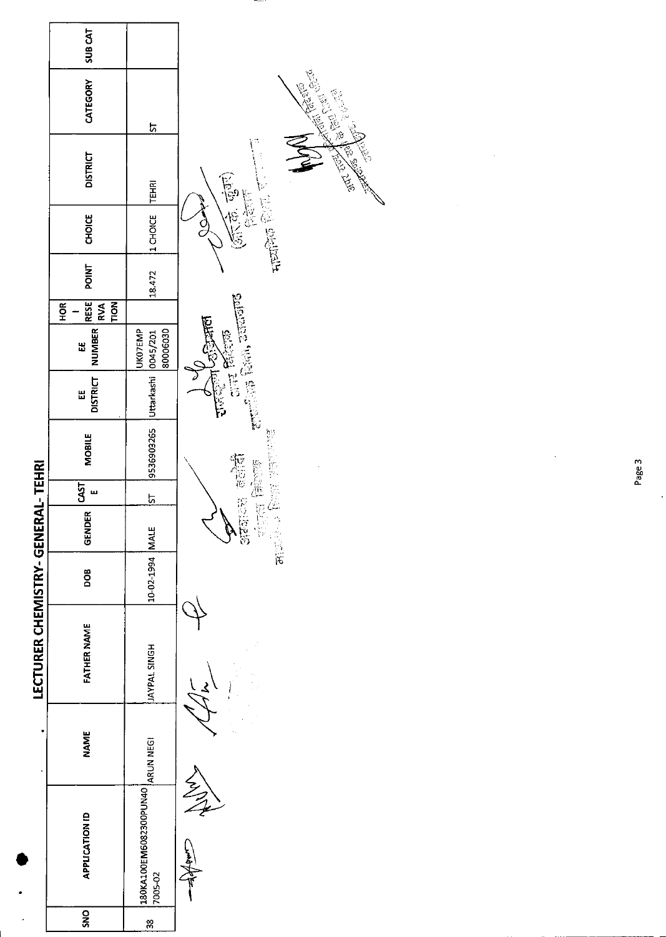

Page 3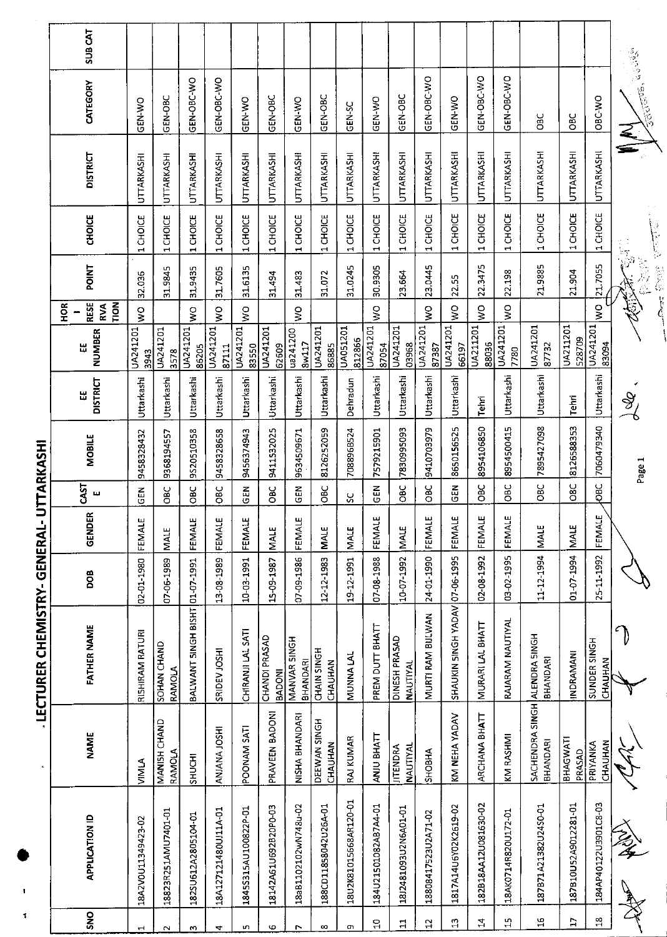| ı      |
|--------|
|        |
|        |
|        |
|        |
|        |
|        |
|        |
| I      |
|        |
|        |
| I<br>I |
|        |
|        |
|        |
|        |
|        |
|        |
|        |
|        |
|        |
|        |
|        |
|        |
|        |
|        |
|        |
|        |
|        |
|        |
|        |
|        |
|        |
|        |
|        |
|        |
|        |
|        |
|        |
|        |
|        |
|        |
|        |
|        |
|        |
|        |
|        |

| <b>SUBCAT</b>              |                                 |                                     |                                |                      |                      |                                |                                 |                         |                       |                      |                                    |                     |                                |                                 |                          |                                                                 |                      |                         | 多少的                                                                                                                                                                                                                                                                                                                                                                                                 |
|----------------------------|---------------------------------|-------------------------------------|--------------------------------|----------------------|----------------------|--------------------------------|---------------------------------|-------------------------|-----------------------|----------------------|------------------------------------|---------------------|--------------------------------|---------------------------------|--------------------------|-----------------------------------------------------------------|----------------------|-------------------------|-----------------------------------------------------------------------------------------------------------------------------------------------------------------------------------------------------------------------------------------------------------------------------------------------------------------------------------------------------------------------------------------------------|
| CATEGORY                   | GEN-WO                          | GEN-OBC                             | GEN-OBC-WO                     | GEN-OBC-WO           | GEN-WO               | GEN-OBC                        | GEN-WO                          | GEN-OBC                 | <b>GEN-SC</b>         | GEN-WO               | GEN-OBC                            | GEN-OBC-WO          | GEN-WO                         | GEN-OBC-WO                      | GEN-OBC-WO               | မ္မ                                                             | <b>DBC</b>           | ORC WO                  | <b>Tardwares</b>                                                                                                                                                                                                                                                                                                                                                                                    |
| <b>DISTRICT</b>            | UTTARKASHI                      | UTTARKASHI                          | UTTARKASHI                     | <b>UTTARKASHI</b>    | UTTARKASHI           | UTTARKASHI                     | <b>UTTARKASHI</b>               | UTTARKASHI              | UTTARKASHI            | UTTARKASHI           | <b>UTTARKASHI</b>                  | UTTARKASHI          | UTTARKASHI                     | UTTARKASHI                      | UTTARKASHI               | UTTARKASHI                                                      | <b>UTTARKASHI</b>    | UTTARKASHI              |                                                                                                                                                                                                                                                                                                                                                                                                     |
| CHOICE                     | <b>CHOICE</b><br>$\blacksquare$ | 1 CHOICE                            | 1 CHOICE                       | 1 CHOICE             | 1 CHOICE             | 1 CHOICE                       | 1 CHOICE                        | 1 CHOICE                | 1 CHOICE              | 1 CHOICE             | 1 CHOICE                           | 1 CHOICE            | CHOICE<br>$\blacksquare$       | <b>CHOICE</b><br>$\blacksquare$ | CHOICE<br>$\blacksquare$ | 1 CHOICE                                                        | 1 CHOICE             | 1 CHOICE                | း<br>နိုဘိ                                                                                                                                                                                                                                                                                                                                                                                          |
| <b>POINT</b>               | 32.036                          | 31.9845                             | 31.9435                        | 31.7605              | 31.6135              | 31.494                         | 31.483                          | 31.072                  | 31.0245               | 30.9305              | 23.664                             | 23.0445             | 22.55                          | 22.3475                         | 22.198                   | 21.9885                                                         | 21.904               | 21.7055                 |                                                                                                                                                                                                                                                                                                                                                                                                     |
| RESE<br>HOR<br>Nort<br>RVA | Š                               |                                     | Š                              | $\frac{1}{2}$        | Š                    |                                | Š                               |                         |                       | Š                    |                                    | ş                   | S                              | <b>S</b>                        | ş                        |                                                                 |                      | $\geq$                  | $\label{eq:2} \int_{\mathbb{R}^n} \frac{1}{\sqrt{2\pi}} \int_{\mathbb{R}^n} \frac{1}{\sqrt{2\pi}} \int_{\mathbb{R}^n} \frac{1}{\sqrt{2\pi}} \int_{\mathbb{R}^n} \frac{1}{\sqrt{2\pi}} \int_{\mathbb{R}^n} \frac{1}{\sqrt{2\pi}} \int_{\mathbb{R}^n} \frac{1}{\sqrt{2\pi}} \int_{\mathbb{R}^n} \frac{1}{\sqrt{2\pi}} \int_{\mathbb{R}^n} \frac{1}{\sqrt{2\pi}} \int_{\mathbb{R}^n} \frac{1}{\sqrt{2$ |
| NUMBER<br>Ш                | UA241201<br>3943                | UA241201<br>3578                    | UA241201<br>86205              | UA241201<br>87111    | UA241201<br>83550    | UA241201<br>62609              | ua241200<br>8w117               | UA241201<br>86885       | UA051201<br>812866    | UA241201<br>87054    | UA241201<br>03968                  | UA241201<br>87387   | UA241201<br>66197              | UA211201<br>88036               | UA241201<br>7780         | UA241201<br>87732                                               | UA211201<br>528709   | UA241201<br>83094       |                                                                                                                                                                                                                                                                                                                                                                                                     |
| <b>DISTRICT</b><br>Ш       | Uttarkashi                      | Uttarkashi                          | Uttarkashi                     | Uttarkashi           | Uttarkashi           | Uttarkashi                     | Uttarkashi                      | Uttarkashi              | Dehradun              | Uttarkashi           | Uttarkashi                         | Uttarkashi          | Uttarkashi                     | Tehri                           | Uttarkashi               | Uttarkashi                                                      | Tehn                 | Uttarkashi              | Ž                                                                                                                                                                                                                                                                                                                                                                                                   |
| <b>MOBILE</b>              | 9458328432                      | 9368194557                          | 9S20510358                     | 9458328658           | 9456374943           | 9411532025                     | 9634509671                      | 8126252059              | 708896B524            | 7579215901           | 7830995093                         | 9410703979          | 8650156525                     | 8954106850                      | 8954500415               | 7895427098                                                      | 8126588353           | 7060479340              | Page 1                                                                                                                                                                                                                                                                                                                                                                                              |
| <b>CAST</b><br>щ           | GEN                             | <b>SBC</b>                          | <b>DEC</b>                     | ÖЕ                   | GEN                  | OBC                            | <b>GEN</b>                      | ЭgО                     | SC                    | $\frac{2}{5}$        | 38C                                | 3go                 | $\frac{2}{5}$                  | 9C                              | <b>OBC</b>               | <b>OBC</b>                                                      | <b>OBC</b>           | OВС                     |                                                                                                                                                                                                                                                                                                                                                                                                     |
| æ<br><b>GEND</b>           | ш<br>FEMALI                     | <b>INALE</b>                        | щ<br><b>FEMALI</b>             | ш<br>FEMALI          | بى<br>FEMALI         | <b>MALE</b>                    | щ<br>FEMAL                      | <b>MALE</b>             | <b>MALE</b>           | FEMALE               | MALE                               | FEMALE              | щ<br>FEMAL                     | щ<br>FEMAL                      | FEMALE                   | <b>MALE</b>                                                     | <b>NALE</b>          | FEMALE                  |                                                                                                                                                                                                                                                                                                                                                                                                     |
| BOO                        | 02-01-1980                      | 07-06-1989                          |                                | 13-08-1989           | 10-03-1991           | I5-09-1987                     | 07-09-1986                      | 12-12-1983              | 19-12-1991            | 07-08-1988           | 10-07-1992                         | 24-01-1990          |                                | 02-08-1992                      | 03-02-1995               | 11-12-1994                                                      | 01-07-1994           | 25-11-1992              |                                                                                                                                                                                                                                                                                                                                                                                                     |
| <b>FATHER NAME</b>         | RISHIRAM RATURI                 | <b>SOHAN CHAND</b><br><b>RAMOLA</b> | BALWANT SINGH BISHT 01-07-1991 | SRIDEV JOSHI         | CHIRANJI LAL SATI    | CHANDI PRASAD<br><b>BADONI</b> | MANVAR SINGH<br><b>BHANDARI</b> | CHAIN SINGH<br>CHAUHAN  | MUNNNA LAL            | PREM DUTT BHATT      | DINESH PRASAD<br><b>NAUTIYAL</b>   | MURTI RAM BIJLWAN   | SHAUKIN SINGH YADAV 07-06-1995 | MURARI LAL BHATT                | RAJARAM NAUTIYAL         |                                                                 | INDRAMANI            | SUNDER SINGH<br>CHAUHAN |                                                                                                                                                                                                                                                                                                                                                                                                     |
| <b>NAME</b>                | NINIA                           | MANISH CHAND<br>RAMOLA              | SHUCHI                         | ANIANA JOSHI         | POONAM SATI          | PRAVEEN BADONI                 | NISHA BHANDARI                  | DEEWAN SINGH<br>CHAUHAN | <b>RAJ KUMAR</b>      | ANJU BHATT           | <b>JITENDRA</b><br><b>NAUTIYAL</b> | <b>SHOBHA</b>       | KM NEHA YADAV                  | ARCHANA BHATT                   | KM RASHMI                | SACHENDRA SI <b>N</b> GH <mark>ALENDRA SINGH</mark><br>BHANDARI | BHAGWATI<br>PRASAD   | CHAUHAN<br>PRIYANKA     | $\lesssim$                                                                                                                                                                                                                                                                                                                                                                                          |
| <b>APPLICATION ID</b>      | 18A2V0U11349423-02              | 18823R251AMU7401-01                 | 182SU612A2805104-01            | 18A127121480UJ11A-01 | 1845S315AU100822P-01 | 18142A61U692B20P0-03           | 18aB1102102wN748u-02            | 188CD11858042U26A-01    | 18U2K81015668AR120-01 | 184U21501082AB7A4-01 | 1812481093U2N6A01-01               | 18808417523U2A71-02 | 1817A14U6Y02K2619-02           | 182B18AA12U081630-02            | 18AK0714R820U172-01      | 187B71A21382U24S0-01                                            | 187810U52A9012281-01 | 184AP40122U3901C8-03    | 多名                                                                                                                                                                                                                                                                                                                                                                                                  |
| <b>ONS</b>                 | $\overline{ }$                  | $\mathbf{\sim}$                     | m                              | 4                    | ιn.                  | Φ                              | r                               | $\infty$                | G)                    | $\Xi$                | ።                                  | $\mathbf{a}$        | <u>ញ</u>                       | $\mathbf{z}$                    | $\mathfrak{a}$           | $\frac{5}{1}$                                                   | Ħ                    | $\frac{8}{11}$          |                                                                                                                                                                                                                                                                                                                                                                                                     |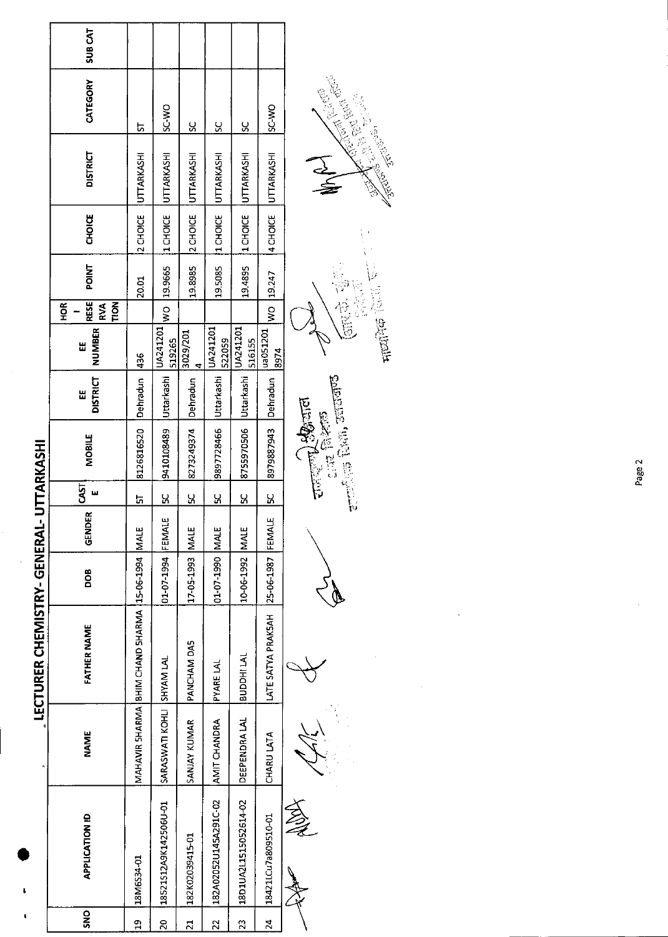|                       |                       |                           | LECTURER CHEMISTRY-GENERAL-                        |                   |             |           | UTTARKASHI                     |                       |                    | <b>HOR</b>                       |              |               |                   |              |               |
|-----------------------|-----------------------|---------------------------|----------------------------------------------------|-------------------|-------------|-----------|--------------------------------|-----------------------|--------------------|----------------------------------|--------------|---------------|-------------------|--------------|---------------|
|                       | <b>APPLICATION ID</b> | <b>NAME</b>               | <b>FATHER NAME</b>                                 | DOB               | GENDER      | 51        | <b>MOBILE</b>                  | <b>DISTRICT</b><br>Ш  | <b>NUMBER</b><br>띮 | <b>RESE</b><br><b>PON</b><br>RVA | <b>POINT</b> | <b>CHOICE</b> | <b>DISTRICT</b>   | CATEGORY     | <b>SUBCAT</b> |
|                       |                       |                           | MAHAVIR SHARMA BHIM CHAND SHARMA 115-06-1994 MAALE |                   |             | <u>51</u> | 8126816520                     | Dehradun              | 436                |                                  | 20.01        | 2 CHOICE      | UTTARKASHI        | ᇅ            |               |
| 18521512A9K142506U-01 |                       | SARASWATI KOHLI SHYAM LAL |                                                    | 01-07-1994        | FEMALE      | <u>S</u>  | 9410108489                     | Uttarkashi  UA241201  | 519265             | $\frac{1}{2}$                    | 19.9665      | 1CHOICE       | <b>UTTARKASHI</b> | <b>OW-3S</b> |               |
| 182K02039415-01       |                       | SANJAY KUMAR              | PANCHAM DAS                                        | 17-05-1993        | <b>MALE</b> | <u>ម</u>  | 8273249374                     | Dehradun              | 3029/201<br>4      |                                  | 19.8985      | 2 CHOICE      | UTTARKASHI        | <u>ყ</u>     |               |
| 182A02052U145A291C-02 |                       | AMIT CHANDRA              | <b>PYARE LAL</b>                                   | 314M 0661-10-10   |             | <u>S</u>  | 9897728466                     | IUttarkashi  UA241201 | 522059             |                                  | 19.5085      | 1 CHOICE      | UTTARKASHI        | ပ္တ          |               |
| 18D1UA2L1515052614-02 |                       | DEEPENDRA LAL             | BUDDHI LAL                                         | 10-06-1992        | <b>MALE</b> | <u>s</u>  | 8755970506 Uttarkashi LA241201 |                       | 516155             |                                  | 19.4895      | 1 CHOICE      | UTTARKASHI        | ပ္တ          |               |
| 18421LCu7a809510-01   |                       | CHARU LATA                | LATE SATYA PRAKSAH                                 | 25-06-1987 FEMALE |             | <u>S</u>  | 8979887943                     | Dehradun              | ua051201<br>8974   | $\frac{1}{2}$                    | 19.247       | 4 CHOICE      | <b>UTTARKASHI</b> | ISC-WO       |               |
| Z                     |                       |                           |                                                    |                   |             |           | <b>Birth Communication</b>     |                       |                    |                                  |              |               |                   |              |               |

 $\bigvee$ سیلانیک

 $\mathbb{R}^3$ 

राजर**ाण्ड्रेश्वज्ञात**<br>इनस्य जिल्हेला<br>सामान्यक प्रदेशी, उदाराजण्ड



 $\overline{t}$ 

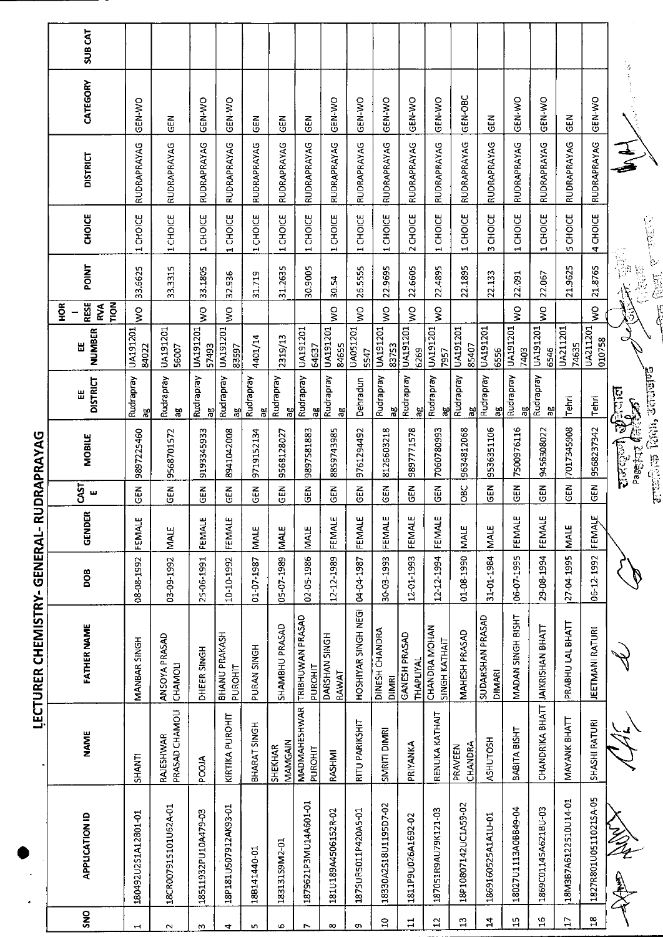|                 |                       |                                | <b>INTERIOR NINER INTERNATION</b>     |            | フエーエピしてピココピ しエピロ こつし |                          |                               |                           |                         |                                          |                                   |               |                    |            |                |
|-----------------|-----------------------|--------------------------------|---------------------------------------|------------|----------------------|--------------------------|-------------------------------|---------------------------|-------------------------|------------------------------------------|-----------------------------------|---------------|--------------------|------------|----------------|
|                 |                       |                                |                                       |            |                      |                          |                               |                           |                         | $\frac{8}{2}$                            |                                   |               |                    |            |                |
| SNO             | <b>APPLICATION ID</b> | <b>NAME</b>                    | <b>FATHER NAME</b>                    | pos        | <b>GENDER</b>        | S <sub>1</sub><br>ш      | <b>MOBILE</b>                 | <b>DISTRICT</b><br>Ш      | <b>NUMBER</b><br>님      | <b>RESE</b><br><b>POLT</b><br><b>RVA</b> | POINT                             | <b>CHOICE</b> | <b>DISTRICT</b>    | CATEGORY   | <b>SUB CAT</b> |
|                 | 180492U2S1A12801-01   | SHANTI                         | MANBAR SINGH                          | 08-08-1992 | FEMALE               | $\widetilde{\mathbb{E}}$ | 9897225460                    | Rudrapray<br>æ            | UA191201<br>84022       | S<br>Ş                                   | 3.6625                            | 1 CHOICE      | RUDRAPRAYAG        | GEN-WO     |                |
|                 | 18CR007915101U62A-01  | PRASAD CHAMOLI<br>RAJESHWAR    | ANSOYA PRASAD<br>CHAMOLI              | 03-09-1992 | MALE                 | $\tilde{5}$              | 9568701572                    | Rudrapray<br>뵮            | UA191201<br>56007       |                                          | 33.3315                           | 1 CHOICE      | RUDRAPRAYAG        | <b>GEN</b> |                |
|                 | 18511932PU10A479-03   | <b>POOJA</b>                   | DHEER SINGH                           | 25-06-1991 | FENALE               | <b>GEN</b>               | 9193345933                    | Rudrapray<br>æ            | UA191201<br>57493       | $\frac{1}{3}$                            | 33.1805                           | 1 CHOICE      | <b>RUDRAPRAYAG</b> | GEN-WO     |                |
| ↤               | 18P181U507912AK93-01  | KIRTIKA PUROHIT                | BHANU PRAKASH<br>PUROHIT              | 10-10-1992 | FEMALE               | <b>GEN</b>               | 8941042008                    | Rudrapray<br>ăθ           | UA191201<br>83597       | Ş                                        | 32.936                            | CHOICE<br>÷,  | RUDRAPRAYAG        | GEN-WO     |                |
|                 | 188141440-01          | BHARAT SINGH                   | PURAN SINGH                           | 01-07-1987 | <b>MALE</b>          | <b>GEN</b>               | 9719152134                    | Rudrapray<br>æ            | 4401/14                 |                                          | 31.719                            | 1 CHOICE      | RUDRAPRAYAG        | M3C        |                |
| ٠               | 18313159M2-01         | <b>MAMGAIN</b><br>SHEKHAR      | SHAMBHU PRASAD                        | 05-07-1989 | <b>MALE</b>          | $\frac{2}{3}$            | 9568128027                    | Rudrapray<br>ă            | 2319/13                 |                                          | 31.2635                           | 1 CHOICE      | RUDRAPRAYAG        | る<br>50    |                |
|                 | 1879621P3MU14A601-01  | <b>MADMAHESHWAR</b><br>PUROHIT | TRIBHUWAN PRASAD<br>PUROHIT           | 02-05-1986 | <b>NIALE</b>         | <b>GEN</b>               | 9897581883                    | Rudrapray<br>ag           | UA191201<br>64637       |                                          | 30.9005                           | 1 CHOICE      | RUDRAPRAYAG        | GEN        |                |
| œ               | 181U189A4506152R-02   | RASHMI                         | DARSHAN SINGH<br>RAWAT                | 12-12-1989 | FEMALE               | GEN                      | 8859743985                    | Rudrapray<br>ಸಿ           | UA191201<br>84655       | $\frac{1}{2}$                            | 30.54                             | 1 CHOICE      | RUDRAPRAYAG        | GEN-WO     |                |
| <b>O</b>        | 1875UR5011P420A5-01   | RITU PARIKSHIT                 | HOSHIYAR SINGH NEGH                   | 04-04-1987 | FEMALE               | GEN                      | 9761294492                    | Dehradun                  | UA051201<br>5547        | Ş                                        | 26.5555                           | 1 CHOICE      | RUDRAPRAYAG        | GEN-WO     |                |
| $\Xi$           | 18330A2518U1195D7-02  | SMRITI DIMRI                   | DINESH CHANDRA<br>DIMRI               | 30-03-1993 | FEMALE               | GEN                      | 8126603218                    | Rudrapray<br>æ            | UA191201<br>83753       | $\frac{1}{2}$                            | 22.9695                           | 1 CHOICE      | RUDRAPRAYAG        | GEN-WO     |                |
| $\mathbf{1}$    | 1811P9U026A1692-02    | PRIYANKA                       | GANESH PRASAD<br>THAPLIYAL            | 12-01-1993 | FEMALE               | $\frac{2}{5}$            | 9897771578                    | Rudrapray<br>ã            | UA191201<br>6269        | ş                                        | 22.6605                           | 2 CHOICE      | RUDRAPRAYAG        | GEN-WO     |                |
| $\mathbf{r}$    | 187051R9AU79K121-03   | RENUKA KATHAIT                 | CHANDRA MOHAN<br><b>SINGH KATHAIT</b> | 12-12-1994 | FEMALE               | GEN                      | 7060780993                    | Rudrapray<br>æ            | UA191201<br>7957        | Ş                                        | 22.4895                           | 1 CHOICE      | RUDRAPRAYAG        | GEN-WO     |                |
| $\mathbf{L}^2$  | 18P10807142UC1A59-02  | <b>CHANDRA</b><br>PRAVEEN      | MAHESH PRASAD                         | 01-08-1990 | <b>MALE</b>          | <b>OBC</b>               | 9634812068                    | Rudrapray<br>$\mathbf{a}$ | UA191201<br>85407       |                                          | 22.1895                           | 1 CHOICE      | RUDRAPRAYAG        | GEN-OBC    |                |
| 2               | 1869160525A1A1U-01    | HSOLDHST                       | SUDARSHAN PRASAD<br><b>DIMARI</b>     | 31-01-1984 | MALE                 | <b>GEN</b>               | 9536351106                    | Rudrapray<br>æ            | UA191201<br>6556        |                                          | 22.133                            | 3 CHOICE      | RUDRAPRAYAG        | GEN        |                |
| $\mathbf{L}$    | 18027U1113A0BB49-04   | BABITA BISHT                   | MADAN SINGH BISHT                     | 06-07-1995 | FEMALE               | GEN                      | 7500976116                    | Rudrapray<br>ಇ            | <b>UA191201</b><br>7403 | Ş                                        | 22.091                            | 1 CHOICE      | RUDRAPRAYAG        | GEN-WO     |                |
| 21              | 1869C01145A621BU-03   |                                | CHANDRIKA BHATT JJAIKRISHAN BHATT     | 29-08-1994 | FEMALE               | $\tilde{5}$              | 9456308022                    | Rudrapray<br>문            | UA191201<br>6546        | Ş                                        | 22.067                            | 1 CHOICE      | RUDRAPRAYAG        | GEN-WO     |                |
| $\overline{17}$ | 18M3B7A6122510U14-01  | MAYANK BHATT                   | PRABHU LAL BHATT                      | 27-04-1995 | <b>NALE</b>          | GEN                      | 7017345908                    | Tehri                     | UA211201<br>74635       |                                          | 21.9625                           | 5 CHOICE      | RUDRAPRAYAG        | GEN        |                |
| $\frac{8}{10}$  | 1827R801U05110215A-05 | SHASHI RATURI                  | JEETMANI RATURI                       | 06-12-1992 | FEMALE               | GEN                      | 9568237342                    | Tehri                     | UA211201<br>010758      | Ş                                        | 21.8765                           | 4 CHOICE      | RUDRAPRAYAG        | GEN-WO     |                |
|                 | 大爱名                   |                                |                                       |            |                      |                          | Page 1772<br>$\frac{1}{2}$    | कोमाल<br>बाह्य            |                         |                                          | $\frac{1}{12}$<br>医院<br>$\Lambda$ |               |                    | ्<br>उ     |                |
|                 |                       |                                |                                       |            |                      |                          | photostory facts the property |                           |                         |                                          | digital.                          | A Links       |                    |            |                |

**IFCTURER CHEMISTRY-GENERAI-RUDRAPRAYAG** 

 $\ddot{\phantom{a}}$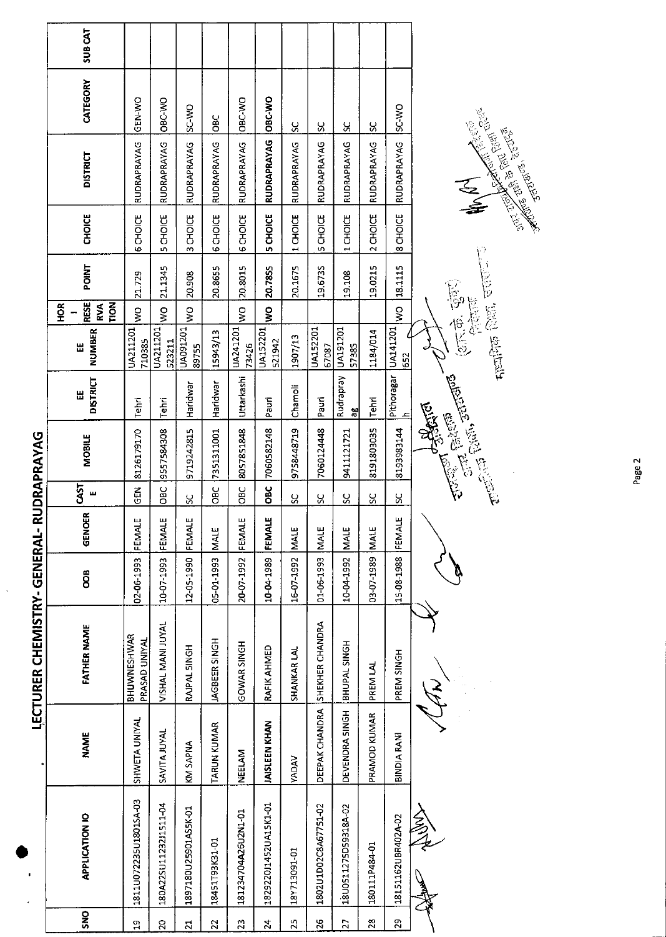| <b>CHOICE</b><br>6 CHOICE<br>5 CHOICE<br>2 CHOICE<br>8 CHOICE<br><b>6 CHOICE</b><br>3 CHOICE<br>6 CHOICE<br>1 CHOICE<br><b>CHOICE</b><br>5 CHOICE<br>1 CHOICE<br>n,<br><b>POINT</b><br>19.0215<br>18.1115<br>20.8655<br>20.8015<br>20.7855<br>20.1675<br>19.6735<br>21.1345<br>$\frac{1}{2}$<br>21.729<br>20.908<br>19.108<br>(शार के पुंडण)<br>शिक्षण<br><b>RESE</b><br>FION<br>H <sub>OR</sub><br>RVA<br>$\frac{1}{2}$<br>$\frac{1}{2}$<br>$\frac{1}{2}$<br>$\frac{1}{2}$<br>$\frac{1}{2}$<br>Ş<br>Pithoragar UA141201<br>UA091201<br>UA211201<br>UA211201<br>UA241201<br>UA152201<br><b>UA152201</b><br>UA191201<br>NUMBER<br>1184/014<br>15943/13<br>1907/13<br>710385<br>523211<br>521942<br>73426<br>Ш<br>57385<br>67087<br>89755<br>Rudrapray<br><b>Change Comparison Comparison</b><br>Uttarkashi<br><b>DISTRICT</b><br>Haridwar<br>Haridwar<br>Chamoli<br>Ш<br>Pauri<br>Tehri<br>Tehri<br>Pauri<br>Tehri<br>æ<br>8193983144<br>7060582148<br>8191803035<br>8057851848<br>9758448719<br>7060124448<br>9557584308<br>9719242815<br>7351311001<br>8126179170<br>9411121721<br><b>UDRAPRAYAG</b><br><b>MOBILE</b><br>CAST<br>OBC<br>OBC<br>$\frac{2}{5}$<br>OBC<br><b>OBC</b><br>щ<br>SC<br>႘<br>S,<br>$\infty$<br>8<br>S<br>GENOER<br><b>LECTURER CHEMISTRY-GENERAL-RI</b><br>FEMALE<br>FEMALE<br>FEMALE<br>FEMALE<br>FEMALE<br>FEMALE<br>MALE<br><b>MALE</b><br><b>MALE</b><br>MALE<br>MALE<br>15-08-1988<br>03-07-1989<br>12-05-1990<br>10-04-1989<br>05-01-1993<br>02-06-1993<br>10-07-1993<br>20-07-1992<br>16-07-1992<br>01-06-1993<br>10-04-1992<br>OOB<br>VISHAL MANI JUYAL<br>SHEKHER CHANDRA<br><b>FATHER NAME</b><br>BHUWNESHWAR<br><b>JAGBEER SINGH</b><br>PRASAD UNIYAL<br>GOWAR SINGH<br>BHUPAL SINGH<br>RAJPAL SINGH<br>RAFIK AHMED<br>SHANKAR LAL<br>PREM SINGH<br>PREM LAL<br>DEEPAK CHANDRA<br>DEVENDRA SINGH<br>PRAMOD KUMAR<br>SHWETA UNIYAL<br><b>JAISLEEN KHAN</b><br><b>TARUN KUMAR</b><br><b>SAVITA JUYAL</b><br><b>NAME</b><br><b>BINDIA RANI</b><br>KM SAPNA<br><b>NEELAM</b><br><b>VADAV</b><br>1811U072235U1801SA-03<br>180A22SU11232J1511-04<br>182922011452UA15K1-01<br>1802U1D02C8A67751-02<br>18U0511275D59318A-02<br>1897180U25901AS5K-01<br>へろえ<br>181234704A26U2N1-01<br><b>APPLICATION IO</b><br>18151162UBR402A-02<br>18451T93K31-01<br>180111P484-01<br>18Y713091-01<br>SNO<br>$\mathbb{S}^2$<br>$\mathbf{z}$<br>23<br>$\overline{z}$<br>25<br>$\frac{2}{5}$<br>$\overline{27}$<br>$\mathbf{z}$<br>22<br>$\mathfrak{a}$<br>$\overline{z}$ | <b>SUBCAT</b><br>CATEGORY<br><b>DISTRICT</b> | GEN-WO<br>RUDRAPRAYAG | OBC-WO<br>RUDRAPRAYAG | <b>OW-3S</b><br><b>RUDRAPRAYAG</b> | <b>OBC</b><br>RUDRAPRAYAG | OBC-WO<br>RUDRAPRAYAG | OBC-WO<br><b>RUDRAPRAYAG</b> | $\mathcal{S}$<br>RUDRAPRAYAG | ပ္ပ<br>RUDRAPRAYAG | S,<br>RUDRAPRAYAG | ႘<br>RUDRAPRAYAG | <b>ON-CS</b><br>RUDRAPRAYAG | <b>Control Control Control Control Control Control Control Control Control Control Control Control Control Control</b> |
|--------------------------------------------------------------------------------------------------------------------------------------------------------------------------------------------------------------------------------------------------------------------------------------------------------------------------------------------------------------------------------------------------------------------------------------------------------------------------------------------------------------------------------------------------------------------------------------------------------------------------------------------------------------------------------------------------------------------------------------------------------------------------------------------------------------------------------------------------------------------------------------------------------------------------------------------------------------------------------------------------------------------------------------------------------------------------------------------------------------------------------------------------------------------------------------------------------------------------------------------------------------------------------------------------------------------------------------------------------------------------------------------------------------------------------------------------------------------------------------------------------------------------------------------------------------------------------------------------------------------------------------------------------------------------------------------------------------------------------------------------------------------------------------------------------------------------------------------------------------------------------------------------------------------------------------------------------------------------------------------------------------------------------------------------------------------------------------------------------------------------------------------------------------------------------------------------------------------------------------------------------------------------------------------------------------------------------------------------------------------------------------------------------------------------------------------------------------------------------------|----------------------------------------------|-----------------------|-----------------------|------------------------------------|---------------------------|-----------------------|------------------------------|------------------------------|--------------------|-------------------|------------------|-----------------------------|------------------------------------------------------------------------------------------------------------------------|
|                                                                                                                                                                                                                                                                                                                                                                                                                                                                                                                                                                                                                                                                                                                                                                                                                                                                                                                                                                                                                                                                                                                                                                                                                                                                                                                                                                                                                                                                                                                                                                                                                                                                                                                                                                                                                                                                                                                                                                                                                                                                                                                                                                                                                                                                                                                                                                                                                                                                                      |                                              |                       |                       |                                    |                           |                       |                              |                              |                    |                   |                  |                             |                                                                                                                        |
|                                                                                                                                                                                                                                                                                                                                                                                                                                                                                                                                                                                                                                                                                                                                                                                                                                                                                                                                                                                                                                                                                                                                                                                                                                                                                                                                                                                                                                                                                                                                                                                                                                                                                                                                                                                                                                                                                                                                                                                                                                                                                                                                                                                                                                                                                                                                                                                                                                                                                      |                                              |                       |                       |                                    |                           |                       |                              |                              |                    |                   |                  |                             |                                                                                                                        |
|                                                                                                                                                                                                                                                                                                                                                                                                                                                                                                                                                                                                                                                                                                                                                                                                                                                                                                                                                                                                                                                                                                                                                                                                                                                                                                                                                                                                                                                                                                                                                                                                                                                                                                                                                                                                                                                                                                                                                                                                                                                                                                                                                                                                                                                                                                                                                                                                                                                                                      |                                              |                       |                       |                                    |                           |                       |                              |                              |                    |                   |                  |                             |                                                                                                                        |
|                                                                                                                                                                                                                                                                                                                                                                                                                                                                                                                                                                                                                                                                                                                                                                                                                                                                                                                                                                                                                                                                                                                                                                                                                                                                                                                                                                                                                                                                                                                                                                                                                                                                                                                                                                                                                                                                                                                                                                                                                                                                                                                                                                                                                                                                                                                                                                                                                                                                                      |                                              |                       |                       |                                    |                           |                       |                              |                              |                    |                   |                  |                             |                                                                                                                        |
|                                                                                                                                                                                                                                                                                                                                                                                                                                                                                                                                                                                                                                                                                                                                                                                                                                                                                                                                                                                                                                                                                                                                                                                                                                                                                                                                                                                                                                                                                                                                                                                                                                                                                                                                                                                                                                                                                                                                                                                                                                                                                                                                                                                                                                                                                                                                                                                                                                                                                      |                                              |                       |                       |                                    |                           |                       |                              |                              |                    |                   |                  |                             |                                                                                                                        |
|                                                                                                                                                                                                                                                                                                                                                                                                                                                                                                                                                                                                                                                                                                                                                                                                                                                                                                                                                                                                                                                                                                                                                                                                                                                                                                                                                                                                                                                                                                                                                                                                                                                                                                                                                                                                                                                                                                                                                                                                                                                                                                                                                                                                                                                                                                                                                                                                                                                                                      |                                              |                       |                       |                                    |                           |                       |                              |                              |                    |                   |                  |                             |                                                                                                                        |
|                                                                                                                                                                                                                                                                                                                                                                                                                                                                                                                                                                                                                                                                                                                                                                                                                                                                                                                                                                                                                                                                                                                                                                                                                                                                                                                                                                                                                                                                                                                                                                                                                                                                                                                                                                                                                                                                                                                                                                                                                                                                                                                                                                                                                                                                                                                                                                                                                                                                                      |                                              |                       |                       |                                    |                           |                       |                              |                              |                    |                   |                  |                             |                                                                                                                        |
|                                                                                                                                                                                                                                                                                                                                                                                                                                                                                                                                                                                                                                                                                                                                                                                                                                                                                                                                                                                                                                                                                                                                                                                                                                                                                                                                                                                                                                                                                                                                                                                                                                                                                                                                                                                                                                                                                                                                                                                                                                                                                                                                                                                                                                                                                                                                                                                                                                                                                      |                                              |                       |                       |                                    |                           |                       |                              |                              |                    |                   |                  |                             |                                                                                                                        |
|                                                                                                                                                                                                                                                                                                                                                                                                                                                                                                                                                                                                                                                                                                                                                                                                                                                                                                                                                                                                                                                                                                                                                                                                                                                                                                                                                                                                                                                                                                                                                                                                                                                                                                                                                                                                                                                                                                                                                                                                                                                                                                                                                                                                                                                                                                                                                                                                                                                                                      |                                              |                       |                       |                                    |                           |                       |                              |                              |                    |                   |                  |                             |                                                                                                                        |
|                                                                                                                                                                                                                                                                                                                                                                                                                                                                                                                                                                                                                                                                                                                                                                                                                                                                                                                                                                                                                                                                                                                                                                                                                                                                                                                                                                                                                                                                                                                                                                                                                                                                                                                                                                                                                                                                                                                                                                                                                                                                                                                                                                                                                                                                                                                                                                                                                                                                                      |                                              |                       |                       |                                    |                           |                       |                              |                              |                    |                   |                  |                             |                                                                                                                        |
|                                                                                                                                                                                                                                                                                                                                                                                                                                                                                                                                                                                                                                                                                                                                                                                                                                                                                                                                                                                                                                                                                                                                                                                                                                                                                                                                                                                                                                                                                                                                                                                                                                                                                                                                                                                                                                                                                                                                                                                                                                                                                                                                                                                                                                                                                                                                                                                                                                                                                      |                                              |                       |                       |                                    |                           |                       |                              |                              |                    |                   |                  |                             |                                                                                                                        |
|                                                                                                                                                                                                                                                                                                                                                                                                                                                                                                                                                                                                                                                                                                                                                                                                                                                                                                                                                                                                                                                                                                                                                                                                                                                                                                                                                                                                                                                                                                                                                                                                                                                                                                                                                                                                                                                                                                                                                                                                                                                                                                                                                                                                                                                                                                                                                                                                                                                                                      |                                              |                       |                       |                                    |                           |                       |                              |                              |                    |                   |                  |                             |                                                                                                                        |

 $\langle$ 

Page 2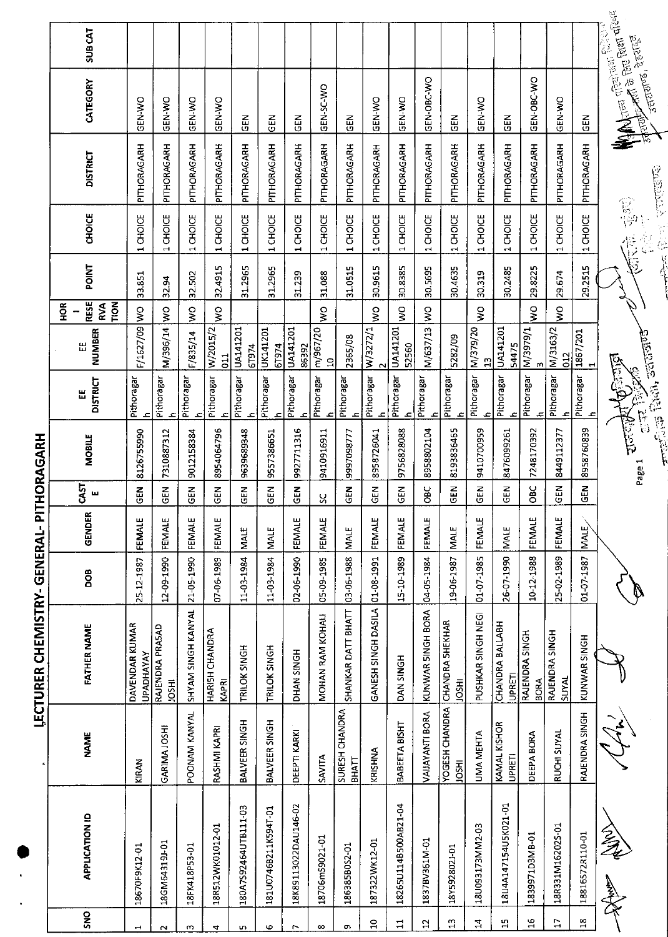| $\frac{1}{1}$<br>i |  |
|--------------------|--|
| í                  |  |
| ļ<br>.<br>ו        |  |
| ì                  |  |

|                       | j<br>ļ                        | <b>NATIVES CREATED</b>                         | コインコンニワー   |               |                | <b>NHTDINAIO.L</b>        |                                                                                  |                            |                                   |               |                                    |                 |                                                                                                 |                    |
|-----------------------|-------------------------------|------------------------------------------------|------------|---------------|----------------|---------------------------|----------------------------------------------------------------------------------|----------------------------|-----------------------------------|---------------|------------------------------------|-----------------|-------------------------------------------------------------------------------------------------|--------------------|
|                       |                               |                                                |            |               |                |                           |                                                                                  |                            | $\frac{8}{2}$                     |               |                                    |                 |                                                                                                 |                    |
| <b>APPLICATION ID</b> | <b>NAME</b>                   | FATHER NAME                                    | <b>BOO</b> | GENDER        | CAST<br>ш      | MOBILE                    | <b>DISTRICT</b><br>Ш                                                             | <b>NUMBER</b><br>出         | <b>RESE</b><br>TION<br><b>RVA</b> | POINT         | <b>CHOICE</b>                      | <b>DISTRICT</b> | CATEGORY                                                                                        | SUB <sub>CAT</sub> |
| 18670F9K12-01         | KIRAN                         | DAVENDAR KUMAR<br><b>UPADHAYAY</b>             | 25-12-1987 | FEMALE        | $\mathbf{5}$   | 8126755990                | Pithoragar<br>$\mathbf{r}$                                                       | F/1627/09 WO               |                                   | 33.851        | CHOICE<br>$\blacksquare$           | PITHORAGARH     | GEN-WO                                                                                          |                    |
| 18GM64319J-01         | GARIMA JOSHI                  | RAJENDRA PRASAD<br><b>JOSHI</b>                | 12-09-1990 | FEMALE        | GEN            | 7310887312                | Pithoragar<br>ᆂ                                                                  | M/396/14                   | $\frac{1}{2}$                     | 32.94         | 1 CHOICE                           | PITHORAGARH     | GEN-WO                                                                                          |                    |
| 18FK418P53-01         | POONAM KANYAL                 | SHYAM SINGH KANYAL                             | 21-05-1990 | FEMALE        | $\frac{2}{5}$  | 9012158384                | Pithoragar<br>£                                                                  | F/835/14                   | $\frac{8}{2}$                     | 32.502        | 1 CHOICE                           | PITHORAGARH     | GEN-WO                                                                                          |                    |
| 18R512WK01012-01      | RASHMI KAPRI                  | HARISH CHANDRA<br>KAPRI                        | 07-06-1989 | FEMALE        | $rac{1}{2}$    | 8954064796                | Pithoragar<br>ے۔                                                                 | W/2015/2<br>$\frac{11}{2}$ | <b>S</b>                          | 32.4915       | 1 CHOICE                           | PITHORAGARH     | <b>GEN-WO</b>                                                                                   |                    |
| 180A7592464UTB111-03  | BALVEER SINGH                 | TRILOK SINGH                                   | 11-03-1984 | <b>MALE</b>   | <b>GEN</b>     | 9639689348                | Pithoragar<br>$\mathbf{r}$                                                       | UA141201<br>61974          |                                   | 31.2965       | 1 CHOICE                           | PITHORAGARH     | GEN                                                                                             |                    |
| 181U0746B211K594T-01  | BALVEER SINGH                 | TRILOK SINGH                                   | 11-03-1984 | <b>NALE</b>   | IN 19          | 9557386651                | Pithoragar<br>ᆂ                                                                  | UK141201<br>61974          |                                   | 31.2965       | 1 CHOICE                           | PITHORAGARH     | N<br>この                                                                                         |                    |
| 18K89113022DAU146-02  | DEEPTI KARKI                  | <b>HAN SINGH</b>                               | 02-06-1990 | <b>FEMALE</b> | $\frac{5}{5}$  | 9927711316                | Pithoragar<br>ᆂ                                                                  | UA141201<br>86392          |                                   | 31.239        | 1 CHOICE                           | PITHORAGARH     | GEN                                                                                             |                    |
| 18706mS9021-01        | SAVITA                        | MOHAN RAM KOHALI                               | 05-09-1985 | FEMALE        | χ              | 9410916911                | Pithoragar<br>£                                                                  | m/967/20<br>$\mathbf{a}$   | S                                 | 31.088        | CHOICE<br>$\overline{\phantom{0}}$ | PITHORAGARH     | GEN-SC-WO                                                                                       |                    |
| 186385B0S2-01         | SURESH CHANDRA<br>ВНАТТ       | SHANKAR DATT BHATT                             | 03-06-1988 | <b>MALE</b>   | $\overline{d}$ | 9997098777                | Pithoragar<br>$\mathbf{r}$                                                       | 2365/08                    |                                   | 31.0515       | 1 CHOICE                           | PITHORAGARH     | <b>GEN</b>                                                                                      |                    |
| 187322WK12-01         | KRISHNA                       | GANESH SINGH DASILA                            | 01-08-1991 | FEMALE        | <b>GEN</b>     | 8958726041                | Pithoragar<br>ᅩ                                                                  | W/3272/1                   | Ş                                 | 30.9615       | 1 CHOICE                           | PITHORAGARH     | GEN-WO                                                                                          |                    |
| 18265U114B500AB21-04  | BABEETA BISHT                 | DAN SINGH                                      | 15-10-1989 | FEMALE        | <b>GEN</b>     | 9756828088                | Pithoragar<br>ᅀ                                                                  | UA141201<br>52560          | ş                                 | 30.8385       | 1 CHOICE                           | PITHORAGARH     | GEN-WO                                                                                          |                    |
| L0-M13EV3E81          | VAIJAYANTI BORA               | KUNWAR SINGH BORA                              | 04-05-1984 | FEMALE        | <b>OBC</b>     | 8958802104                | Pithoragar<br>ع                                                                  | M/637/13 WO                |                                   | 30.5695       | 1 CHOICE                           | PITHORAGARH     | GEN-OBC-WO                                                                                      |                    |
| 18Y592802J-01         | <b>HSOL</b>                   | YOGESH CHANDRA CHANDRA SHEKHAR<br><b>HISCI</b> | 19-06-1987 | <b>NALE</b>   | <b>GEN</b>     | 8193836465                | Pithoragar<br>$\mathbf{r}$                                                       | 5282/09                    |                                   | 30.4635       | 1 CHOICE                           | PITHORAGARH     | GEN                                                                                             |                    |
| 18U093173MM2-03       | UMA MEHTA                     | PUSHKAR SINGH NEGI                             | 01-07-1985 | FEMALE        | <b>AB</b>      | 9410700959                | Pithoragar<br>ع                                                                  | M/379/20<br>$\mathbf{r}_2$ | S                                 | 30.319        | 1 CHOICE                           | PITHORAGARH     | <b>ON-N-DO</b>                                                                                  |                    |
| 18U4A147154U5K021-01  | KAMAL KISHOR<br><b>UPRETI</b> | CHANDRA BALLABH<br>UPRETI                      | 26-07-1990 | MALE          | <b>GEN</b>     | 8476099261                | Pithoragar<br>ع                                                                  | UA141201<br>54475          |                                   | 30.2485       | <b>CHOICE</b><br>÷,                | PITHORAGARH     | <b>GEN</b>                                                                                      |                    |
| 1839971D3MB-01        | DEEPA BORA                    | RAJENDRA SINGH<br><b>BORA</b>                  | 10-12-1988 | FEMALE        | OBC            | 7248170392                | Pithoragar<br>ᅕ                                                                  | I/525/N<br>$\omega$        | Ş                                 | 29.8225       | CHOICE<br>$\overline{\phantom{0}}$ | PITHORAGARH     | GEN-OBC-WO                                                                                      |                    |
| 18R331M162025-01      | RUCHI SUYAL                   | RAJENDRA SINGH<br>SUYAL                        | 25-02-1989 | FEMALE        | GEN            | 8449112377                | Pithoragar<br>£                                                                  | M/3163/2<br>012            | $\frac{1}{2}$                     | 29.674        | <b>CHOICE</b><br>$\mathbf{H}$      | PITHORAGARH     | GEN-WO                                                                                          |                    |
| 18816S72R110-01       | RAJENDRA SINGH                | KUNWAR SINGH                                   | 01-07-1987 | MALE          | GEN            | 8958760839                | Pithoragar<br>ع                                                                  | 1867/201<br>$\blacksquare$ |                                   | 29.2515       | 1 CHOICE                           | PITHORAGARH     | GEN                                                                                             |                    |
| 2)<br>Ze              |                               |                                                |            |               |                | $\frac{E}{\mu}$<br>Page 1 | <b>Particle Code</b><br>Figure Code<br>Figure Code<br>Figure<br><b>RESIDENCE</b> |                            |                                   | $\mathcal{L}$ | P<br>P                             |                 | <b>Fortherness</b><br><b>Allen Gebruik Report</b><br>्रनाराण्ड, देहरा <sup>हूर</sup><br>उत्तराण |                    |
|                       |                               |                                                |            |               |                |                           |                                                                                  |                            |                                   | 长春            | <b>CENT PURPERS</b>                |                 |                                                                                                 |                    |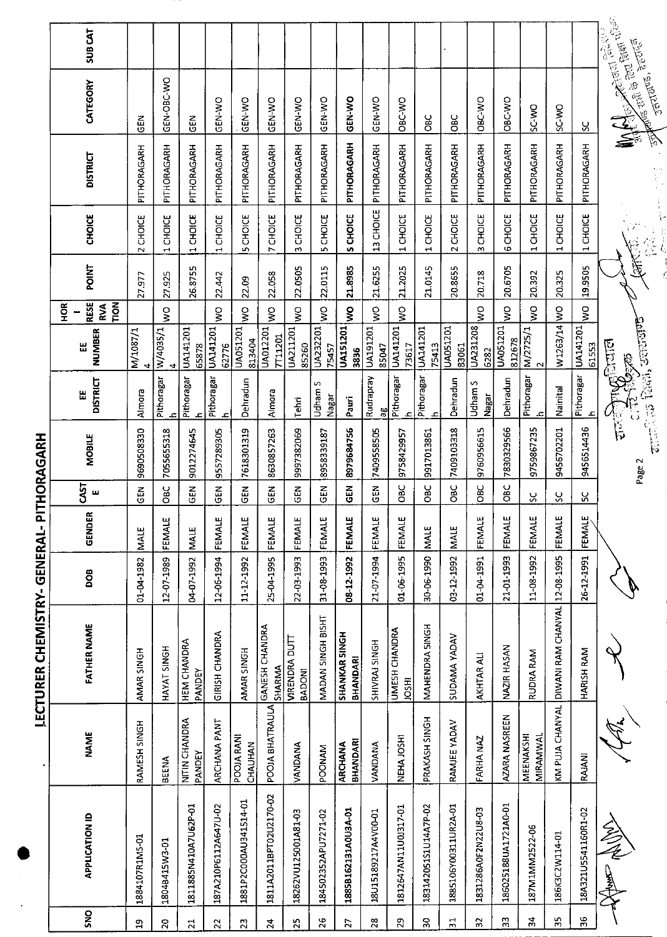|                 |                        |                         |                                       | こくこうこう     |             |                   | ミミリミンニ        |                                       |                     |                            |              |                  |                 |                      |               |
|-----------------|------------------------|-------------------------|---------------------------------------|------------|-------------|-------------------|---------------|---------------------------------------|---------------------|----------------------------|--------------|------------------|-----------------|----------------------|---------------|
|                 |                        |                         |                                       |            |             |                   |               |                                       |                     | <b>SCH</b>                 |              |                  |                 |                      |               |
| SNO             | <b>APPLICATION ID</b>  | <b>NAME</b>             | <b>FATHER NAME</b>                    | <b>BOD</b> | GENDER      | <b>CAST</b><br>щ  | <b>MOBILE</b> | DISTRICT<br>Ш                         | NUMBER<br>出         | <b>RESE</b><br>TION<br>RVA | <b>POINT</b> | CHOICE           | <b>DISTRICT</b> | CATEGORY             | <b>SUBCAT</b> |
| $\mathbf{a}$    | 1884107R1MS-01         | RAMESH SINGH            | AMAR SINGH                            | 01-04-1982 | MALE        | $\overline{G}$ EN | 9690508330    | Almora                                | M/1087/1<br>4       |                            | 27.977       | CHOICE<br>$\sim$ | PITHORAGARH     | $rac{2}{5}$          |               |
| $\overline{20}$ | 1804B415W3-01          | <b>BEENA</b>            | HAYAT SINGH                           | 12-07-1989 | FEMALE      | OВC               | 7055655318    | Pithoragar<br>£.                      | W/4035/1<br>4       | $\frac{1}{2}$              | 27.925       | 1 CHOICE         | PITHORAGARH     | GEN-OBC-WO           |               |
| $\vec{a}$       | 1811885N410A7U62P-01   | NITIN CHANDRA<br>PANDEY | HEM CHANDRA<br>PANDEY                 | 04-07-1992 | MALE        | <b>GEN</b>        | 9012274645    | Pithoragar<br>ع                       | UA141201<br>65878   |                            | 26.8755      | 1 CHOICE         | PITHORAGARH     | こと<br>この             |               |
| $\overline{2}$  | 187A210P6112A647U-02   | ARCHANA PANT            | <b>GIRISH CHANDRA</b>                 | 12-06-1994 | FEMALE      | <b>GEN</b>        | 9557289305    | Pithoragar<br>م.                      | UA141201<br>62776   | ş                          | 22.442       | 1 CHOICE         | PITHORAGARH     | <b>GEN-WO</b>        |               |
| 23              | 1881P2C000AU341514-01  | POOJA RANI<br>CHAUHAN   | AMAR SINGH                            | 11-12-1992 | FEMALE      | <b>SEN</b>        | 7618301319    | Dehradun                              | UA051201<br>813404  | $\frac{1}{2}$              | 22.09        | <b>5 CHOICE</b>  | PITHORAGARH     | GEN-WO               |               |
| $\overline{2}$  | 1811A2011BPT02U2170-02 | POOJA BHATRAULA         | GANESH CHANDRA<br>SHARMA              | 25-04-1995 | FEMALE      | $rac{1}{2}$       | 8630857263    | Almora                                | UA012201<br>7711201 | $\frac{1}{2}$              | 22.058       | 7 CHOICE         | PITHORAGARH     | GEN-WO               |               |
| 25              | 18262VU125001A81-03    | VANDANA                 | <b>VIRENDRA DUTT</b><br><b>BADONI</b> | 22-03-1993 | FEMALE      | <b>GEN</b>        | 9997382069    | Tehri                                 | UA211201<br>85260   | ş                          | 22.0505      | 3 CHOICE         | PITHORAGARH     | <b>ON-N-D</b>        |               |
| 26              | 184502352APU7271-02    | <b>POONAM</b>           | MADAN SINGH BISHT                     | 31-08-1993 | FEMALE      | <b>GEN</b>        | 8958339187    | S<br>Udham<br>Nagar                   | UA232201<br>75457   | Ş                          | 22.0115      | <b>5 CHOICE</b>  | PITHORAGARH     | GEN-WO               |               |
| $\overline{27}$ | 1885B162131A0U3A-01    | BHANDARI<br>ARCHANA     | SHANKAR SINGH<br><b>BHANDARI</b>      | 08-12-1992 | FEMALE      | $\tilde{a}$       | 8979684756    | Pauri                                 | UA151201<br>3836    | ş                          | 21.8985      | S CHOICE         | PITHORAGARH     | GEN-WO               |               |
| 28              | 18U15189217A4V00-01    | <b>VANDANA</b>          | SHIVRAJ SINGH                         | 21-07-1994 | FEMALE      | ទី                | 7409558505    | Rudrapray<br>æ                        | UA191201<br>85047   | $\frac{1}{2}$              | 21.6255      | 13 CHOICE        | PITHORAGARH     | GEN-WO               |               |
| 29              | 1812647AN11U0J317-01   | NEHA JOSHI              | UMESH CHANDRA<br><b>IOSHI</b>         | 01-06-1995 | FEMALE      | ЗЯ<br>Овс         | 9758429957    | Pithoragar<br>ᅀ                       | UA141201<br>73617   | Ş                          | 21.2025      | 1 CHOICE         | PITHORAGARH     | OBC-WO               |               |
| SÓ.             | 183142051S1U14A7P-02   | PRAKASH SINGH           | MAHENDRA SINGH                        | 30-06 1990 | <b>MALE</b> | မိ<br>ဗီ          | 9917013861    | Pithoragar<br>ع                       | UA141201<br>75413   |                            | 21.0145      | 1 CHOICE         | PITHORAGARH     | <b>OBC</b>           |               |
| $\frac{1}{2}$   | 1885106Y00311UR2A-01   | RAMJEE YADAV            | SUDAMA YADAV                          | 03-12-1992 | MALE        | Эg                | 7409103318    | Dehradun                              | UA051201<br>83061   |                            | 20.8655      | 2 CHOICE         | PITHORAGARH     | <b>OBC</b>           |               |
| $\overline{32}$ | 1831286A0F2N22U8-03    | FARHA NAZ               | AKHTAR ALI                            | 1661-70-10 | FEMALE      | 3g                | 9760956615    | Udham S<br>Nagar                      | UA231208<br>6282    | $\frac{1}{2}$              | 20.718       | 3 CHOICE         | PITHORAGARH     | <b>OBC-VO</b>        |               |
| $\mathbf{3}$    | 186025188UA1721A0-01   | AZARA NASREEN           | NAZIR HASAN                           | 21-01 1993 | FEMALE      | ე<br>მე           | 7830329566    | Dehradun                              | UA051201<br>812678  | $\frac{1}{2}$              | 20.6705      | 6 CHOICE         | PITHORAGARH     | OBC-WO               |               |
| 34              | 187M1MM2522-06         | MEENAKSHI<br>MIRAMWAL   | <b>RUDRA RAM</b>                      | 11-08-1992 | FEMALE      | ပ္တ               | 9759867235    | Pithoragar<br>£.                      | M/2725/1            | Ş                          | 20.392       | 1 CHOICE         | PITHORAGARH     | <b>OW-3S</b>         |               |
| ă,              | 186K3C2W114-01         | KM PUJA CHANYAL         | DIWANI RAM CHANYAL 12-08-1995         |            | FEMALE      | Š,                | 9456702201    | Nainital                              | W1263/14 WO         |                            | 20.325       | 1 CHOICE         | PITHORAGARH     | ON-3S                |               |
| 36              | 18A321U5541160R1-02    | RAJANI                  | HARISH RAM                            | 26-12-1991 | FEMALE      | ပ္က               | 9456514436    | Pithoragar UA141201                   | 61553               | $\frac{1}{2}$              | 19.9505      | 1 CHOICE         | PITHORAGARH     |                      |               |
|                 | 今夜しま                   |                         |                                       |            |             |                   | Page 2        | antara Radi, actana<br><b>Angiran</b> |                     |                            |              | 计划器              |                 | उत्तराज्ञक, देहरगढ़न |               |

LECTURER CHEMISTRY- GENERAI- PITHORAGARH

l,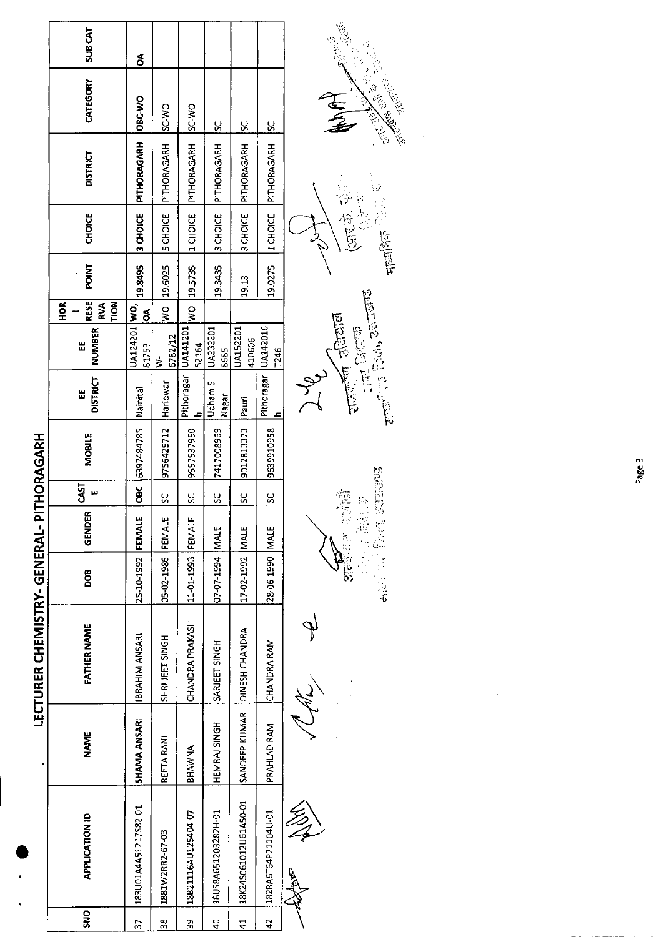|                              | <b>SUB CAT</b>                                        | వే                    |                   |                              |                          |                       |                     |               | $2^{1/3}$        |
|------------------------------|-------------------------------------------------------|-----------------------|-------------------|------------------------------|--------------------------|-----------------------|---------------------|---------------|------------------|
|                              | CATEGORY                                              | ORC-WO                | <b>OW-2S</b>      | OW <sub>3S</sub>             | š                        | <u>u</u>              | <u>ყ</u>            |               | $\sum_{i=1}^{n}$ |
|                              | <b>DISTRICT</b>                                       | PITHORAGARH           | PITHORAGARH       | PITHORAGARH                  | PITHORAGARH              | PITHORAGARH           | PITHORAGARH         |               |                  |
|                              | <b>CHOICE</b>                                         | 3 CHOICE              | <b>SCHOICE</b>    | 1 CHOICE                     | 3 CHOICE                 | 3 CHOICE              | 1 CHOICE            |               |                  |
|                              | <b>POINT</b>                                          | 198495                | 19.6025           | 19.5735                      | 19.3435                  | 19.13                 | 19.0275             |               |                  |
|                              | <b>RESE</b><br><b>TION</b><br>HOR <sub>.</sub><br>RVA | á                     | $\frac{1}{2}$     | $\frac{8}{2}$                |                          |                       |                     |               |                  |
|                              | <b>NUMBER</b><br>Ш                                    | UA124201 WO,<br>81753 | 6782/12<br>$\geq$ | Pithoragar UA141201<br>52164 | UA232201<br>8685         | UA152201<br>410606    | <b>T246</b>         |               | <b>ENGE</b>      |
|                              | DISTRICT<br>Ш                                         | Nainital              | Haridwar          | £                            | Udham S<br>Nagar         | Pauri                 | Pithoragar UA142016 | $\frac{1}{2}$ |                  |
| PITHORAGARH                  | <b>MOBILE</b>                                         | 6397484785            | 9756425712        | 9557537950                   | 7417008969               | 9012813373            | 9639910958          |               |                  |
|                              | 55<br>щ                                               | $rac{1}{2}$           | <u>sc</u>         | <u>ყ</u>                     | <u>ss</u>                | ပ္တ                   | SC                  |               |                  |
|                              | ٩<br>GENDE                                            | <b>FEMAL</b>          |                   |                              |                          |                       |                     |               | $\sum_{i=1}^{n}$ |
|                              | DOB                                                   | 25-10-1992            | 05-02-1986 FEMALE | 11-01-1993 FEMALE            | <b>J14M   1661-20-20</b> | 17-02-1992 MALE       | 28-06-1990 MALE     |               |                  |
| LECTURER CHEMISTRY- GENERAL- | FATHER NAME                                           | IBRAHIM ANSARI        | SHRI JEET SINGH   | CHANDRA PRAKASH              | SARJEET SINGH            | DINESH CHANDRA        | CHANDRA RAM         |               |                  |
|                              | <b>NAME</b>                                           | SHAMA ANSARI          | REETA RANI        | <b>BHAWNA</b>                | HEMRAJ SINGH             | SANDEEP KUMAR         | PRAHLAD RAM         |               |                  |
|                              | <b>APPLICATION ID</b>                                 | 183U01A4A51217S82-01  | 1881W2RR2-67-03   | 18B21116AU125404-07          | 18US8A651203282H-01      | 18K24S061012U61A50-01 | 182RA6T64P21104U-01 |               |                  |
|                              | <b>ONS</b>                                            |                       | œ                 | ò,                           | Ω                        |                       | Z.                  |               |                  |

 $\begin{array}{ll} \displaystyle\frac{\sqrt{1-\frac{1}{2}}}{\sqrt{1-\frac{1}{2}}}\left(\frac{1}{\sqrt{1-\frac{1}{2}}}\right)^{\frac{1}{2}}\left(\frac{1}{\sqrt{1-\frac{1}{2}}}\right)^{\frac{1}{2}}\left(\frac{1}{\sqrt{1-\frac{1}{2}}}\right)^{\frac{1}{2}}\left(\frac{1}{\sqrt{1-\frac{1}{2}}}\right)^{\frac{1}{2}}\left(\frac{1}{\sqrt{1-\frac{1}{2}}}\right)^{\frac{1}{2}}\left(\frac{1}{\sqrt{1-\frac{1}{2}}}\right)^{\frac{1}{2}}\left(\frac{1}{\sqrt{1-\frac{1}{2$ در<br>په etter, Parti, coores 第一章

 $\frac{1}{2}$ 

一个小孩 **Thanks** ( Sec. 2) KR )

 $\frac{1}{2}$ 

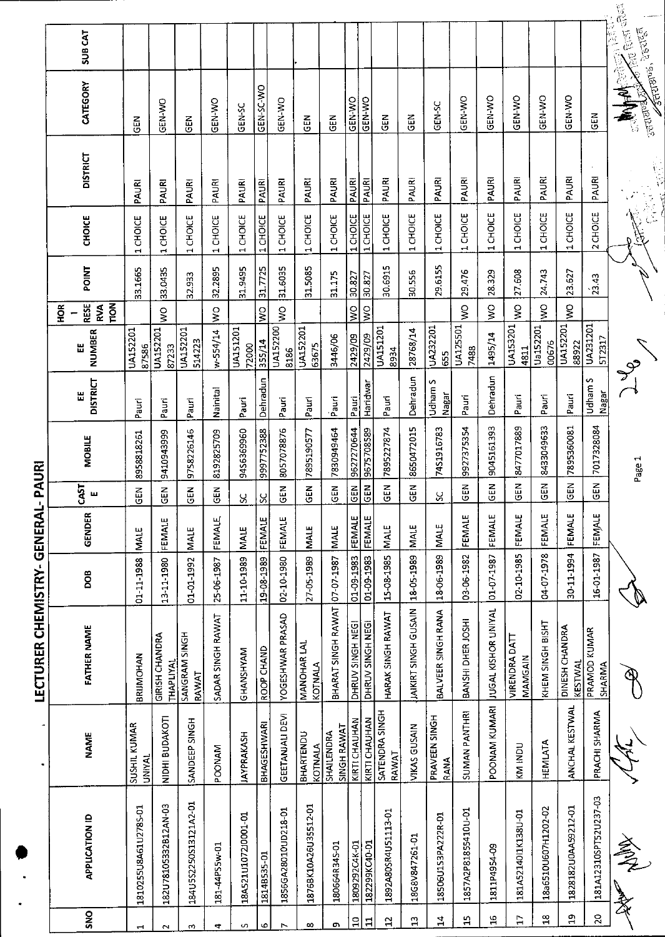|                 |                       |                               | LECTURER CHEMISTRY- GENERAL               |            |                  | PAURI          |            |                      |                          |                                   |         |                                    |                 |                                                              |                        |  |
|-----------------|-----------------------|-------------------------------|-------------------------------------------|------------|------------------|----------------|------------|----------------------|--------------------------|-----------------------------------|---------|------------------------------------|-----------------|--------------------------------------------------------------|------------------------|--|
|                 |                       |                               |                                           |            |                  |                |            |                      |                          | Ě                                 |         |                                    |                 |                                                              |                        |  |
| SNO             | <b>APPLICATION ID</b> | <b>NAME</b>                   | <b>FATHER NAME</b>                        | <b>BOG</b> | GENDER           | 51<br>ш        | MOBILE     | <b>DISTRICT</b><br>Ш | <b>NUMBER</b><br>出       | <b>RESE</b><br>TION<br><b>RVA</b> | POINT   | <b>CHOICE</b>                      | <b>DISTRICT</b> | CATEGORY                                                     | SUB CAT                |  |
|                 | 1810255U8A61U2785-01  | SUSHIL KUMAR<br><b>UNIVAL</b> | BRIJMOHAN                                 | 01-11-1988 | MALE             | $\frac{2}{9}$  | 8958818261 | Pauri                | UA152201<br>87586        |                                   | 33.1665 | 1 CHOICE                           | PAURI           | <b>SEN</b>                                                   |                        |  |
| $\sim$          | 182U78105332B12AN-03  | NIDHI BUDAKOTI                | <b>GIRISH CHANDRA</b><br><b>THAPLIYAL</b> | 13-11-1980 | FEMALE           | 집<br>명         | 9410943999 | Pauri                | UA152201<br>87233        | $\frac{1}{2}$                     | 33.0435 | 1 CHOICE                           | PAURI           | <b>OK-N-NO</b>                                               |                        |  |
| m               | 184U5S2250S13121A2-01 | SANDEEP SINGH                 | SANGRAM SINGH<br>RAWAT                    | 01-01-1992 | MALE             | $\frac{2}{9}$  | 9758226146 | Pauri                | UA152201<br>514223       |                                   | 32.933  | CHOICE<br>$\mathbf{\vec{r}}$       | PAURI           | $rac{2}{9}$                                                  |                        |  |
| 4               | 181-44PS5w-01         | <b>POONAM</b>                 | SADAR SINGH RAWAT                         | 25-06-1987 | FEMALE           | EM<br>U        | 8192825709 | Nainital             | w-554/14                 | $\frac{1}{2}$                     | 32.2895 | 1 CHOICE                           | PAURI           | <b>OK-N-NO</b>                                               |                        |  |
| S               | 18A521U1072J0001-01   | <b>JAYPRAKASH</b>             | GHANSHYAM                                 | 11-10-1989 | <b>INALE</b>     | S,             | 9456369960 | Pauri                | <b>UA151201</b><br>72000 |                                   | 31.9495 | 1 CHOICE                           | PAURI           | GEN-SC                                                       |                        |  |
| ۰٥              | 1814B535-01           | BHAGESHWARI                   | ROOP CHAND                                | 19-08-1989 | FEMALE           | Š,             | 9997752388 | Dehradun             | 355/14                   | $\frac{1}{2}$                     | 31.7725 | 1 CHOICE                           | PAURI           | GEN-SC-WO                                                    |                        |  |
|                 | 1856GA28010UD218-01   | <b>GEETANJALI DEVI</b>        | YOGESHWAR PRASAD                          | 02-10-1980 | FEMALE           | $\frac{2}{5}$  | 8057078876 | Pauri                | <b>UA152200</b><br>8186  | $\frac{1}{2}$                     | 31.6035 | 1 CHOICE                           | PAURI           | <b>GEN-WO</b>                                                |                        |  |
| œ               | 1876BK10A26U35512-01  | BHARTENDU<br>KOTNALA          | MANOHAR LAL<br><b>KOTNALA</b>             | 27-05-1989 | <b>MALE</b>      | GEN            | 7895190577 | Pauri                | UA152201<br>63675        |                                   | 31.5085 | 1 CHOICE                           | PAURI           | <b>GEN</b>                                                   |                        |  |
| c               | 180664R34S-01         | SINGH RAWAT<br>SHAILENDRA     | BHARAT SINGH RAWAT                        | 07-07-1987 | <b>MALE</b>      | <b>GEN</b>     | 7830949464 | Pauri                | 3446/06                  |                                   | 31.175  | 1 CHOICE                           | PAURI           | $rac{1}{9}$                                                  |                        |  |
| $\mathbf{a}$    | 1809292C4K-01         | KIRTI CHAUHAN                 | DHRUV SINGH NEGI                          | 01-09-1983 |                  | <b>GEN</b>     | 9627270644 | Pauri                | 2429/09                  | $\frac{1}{2}$                     | 30.827  | 1 CHOICE                           | PAURI           | GEN-WO                                                       |                        |  |
| $\mathbf{1}$    | 182299KC40-01         | KIRTI CHAUHAN                 | DHRUV SINGH NEGI                          | 01-09-1983 | FEMALE<br>FEMALE | GEN            | 9675708589 | Haridwar             | 2429/09                  | $\frac{0}{5}$                     | 30.827  | 1 CHOICE                           | PAURI           | GEN-WO                                                       |                        |  |
| $\overline{12}$ | 1892A80SR4U51113-01   | SATENDRA SINGH<br>RAWAT       | HARAK SINGH RAWAT                         | 15-08-1985 | <b>MALE</b>      | $rac{2}{9}$    | 7895227874 | Pauri                | UA151201<br>8934         |                                   | 30.6915 | 1 CHOICE                           | PAURI           | $\frac{2}{9}$                                                |                        |  |
| $\mathbf{a}$    | 18G8V847261-01        | VIKAS GUSAIN                  | JAIKIRT SINGH GUSAIN                      | 18 05 1989 | MALE             | $\overline{d}$ | 8650472015 | Dehradun             | 28768/14                 |                                   | 30.556  | 1 CHOICE                           | PAURI           | <b>GEN</b>                                                   |                        |  |
| $\mathbf{14}$   | 18506U1S3PA222R-01    | PRAVEEN SINGH<br>RANA         | BALVEER SINGH RANA                        | 18-06-1989 | <b>INALE</b>     | $\frac{8}{5}$  | 7451916783 | Udham S<br>Nagar     | UA232201<br>655          |                                   | 29.6155 | 1 CHOICE                           | PAURI           | GEN-SC                                                       |                        |  |
| $\mathbf{L}$    | 1857A2P81855410U-01   | <b>SUMAN PANTHRI</b>          | BANSHI DHER JOSHI                         | 03-06-1982 | FEMALE           | $\frac{2}{9}$  | 9927375354 | Pauri                | UA125501<br>7488         | $\frac{8}{5}$                     | 29.476  | CHOICE<br>$\overline{\phantom{0}}$ | PAURI           | <b>GEN-WO</b>                                                |                        |  |
| $\mathbf{S}$    | 1811P4954-09          | POONAM KUMARI                 | JUGAL KISHOR UNIYAL                       | 01-07-1987 | FEMALE           | $rac{2}{5}$    | 9045161393 | Dehradun             | 1495/14                  | $\sum_{i=1}^{n}$                  | 28329   | CHOICE<br>$\overline{\phantom{0}}$ | PAURI           | GEN-WO                                                       |                        |  |
| $\overline{1}$  | 181A5214011K138U-01   | <b>KM INDU</b>                | VIRENDRA DATT<br>MAMGAIN                  | 02-10-1985 | FEMALE           | <b>GEN</b>     | 8477017889 | Pauri                | UA153201<br>4811         | Ş                                 | 27.608  | CHOICE<br>$\blacksquare$           | PAURI           | GEN-WO                                                       |                        |  |
| $\mathbf{a}$    | 18a6510U607H1202-02   | HEMILATA                      | KHEM SINGH BISHT                          | 04-07-1978 | FEMALE           | $\frac{2}{5}$  | 8433049633 | Pauri                | Ua152201<br>00676        | Š                                 | 24.743  | 1 CHOICE                           | PAURI           | <b>GEN-WO</b>                                                |                        |  |
| $\mathbf{a}$    | 1828182U0AA59212-01   | ANCHAL KESTWAL                | DINESH CHANDRA<br><b>KESTWAL</b>          | 30-11-1994 | FEMALE           | <b>GEN</b>     | 7895360081 | Pauri                | UA152201<br>88922        | ş                                 | 23.627  | 1 CHOICE                           | PAURI           | GEN-WO                                                       |                        |  |
| $\mathbf{S}$    | 181A12310SPT52U237-03 | PRACHI SHARMA                 | PRAMOD KUMAR<br>SHARMA                    | 16-01-1987 | FEMALE           | $\frac{2}{5}$  | 7017328084 | Udham S<br>Nagar     | UA231201<br>5T2317       |                                   | 23.43   | CHOICE<br>$\mathbf{\tilde{c}}$     | PAURI           | $\tilde{a}$                                                  |                        |  |
|                 | All Ash               |                               |                                           |            |                  |                | Page 1     | J<br>J               |                          |                                   |         |                                    |                 | <b>Astronos</b> , Precise<br><b>Maples</b><br><b>Repared</b> | <b>Company Company</b> |  |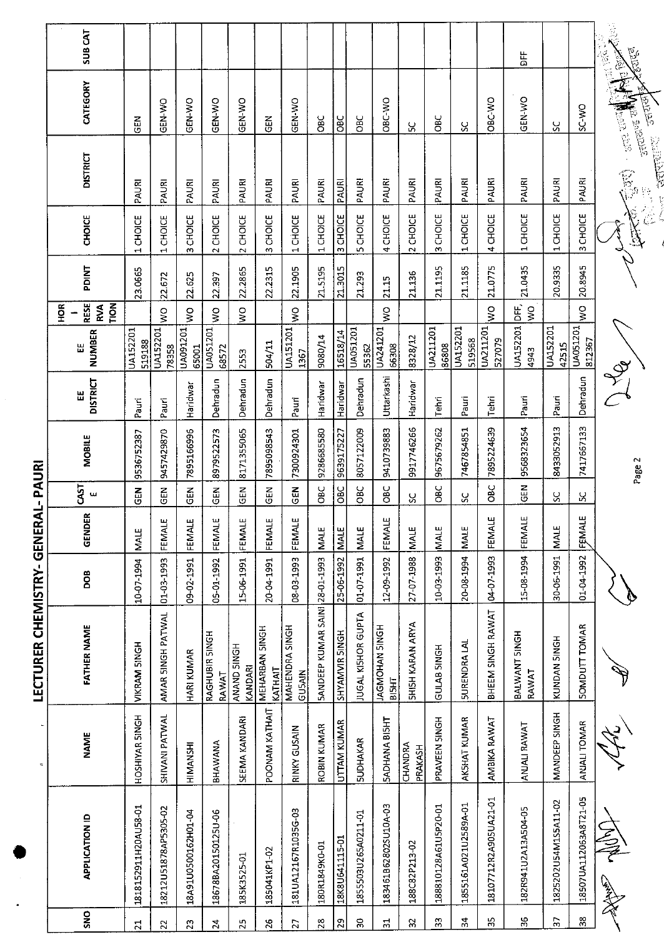|                                  | <b>SUBCAT</b>                     |                           |                      |                     |                           |                        |                                  |                                        |                                |                    |                           |                                      |                         |                      |                      |                       | ጜ                      |                      |                       | ्<br>ए<br>医腹膜<br><b>PSICO</b><br><b>Sec</b>                  |
|----------------------------------|-----------------------------------|---------------------------|----------------------|---------------------|---------------------------|------------------------|----------------------------------|----------------------------------------|--------------------------------|--------------------|---------------------------|--------------------------------------|-------------------------|----------------------|----------------------|-----------------------|------------------------|----------------------|-----------------------|--------------------------------------------------------------|
|                                  | CATEGORY                          | <b>EN</b>                 | <b>OK-N-XO</b>       | GEN-WO              | GEN-WO                    | GEN-WO                 | 乙<br>0                           | GEN-WO                                 | <b>OBC</b>                     | <b>DBC</b>         | OBC                       | ORC-VIO                              | χ                       | <b>OBC</b>           | ပ္တ                  | OBC-VO                | GEN-WO                 | ပ္တ                  | ON-CS                 | उत्तरण<br><b>Algement</b><br>$\frac{1}{2}$ and $\frac{1}{2}$ |
|                                  | <b>DISTRICT</b>                   | PAURI                     | PAURI                | PAURI               | PAURI                     | PAURI                  | <b>PAURI</b>                     | PAURI                                  | PAURI                          | PAURI              | PAURI                     | PAURI                                | PAURI                   | PAURI                | PAURI                | PAURI                 | PAURI                  | PAURI                | PAURI                 | <b>CONTROLLER</b><br>E<br>(P                                 |
|                                  | <b>CHOICE</b>                     | 1 CHOICE                  | 1 CHOICE             | 3 CHOICE            | 2 CHOICE                  | 2 CHOICE               | 3 CHOICE                         | 1 CHOICE                               | 1 CHOICE                       | <b>CHOICE</b><br>w | <b>5 CHOICE</b>           | 4 CHOICE                             | 2 CHOICE                | 3 CHOICE             | 1 CHOICE             | 4 CHOICE              | 1 CHOICE               | 1CHOICE              | 3 CHOICE              |                                                              |
|                                  | <b>PDINT</b>                      | 23.0665                   | 22.672               | 22.625              | 22.397                    | 22.2865                | 22.2315                          | 22.1905                                | 21.5195                        | 21.3015            | 21.293                    | 21.15                                | 21.136                  | 21.1195              | 21.1185              | 21.0775               | 21.0435                | 20.9335              | 20.8945               |                                                              |
|                                  | <b>RESE</b><br>TION<br>ЭQН<br>RVA |                           | Ş                    | $\frac{1}{2}$       | $\mathsf{S}^{\mathsf{O}}$ | o<br>≷                 |                                  | Ş                                      |                                |                    |                           | ş                                    |                         |                      |                      | Ş                     | bF,<br>$\frac{1}{2}$   |                      | $\zeta$               |                                                              |
|                                  | NUMBER<br>닚                       | <b>UA152201</b><br>519188 | UA152201<br>78358    | UA091201<br>65001   | UA051201<br>68572         | 2553                   | 504/11                           | UA151201<br>1367                       | 9080/14                        | 16518/14           | UA051201<br>55362         | UA241201<br>66308                    | 8328/12                 | UA211201<br>86808    | UA152201<br>519568   | UA211201<br>527079    | UA152201<br>4943       | UA152201<br>42515    | UA051201<br>812367    |                                                              |
|                                  | <b>DISTRICT</b><br>出              | Pauri                     | Pauri                | Haridwar            | Dehradun                  | Dehradun               | Dehradun                         | Pauri                                  | Haridwar                       | Haridwar           | Dehradun                  | Uttarkashi                           | Haridwar                | Tehri                | Pauri                | Tehri                 | Pauri                  | Pauri                | Dehradun              | <b>PROCE</b>                                                 |
|                                  | <b>MOBILE</b>                     | 9536752387                | 9457429870           | 7895166996          | 8979522573                | 8171355065             | 7895098543                       | 7300924301                             | 9286685580                     | 9639175227         | 8057122009                | 9410739883                           | 9917746266              | 9675679262           | 7467854851           | 7895224639            | 9568323654             | 8433052913           | 7417667133            | Page 2                                                       |
| PAURI                            | CAST<br>ш                         | $\frac{2}{9}$             | <b>GEN</b>           | N30                 | N<br>19                   | <b>GEN</b>             | $rac{1}{65}$                     | GEN                                    | <b>OBC</b>                     | Эaс                | <b>OBC</b>                | ပ<br>ဝီ                              | ပ္ပ                     | <b>SBC</b>           | S                    | OBC                   | $rac{1}{2}$            | ႘                    | X                     |                                                              |
| $\frac{1}{4}$                    | GENDER                            | MALE                      | FEMALE               | FEMALE              | FEMALE                    | FEMALE                 | FEMALE                           | FEMALE                                 | <b>MALE</b>                    | <b>MALE</b>        | MALE                      | FEMALE                               | <b>MALE</b>             | <b>MALE</b>          | <b>NALE</b>          | FEMALE                | FEMALE                 | MALE                 | ш<br>FEMALI           |                                                              |
|                                  | <b>BOO</b>                        | 10-07-1994                | 01-03-1993           | 09-02-1991          | 05-01-1992                | 15-06-1991             | 20-04-1991                       | 08-03-1993                             |                                | 25-06-1992         | 01-07-1991                | 12-09-1992                           | 27-07-1988              | 10-03-1993           | 20-08-1994           | 04-07-1993            | 15-08-1994             | 30-06-1991           | 01-04-1992            |                                                              |
| <b>LECTURER CHEMISTRY- GENER</b> | <b>FATHER NAME</b>                | VIKRAM SINGH              | AMAR SINGH PATWAL    | HARI KUMAR          | RAGHUBIR SINGH<br>RAWAT   | ANAND SINGH<br>KANDARI | <b>MEHARBAN SINGH</b><br>KATHAIT | <b>MAHENDRA SINGH</b><br><b>GUSAIN</b> | 5ANDEEP KUMAR SAINI 28-01-1993 | SHYAMVIR SINGH     | JUGAL KISHOR GUPTA        | <b>HOMOHAN SINGH</b><br><b>BISHT</b> | <b>SHISH KARAN ARYA</b> | <b>GULAB SINGH</b>   | <b>SURENDRA LAL</b>  | BHEEM SINGH RAWAT     | BALWANT SINGH<br>RAWAT | KUNDAN 5INGH         | <b>SOMDUTT TOMAR</b>  |                                                              |
|                                  | <b>NAME</b>                       | HOSHIYAR SINGH            | SHIVANI PATWAL       | HIMANSHI            | BHAWANA                   | SEEMA KANDARI          | POONAM KATHAIT                   | <b>RINKY GUSAIN</b>                    | ROBIN KUMAR                    | UTTAM KUMAR        | <b>SUDHAKAR</b>           | <b>SADHANA BISHT</b>                 | CHANDRA<br>PRAKASH      | PRAVEEN SINGH        | AKSHAT KUMAR         | AMBIKA RAWAT          | ANJALI RAWAT           | MANDEEP SINGH        | ANJALI TOMAR          |                                                              |
|                                  | <b>APPLICATION ID</b>             | 1818152911H20AU58-01      | 18212U51878AP5305-02 | 18A91U0500162H01-04 | 18678BA20150125U-06       | 185K3525-01            | 185041KP1-02                     | 181UA12167R1035G-03                    | 180R1849K0-01                  | 18K8U641115-01     | 1855503U265A0211-01       | 183461B62802SU10A-03                 | 188C82P213-02           | 188810128A61U5P20-01 | 1855161A021U2589A-01 | 18107712R2A905UA21-01 | 182R941U2A13A504-05    | 1825202U54M1S5A11-02 | 18507UA112063A8T21-05 | 一日<br>Contractor                                             |
|                                  | SNO                               | ដ                         | 22                   | $\mathbb{S}^2$      | $\mathfrak{p}_2$          | 25                     | $\mathfrak{L}$                   | 27                                     |                                | S)                 | $\mathbf{S}^{\mathbf{C}}$ | $\overline{5}$                       | 32                      | $33$                 | $\frac{1}{2}$        | 55                    | 36                     | 57                   | $3\,$                 |                                                              |
|                                  |                                   |                           |                      |                     |                           |                        |                                  |                                        |                                |                    |                           |                                      |                         |                      |                      |                       |                        |                      |                       |                                                              |

 $\ddot{\phantom{1}}$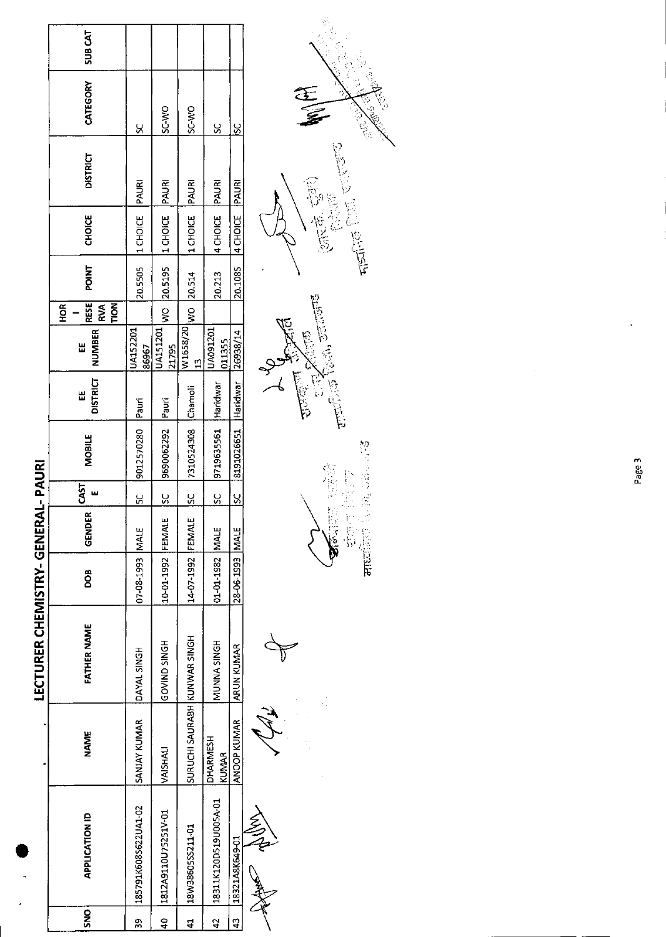|                                   | <b>SUBCAT</b>                                               |                          |                          |                              |                          |                 |                 |
|-----------------------------------|-------------------------------------------------------------|--------------------------|--------------------------|------------------------------|--------------------------|-----------------|-----------------|
|                                   | CATEGORY                                                    | ႘                        | <b>OW-JS</b>             | <b>OW-CS</b>                 | <u>s</u>                 | š               | E<br>E          |
|                                   | <b>DISTRICT</b>                                             | PAURI                    | PAURI                    | <b>PAURI</b>                 | PAURI                    | PAURI           |                 |
|                                   | <b>CHOICE</b>                                               | 1 CHOICE                 | 1 CHOICE                 | 1 CHOICE                     | 4 CHOICE                 | 4 CHOICE        | ारके खुली       |
|                                   | <b>POINT</b>                                                | 20.5505                  | 20.5195                  | 20.514                       | 20.213                   | 20.1085         |                 |
|                                   | <b>RESE</b><br><b>TION</b><br><b>RVA</b><br>H <sub>OR</sub> |                          | $rac{1}{2}$              | $ w_0 $                      |                          |                 |                 |
|                                   | <b>NUMBER</b><br>Ш                                          | <b>UA152201</b><br>86967 | <b>UA151201</b><br>21795 | W1658/20<br>$\frac{2}{1}$    | UA091201<br>011355       | 26938/14        | $-25$ and $-25$ |
|                                   | <b>DISTRICT</b><br>Ш                                        | Pauri                    | Pauri                    | Chamoli                      | Haridwar                 | Haridwar        |                 |
|                                   | <b>MOBILE</b>                                               | 9012570280               | 9690062292               | 7310524308                   | 9719635561               | 8191026651      |                 |
| <b>AL-PAURI</b>                   | 5<br>3<br>w                                                 | ں<br>S                   | $\frac{5}{5}$            | $\frac{5}{5}$                | Š                        | $\frac{8}{5}$   |                 |
|                                   | GENDER                                                      |                          | FEMALE                   |                              |                          |                 |                 |
|                                   | 8OO                                                         | 07-08-1993 MALE          | 10-01-1992               | 14-07-1992 FEMALE            | 01-01-1982 MALE          | 28-06-1993 MALE |                 |
| <b>LECTURER CHEMISTRY- GENER/</b> | <b>FATHER NAME</b>                                          | DAYAL SINGH              | <b>HONIS DIVOP</b>       |                              | MUNNA SINGH              | ARUN KUMAR      |                 |
|                                   | <b>NAME</b>                                                 | SANJAY KUMAR             | VAISHALI                 | SURUCHI SAURABH KUNWAR SINGH | DHARMESH<br><b>KUMAR</b> | ANOOP KUMAR     |                 |
|                                   | <b>APPLICATION ID</b>                                       | 185791K608S622UA1-02     | 1812A9110U75251V-01      | 18W38605SS211-01             | 18311K120D519U005A-01    | 18321A8K649-01  |                 |
|                                   | SNO                                                         | 8s                       | $\frac{1}{4}$            | 4                            | $\overline{a}$           | $\frac{3}{4}$   |                 |
|                                   |                                                             |                          |                          |                              |                          |                 |                 |

 $\begin{split} \textbf{C}^{(1)}_{\text{eff}} & \textbf{C}^{(1)}_{\text{eff}} \textbf{C}^{(2)}_{\text{eff}} \\ \textbf{C}^{(1)}_{\text{eff}} & \textbf{C}^{(1)}_{\text{eff}} \textbf{C}^{(2)}_{\text{eff}} \textbf{C}^{(2)}_{\text{eff}} \\ \textbf{C}^{(1)}_{\text{eff}} & \textbf{C}^{(2)}_{\text{eff}} \textbf{C}^{(2)}_{\text{eff}} \textbf{C}^{(2)}_{\text{eff}} \textbf{C}^{(2)}_{\text{eff}} \textbf{C}^{(2)}_{\text{eff}} \text$ 



Page 3

 $\ddot{\phantom{0}}$ 

 $\ddot{\phantom{0}}$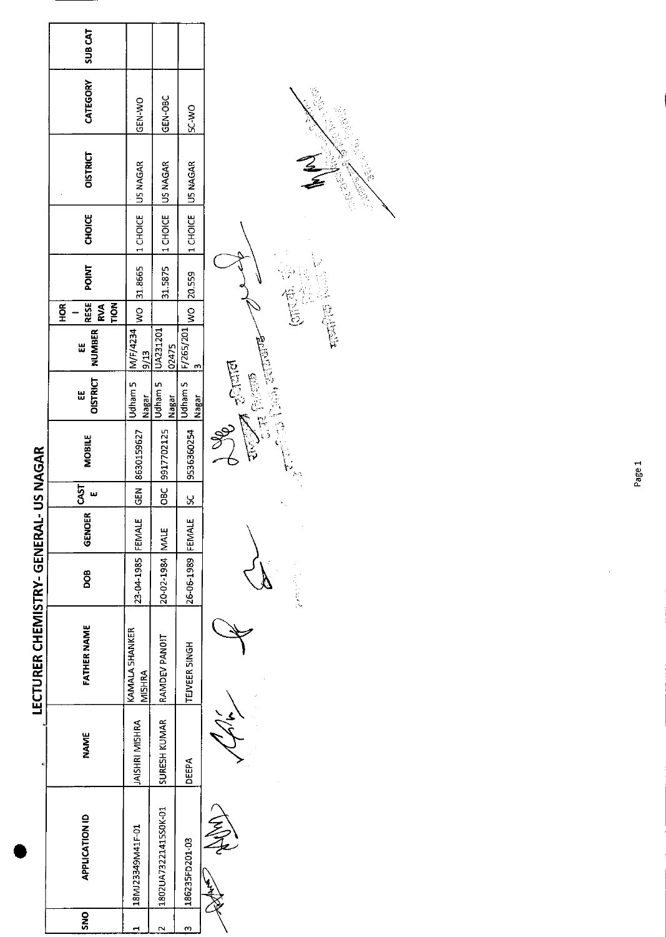|                                       | <b>SUBCAT</b>                            |                                 |                          |                                           |                                                           |
|---------------------------------------|------------------------------------------|---------------------------------|--------------------------|-------------------------------------------|-----------------------------------------------------------|
|                                       | CATEGORY                                 | <b>CEN-WO</b>                   | GEN-OBC                  | <b>OW-25</b>                              |                                                           |
|                                       | <b>OISTRICT</b>                          | US NAGAR                        | US NAGAR                 | US NAGAR                                  | e de la                                                   |
|                                       | <b>CHOICE</b>                            | 1 CHOICE                        | 1 CHOICE                 | 1 CHOICE                                  |                                                           |
|                                       | POINT                                    | WO 31.8665                      | 31.5875                  | 20.559                                    |                                                           |
|                                       | RESE<br><b>TION</b><br>HOR<br><b>RVA</b> |                                 |                          |                                           |                                                           |
|                                       | <b>NUMBER</b><br>Ш                       | M/F/4234<br>9/13                | <b>UA231201</b><br>02475 | $F/265/201$ <sub>WO</sub><br>$\mathbf{r}$ |                                                           |
|                                       | <b>OISTRICT</b><br>Ш                     | Udham 5<br>Nagar                | Udham 5<br>Nagar         | Udham S<br>Nagar                          | $\frac{1}{2}$<br>$\frac{1}{2}$ of $\frac{1}{2}$ (signally |
|                                       | <b>MOBILE</b>                            | 8630159627                      | 9917702125               | 9536360254                                |                                                           |
|                                       | 53<br>w                                  | $rac{5}{65}$                    | $\overline{a}$           | <u>ყ</u>                                  |                                                           |
|                                       |                                          |                                 |                          |                                           |                                                           |
|                                       | <b>GENOER</b>                            | FEMALE                          |                          | FEMALE                                    |                                                           |
|                                       | DOB                                      | 23-04-1985                      | 20-02-1984 MALE          | 26-06-1989                                | <b>Controller</b>                                         |
| LECTURER CHEMISTRY- GENERAL- US NAGAR | <b>FATHER NAME</b>                       | <b>KAMALA SHANKER</b><br>MISHRA | RAMDEV PANOIT            | TEJVEER SINGH                             |                                                           |
|                                       | <b>NAME</b>                              | JAISHRI MISHRA                  | SURESH KUMAR             | <b>DEEPA</b>                              |                                                           |
|                                       | <b>APPLICATION ID</b>                    | 18MJ23349M41F-01                | 1802UA73221415S0K-01     | 186235FD201-03                            |                                                           |
|                                       | SNO                                      |                                 | N                        | m                                         |                                                           |

Page 1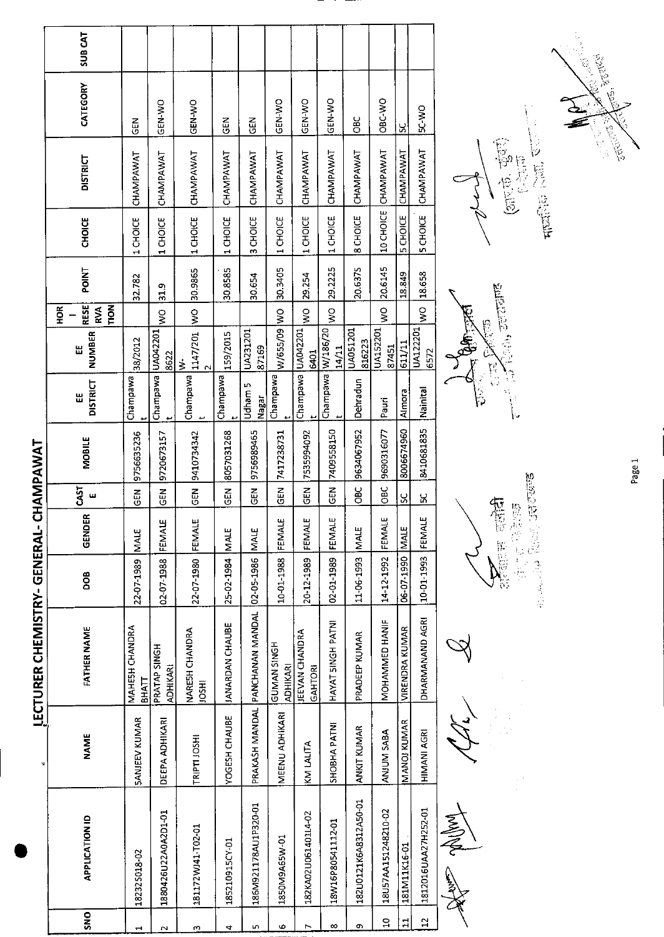|                              | <b>SUB CAT</b>                           |                         |                                 |                                     |                        |                                                  |                                |                           |                      |                       |                     |                       |                     |                  |
|------------------------------|------------------------------------------|-------------------------|---------------------------------|-------------------------------------|------------------------|--------------------------------------------------|--------------------------------|---------------------------|----------------------|-----------------------|---------------------|-----------------------|---------------------|------------------|
|                              | CATEGORY                                 | <b>GEN</b>              | GEN-WO                          | GEN-WO                              | <b>GEN</b>             | <b>GEN</b>                                       | GEN-WO                         | GEN-WO                    | GEN-WO               | 9g                    | OBC-WO              | $\approx$             | <b>OW-25</b>        |                  |
|                              | <b>DISTRICT</b>                          | CHAMPAWAT               | CHAMPAWAT                       | CHAMPAWAT                           | CHAMPAWAT              | CHAMPAWAT                                        | CHAMPAWAT                      | CHAMPAWAT                 | CHAMPAWAT            | CHAMPAWAT             | CHAMPAWAT           | CHAMPAWAT             | CHAMPAWAT           |                  |
|                              | <b>CHOICE</b>                            | 1 CHOICE                | 1 CHOICE                        | 1 CHOICE                            | 1 CHOICE               | 3 CHOICE                                         | 1 CHOICE                       | 1 CHOICE                  | 1 CHOICE             | 8 CHOICE              | 10 CHOICE           | 5 CHOICE              | <b>SCHOICE</b>      |                  |
|                              | POINT                                    | 32.782                  | 31.9                            | 30.9865                             | 30.8585                | 30.654                                           | 30.3405                        | 29.254                    | 29.2225              | 20.6375               | 20.6145             | 18.849                | 18.658              |                  |
|                              | <b>RESE</b><br>TION<br>HOR<br><b>RVA</b> |                         | $\frac{1}{2}$                   | $\overline{\mathsf{S}}$             |                        |                                                  |                                | $\geq$                    | $\tilde{\mathbf{z}}$ |                       | $\frac{1}{2}$       |                       | ş                   | C.<br>Com        |
|                              | <b>NUMBER</b><br>Ш                       | 38/2012                 | 8622                            | 1147/201<br>$\frac{1}{2}$<br>$\sim$ | 159/2015               | UA231201<br>87169                                | W/655/09 WO                    | UA042201<br>6401          | 14/11                | UA051201<br>816223    | UA152201<br>87451   | 611/11                | UA122201<br>6572    | $\approx$ GM and |
|                              | <b>DISTRICT</b><br>出                     | Champawa                | Champawa UA042201               | Champawa                            | Champawa               | <b>Udham 5</b><br><b>Nagar</b>                   | Champawa                       | Champawa                  | Champawa W/186/20    | Dehradun              | Pauri               | Almora                | Nainital            | ်<br>ခြ          |
| CHAMPAWAT                    | <b>MOBILE</b>                            | 9756635236              | 9720673157                      | 9410734342                          | 8057031268             | 9756989465                                       | 7417238731                     | 7535994092                | 7409558150           | 9634067952            | 9690316077          | 8006674960            | 8410681835          |                  |
|                              | CAST<br>ш                                | 군<br>55                 | GEN                             | GEN                                 | $\tilde{E}$            | 준<br>영                                           | GEN                            | <b>GEN</b>                | GEN                  | ă                     | <b>OBC</b>          | χ                     | ×                   |                  |
|                              | £<br>GEND                                | <b>MALE</b>             | щ<br>FEMAL                      | FEMALE                              | <b>MALE</b>            |                                                  | FEMALE                         | FEMALE                    | FEMALE               | <b>NALE</b>           | Ш<br>FEMA           | <b>MALE</b>           | Щ<br>FENA           |                  |
|                              | <b>BOO</b>                               | 22-07-1989              | 02-07-1988                      | 22-07-1980                          | 25-02-1984             |                                                  | 10-01-1988                     | 20-12-1989                | 02-01-1989           | 11-06-1993            | 14-12-1992          | 06-07-1990            | 10-01-1993          |                  |
| LECTURER CHEMISTRY- GENERAL- | FATHER NAME                              | MAHESH CHANDRA<br>ВНАТТ | PRATAP SINGH<br><b>ADHIKARI</b> | NARESH CHANDRA<br><b>IRSOIL</b>     | <b>JANARDAN CHAUBE</b> | PRAKASH MANDAL PANCHANAN MANDAL 102-05-1986 NALE | GUMAN SINGH<br><b>ADHIKARI</b> | JEEVAN CHANDRA<br>GAHTORI | HAYAT SINGH PATNI    | PRADEEP KUMAR         | MOHAMMED HANIF      | <b>VIRENDRA KUMAR</b> | DHARMANAND AGRI     |                  |
|                              | <b>NAME</b>                              | <b>SANJEEV KUMAR</b>    | DEEPA ADHIKARI                  | TRIPTI JOSHI                        | YOGESH CHAUBE          |                                                  | MEENU ADHIKARI                 | KM LALITA                 | SHOBHA PATNI         | ANKIT KUMAR           | ANJUM SABA          | MANOJ KUMAR           | HIMANI AGRI         |                  |
|                              | <b>APPLICATION ID</b>                    | 182325018-02            | 1880426U22A0A2D1-01             | 181172WJ41-T02-01                   | 185210915CY-01         | 186M921178AU1P320-01                             | 1850M9A65W-01                  | 182KA02U061401L4-02       | 18W16P80541112-01    | 182U0121K6A8312A50-01 | 18U57AA151248210-02 | 181M11K16-01          | 1812016UAA27H252-01 | Trailer          |
|                              | <b>ONS</b>                               |                         | N                               | m                                   | 4                      | ın                                               | Ф                              | r                         | ∞                    | œ                     | å                   | $\mathbf{H}$          | $\frac{12}{1}$      |                  |

**Sultan City** 医无线管 医胃性溃疡

E Le Contra Contra Contra Contra Contra Contra Contra Contra Contra Contra Contra Contra Contra Contra Contra Contra Contra Contra Contra Contra Contra Contra Contra Contra Contra Contra Contra Contra Contra Contra Contra 長恩寶  $\frac{1}{\sqrt{2\cdot\frac{1}{2}}\cdot\frac{1}{2}}$ 

**REGISTER** 

 $\mathcal{F}$  (2)(2), settlement ことまで 

Page 1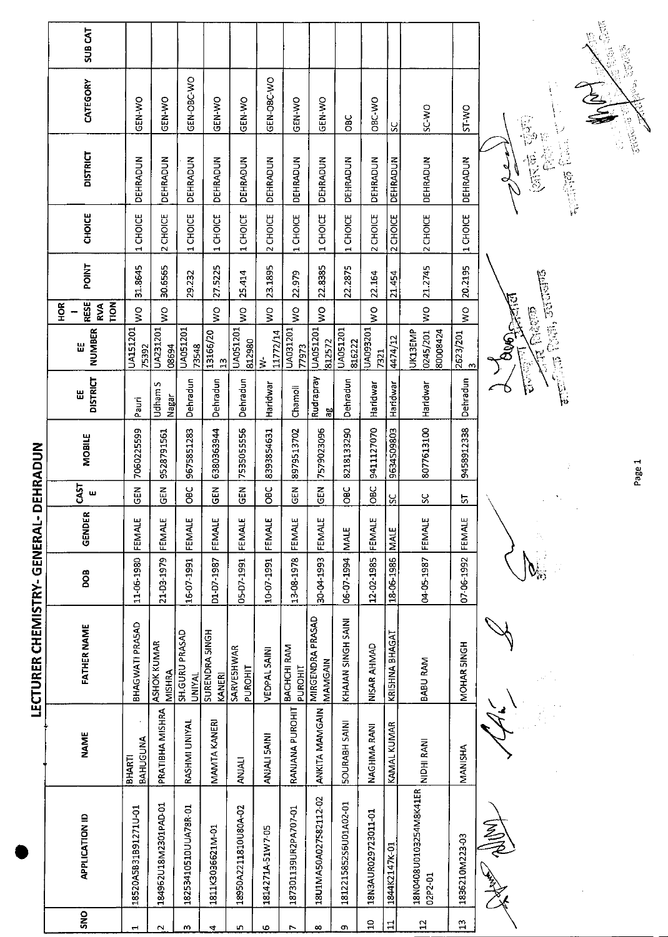|                             | SUB <sub>CAT</sub>                       |                          |                                     |                                 |                                 |                        |                                   |                          |                             |                       |                         |                    |                                   |                          |                        |
|-----------------------------|------------------------------------------|--------------------------|-------------------------------------|---------------------------------|---------------------------------|------------------------|-----------------------------------|--------------------------|-----------------------------|-----------------------|-------------------------|--------------------|-----------------------------------|--------------------------|------------------------|
|                             | CATEGORY                                 | GEN-WO                   | GEN-WO                              | GEN-OBC-WO                      | GEN-WO                          | GEN-WO                 | GEN-OBC-WO                        | GEN-WO                   | GEN-WO                      | <b>OBC</b>            | OBC-WO                  | SC                 | SC WO                             | ST-WO                    |                        |
|                             | <b>DISTRICT</b>                          | DEHRADUN                 | <b>DEHRADUN</b>                     | DEHRADUN                        | DEHRADUN                        | DEHRADUN               | <b>DEHRADUN</b>                   | DEHRADUN                 | DEHRADUN                    | DEHRADUN              | DEHRADUN                | DEHRADUN           | DEHRADUN                          | DEHRADUN                 | 16 克后<br>$\frac{2}{3}$ |
|                             | CHOICE                                   | CHOICE<br>$\overline{ }$ | 2 CHOICE                            | <b>CHOICE</b><br>$\blacksquare$ | <b>CHOICE</b><br>$\blacksquare$ | CHOICE<br>$\mathbf{H}$ | CHOICE<br>$\overline{\mathbf{C}}$ | CHOICE<br>$\blacksquare$ | CHOICE<br>$\blacksquare$    | CHOICE<br>1           | 2 CHOICE                | 2 CHOICE           | 2 CHOICE                          | CHOICE<br>$\blacksquare$ |                        |
|                             | <b>POINT</b>                             | 31.8645                  | 30.6565                             | 29.232                          | 27.5225                         | 25.414                 | 23.1895                           | 22.979                   | 22.8385                     | 22 2875               | 22.164                  | 21.454             | 21.2745                           | 20.2195                  |                        |
|                             | <b>RESE</b><br>TION<br>HOR<br><b>RVA</b> | $\frac{1}{2}$            | $\frac{1}{2}$                       |                                 | $\frac{1}{2}$                   | $\frac{1}{2}$          | $\frac{1}{2}$                     | Ş                        | $\frac{1}{2}$               |                       | $\frac{1}{2}$           |                    | $\frac{1}{2}$                     | $\frac{0}{5}$            |                        |
| DEHRADUN                    | NUMBER<br>Ш                              | UA151201<br>75392        | <b>UA231201</b><br>08694            | UA051201<br>73548               | 13166/20<br>$\frac{1}{2}$       | UA051201<br>812980     | 11772/14<br>$\dot{\geq}$          | UA031201<br>77973        | UA051201<br>812572          | UA051201<br>816222    | <b>UA093201</b><br>7321 | 4474/12            | UK13EMP<br>0245/201<br>80008424   | 2623/201<br>$\infty$     | にいいにゅう                 |
|                             | <b>DISTRICT</b><br>Ш                     | Pauri                    | Udham S<br>Nagar                    | Dehradun                        | Dehradun                        | Dehradun               | Haridwar                          | Chamoli                  | Rudrapray<br>꾐              | Dehradun              | Haridwar                | Haridwar           | Haridwar                          | Dehradun                 | いぼね                    |
|                             | MOBILE                                   | 7060225599               | 9528791561                          | 9675851283                      | 6380363944                      | 7535055556             | 8393854631                        | 8979513702               | 7579023096                  | 8218133290            | 9411127070              | 9634509803         | 8077613100                        | 9458912338               |                        |
|                             | <b>GAST</b><br>ш                         | $\tilde{e}$              | <b>GEN</b>                          | <b>OBC</b>                      | $\tilde{5}$                     | $\tilde{a}$            | ЭЮ<br>Ов                          | M3D                      | $\Xi$                       | <b>DBC</b>            | OBC                     | ပ္ပ                | χ                                 | 5                        |                        |
|                             | $\cong$<br>GENDE                         | FEMALE                   | FEMALE                              | FEMALE                          | FEMALE                          | FEMALE                 | FEMALE                            | FEMALE                   | FEMALE                      | <b>NALE</b>           |                         | <b>MALE</b>        | FEMALE                            | FEMALE                   |                        |
|                             | <b>BOO</b>                               | 11-06-1980               | 21-03-1979                          | 16-07-1991                      | D1-D7-1987                      | 05-07-1991             | 10-07-1991                        | 13-08-1978               | 30-04-1993                  | 06-07-1994            | 12-02-1985 FEMALE       | 18-06-1986         | 04-05-1987                        | 07-06-1992               |                        |
| LECTURER CHEMISTRY- GENERAL | <b>FATHER NAME</b>                       | BHAGWATI PRASAD          | <b>ASHOK KUMAR</b><br><b>NISHRA</b> | SH GURU PRASAD<br><b>UNIYAL</b> | SURENDRA 5INGH<br><b>KANERI</b> | SARVESHWAR<br>PUROHIT  | VEDPAL SAINI                      | BACHCHI RAM<br>PUROHIT   | MIRGENDRA PRASAD<br>MAMGAIN | KHAJAN SINGH SAINI    | NISAR AHMAD             | KRISHNA BHAGAT     | BABU RAM                          | MOHAR SINGH              |                        |
|                             | <b>NAME</b>                              | BAHUGUNA<br>BHARTI       | PRATIBHA MISHRA                     | RASHMI UNIYAL                   | MAMTA KANERI                    | <b>ANJALI</b>          | ANJALI 5AINI                      | RANJANA PUROHIT          | <b>ANKITA MAMGAIN</b>       | <b>SOURABH SAIN</b>   | NAGHMA RANI             | <b>KAMAL KUMAR</b> | NIDHI RANI                        | MANISHA                  |                        |
|                             | <b>APPLICATION ID</b>                    | 18520A5B31B91271U-01     | 184962U18M2301PAD-01                | 18253410510UUA78R-01            | 1811K3036621M-01                | 18950A2211810U80A-02   | 1814271A-51W7-05                  | 187301139UR2PA707-01     | 18U1MA50A027582112-02       | 181221585256U01A02-01 | 18N3AUR029723011-01     | 1844K2147K-01      | 18N0408U0103254M8K41ER<br>02P2-01 | 1836210M223-03           |                        |
|                             | SNO                                      | ٣                        | $\sim$                              | m                               | 4                               | Ю                      | ю                                 | r                        | $\infty$                    | c                     | $\Xi$                   | $\Xi$              | $\overline{1}$                    | $\mathbf{r}$             |                        |
|                             |                                          |                          |                                     |                                 |                                 |                        |                                   |                          |                             |                       |                         |                    |                                   |                          |                        |

 $\frac{\sqrt{12}}{\sqrt{100}}\frac{\log(15)}{\log(1)}\frac{1}{\sqrt{31}}$ **BUGGER** 

、<br>「<br>「<br>「<br>「<br>「<br>」<br>「<br><br><br><br><br>

计信号 化油油



ý

 $\frac{1}{2}$ 



Page 1

 $\frac{1}{2}5\sqrt{3}^{5}$ 

EN 1999